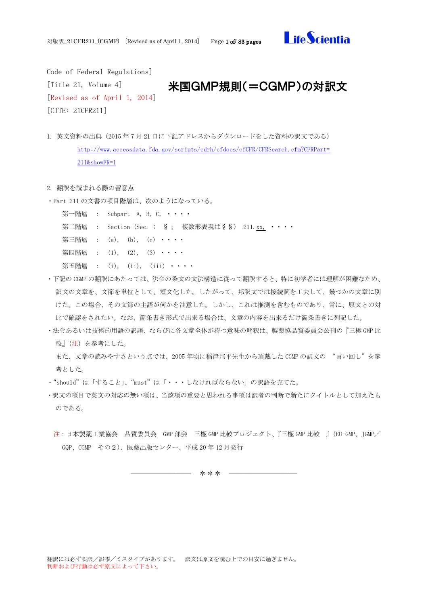

Code of Federal Regulations] [Title 21, Volume 4] [Revised as of April 1, 2014] [CITE: 21CFR211]

## 米国GMP規則(=CGMP)の対訳文

- 1. 英文資料の出典(2015 年 7 月 21 日に下記アドレスからダウンロードをした資料の訳文である) [http://www.accessdata.fda.gov/scripts/cdrh/cfdocs/cfCFR/CFRSearch.cfm?CFRPart=](http://www.accessdata.fda.gov/scripts/cdrh/cfdocs/cfCFR/CFRSearch.cfm?CFRPart=211&showFR=1) [211&showFR=1](http://www.accessdata.fda.gov/scripts/cdrh/cfdocs/cfCFR/CFRSearch.cfm?CFRPart=211&showFR=1)
- 2. 翻訳を読まれる際の留意点
- ・Part 211 の文書の項目階層は、次のようになっている。
	- 第一階層 : Subpart A, B, C, ・・・・
	- 第二階層 : Section (Sec. ; § ; 複数形表現は§§) 211.xx, ····
	- 第三階層 :  $(a)$ ,  $(b)$ ,  $(c)$   $\cdots$
	- 第四階層 :  $(1)$ ,  $(2)$ ,  $(3)$   $\cdot \cdot \cdot$
	- 第五階層 :  $(i)$ ,  $(ii)$ ,  $(iii)$  · · · ·
- ・下記の CGMP の翻訳にあたっては、法令の条文の文法構造に従って翻訳すると、特に初学者には理解が困難なため、 訳文の文章を、文節を単位として、短文化した。したがって、邦訳文では接続詞を工夫して、幾つかの文章に別 けた。この場合、その文節の主語が何かを注意した。しかし、これは推測を含むものであり、常に、原文との対 比で確認をされたい。なお、箇条書き形式で出来る場合は、文章の内容を出来るだけ箇条書きに列記した。
- ・法令あるいは技術的用語の訳語、ならびに各文章全体が持つ意味の解釈は、製薬協品質委員会公刊の『三極 GMP 比 較』(注)を参考にした。

また、文章の読みやすさという点では、2005 年頃に稲津邦平先生から頂戴した CGMP の訳文の "言い回し"を参 考とした。

- ・"should"は「すること」、"must"は「・・・しなければならない」の訳語を充てた。
- ・訳文の項目で英文の対応の無い項は、当該項の重要と思われる事項は訳者の判断で新たにタイトルとして加えたも のである。
	- 注:日本製薬工業協会 品質委員会 GMP 部会 三極 GMP 比較プロジェクト、『三極 GMP 比較 』(EU-GMP、JGMP/ GQP、CGMP その2)、医薬出版センター、平成 20 年 12 月発行

―――――――― \*\*\* ―――――――――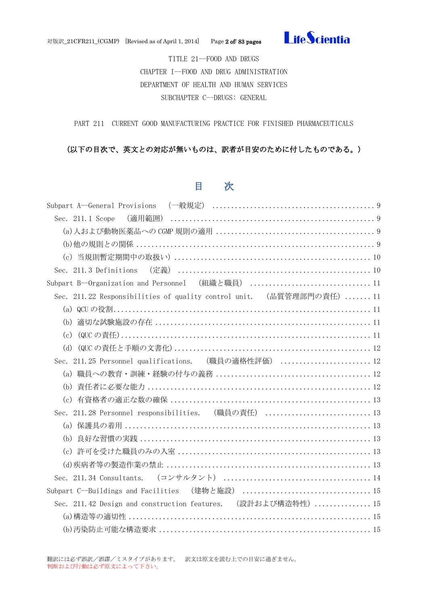

対版訳\_21CFR211\_(CGMP) [Revised as of April 1, 2014] Page 2 of/ 83 pages

TITLE 21--FOOD AND DRUGS CHAPTER I--FOOD AND DRUG ADMINISTRATION DEPARTMENT OF HEALTH AND HUMAN SERVICES SUBCHAPTER C--DRUGS: GENERAL

PART 211 CURRENT GOOD MANUFACTURING PRACTICE FOR FINISHED PHARMACEUTICALS

## (以下の目次で、英文との対応が無いものは、訳者が目安のために付したものである。)

## 目 次

| Sec. 211.1 Scope                                                      |
|-----------------------------------------------------------------------|
|                                                                       |
|                                                                       |
|                                                                       |
|                                                                       |
| Subpart B--Organization and Personnel (組織と職員) 11                      |
| Sec. 211.22 Responsibilities of quality control unit. (品質管理部門の責任)  11 |
|                                                                       |
| (b)                                                                   |
| (c)                                                                   |
| (d)                                                                   |
| Sec. 211.25 Personnel qualifications. (職員の適格性評価)  12                  |
|                                                                       |
| (b)                                                                   |
|                                                                       |
| Sec. 211.28 Personnel responsibilities. (職員の責任) 13                    |
|                                                                       |
| (b)                                                                   |
|                                                                       |
|                                                                       |
|                                                                       |
|                                                                       |
| Sec. 211.42 Design and construction features. (設計および構造特性)  15         |
|                                                                       |
|                                                                       |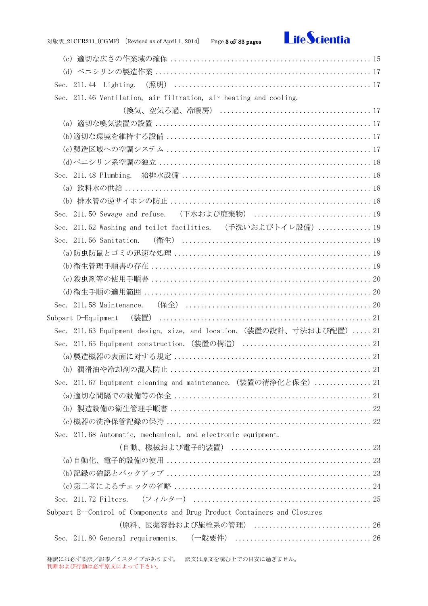## 対版訳\_21CFR211\_(CGMP) [Revised as of April 1, 2014] Page 3 of/ 83 pages



| (c)                                                                       |
|---------------------------------------------------------------------------|
|                                                                           |
|                                                                           |
| Sec. 211.46 Ventilation, air filtration, air heating and cooling.         |
|                                                                           |
| (a)                                                                       |
|                                                                           |
|                                                                           |
|                                                                           |
| Sec. $211.48$ Plumbing.                                                   |
|                                                                           |
|                                                                           |
|                                                                           |
| Sec. 211.52 Washing and toilet facilities. (手洗いおよびトイレ設備)  19              |
|                                                                           |
|                                                                           |
|                                                                           |
|                                                                           |
|                                                                           |
|                                                                           |
|                                                                           |
| Sec. 211.63 Equipment design, size, and location. (装置の設計、寸法および配置)  21     |
|                                                                           |
|                                                                           |
|                                                                           |
| Sec. 211.67 Equipment cleaning and maintenance. (装置の清浄化と保全)  21           |
|                                                                           |
|                                                                           |
|                                                                           |
| Sec. 211.68 Automatic, mechanical, and electronic equipment.              |
|                                                                           |
|                                                                           |
|                                                                           |
|                                                                           |
|                                                                           |
| Subpart E--Control of Components and Drug Product Containers and Closures |
| (原料、医薬容器および施栓系の管理)  26                                                    |
|                                                                           |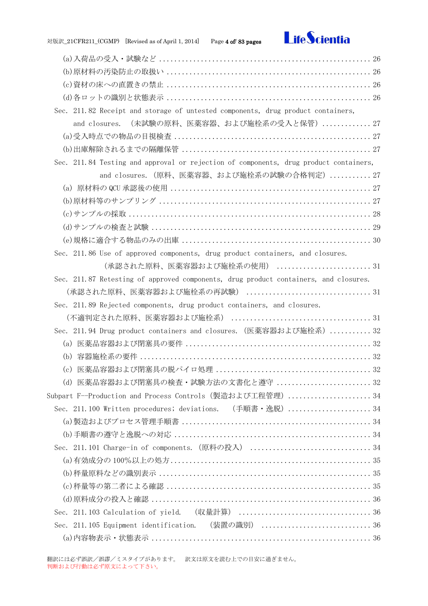## 対版訳\_21CFR211\_(CGMP) [Revised as of April 1, 2014] Page 4 of/ 83 pages



| Sec. 211.82 Receipt and storage of untested components, drug product containers,      |
|---------------------------------------------------------------------------------------|
| (未試験の原料、医薬容器、および施栓系の受入と保管) 27<br>and closures.                                        |
|                                                                                       |
|                                                                                       |
| Sec. 211.84 Testing and approval or rejection of components, drug product containers, |
| and closures. (原料、医薬容器、および施栓系の試験の合格判定)  27                                            |
|                                                                                       |
|                                                                                       |
|                                                                                       |
|                                                                                       |
|                                                                                       |
| Sec. 211.86 Use of approved components, drug product containers, and closures.        |
| (承認された原料、医薬容器および施栓系の使用)  31                                                           |
| Sec. 211.87 Retesting of approved components, drug product containers, and closures.  |
|                                                                                       |
| Sec. 211.89 Rejected components, drug product containers, and closures.               |
|                                                                                       |
| Sec. 211.94 Drug product containers and closures. (医薬容器および施栓系)  32                    |
| (a)                                                                                   |
| (b)                                                                                   |
| (c)                                                                                   |
| 医薬品容器および閉塞具の検査・試験方法の文書化と遵守  32<br>(d)                                                 |
| Subpart F--Production and Process Controls(製造および工程管理)34                               |
| Sec. 211.100 Written procedures; deviations. (手順書·逸脱)  34                             |
|                                                                                       |
|                                                                                       |
|                                                                                       |
|                                                                                       |
|                                                                                       |
|                                                                                       |
|                                                                                       |
|                                                                                       |
| Sec. 211.105 Equipment identification. (装置の識別)  36                                    |
|                                                                                       |

翻訳には必ず誤訳/誤謬/ミスタイプがあります。 訳文は原文を読む上での目安に過ぎません。 判断および行動は必ず原文によって下さい。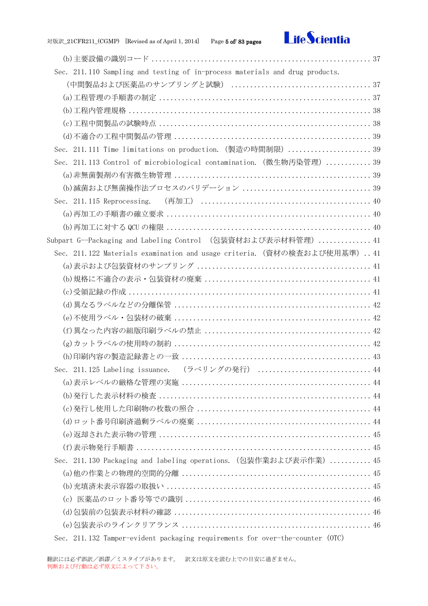

| Sec. 211.110 Sampling and testing of in-process materials and drug products. |  |
|------------------------------------------------------------------------------|--|
|                                                                              |  |
|                                                                              |  |
|                                                                              |  |
|                                                                              |  |
|                                                                              |  |
| Sec. 211.111 Time limitations on production. (製造の時間制限)  39                   |  |
| Sec. 211.113 Control of microbiological contamination. (微生物汚染管理)  39         |  |
|                                                                              |  |
|                                                                              |  |
|                                                                              |  |
|                                                                              |  |
|                                                                              |  |
| Subpart G--Packaging and Labeling Control (包装資材および表示材料管理) 41                 |  |
| Sec. 211.122 Materials examination and usage criteria. (資材の検査および使用基準) 41     |  |
|                                                                              |  |
|                                                                              |  |
|                                                                              |  |
|                                                                              |  |
|                                                                              |  |
|                                                                              |  |
|                                                                              |  |
|                                                                              |  |
| Sec. 211.125 Labeling issuance. (ラベリングの発行)  44                               |  |
|                                                                              |  |
|                                                                              |  |
|                                                                              |  |
|                                                                              |  |
|                                                                              |  |
|                                                                              |  |
| Sec. 211.130 Packaging and labeling operations. (包装作業および表示作業)  45            |  |
|                                                                              |  |
|                                                                              |  |
|                                                                              |  |
|                                                                              |  |
|                                                                              |  |

[Sec. 211.132 Tamper-evident packaging requirements for over-the-counter \(OTC\)](#page-45-3)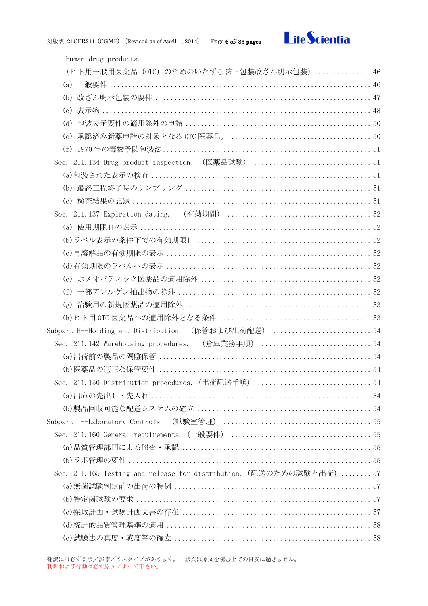

[human drug products.](#page-45-3) (ヒト用一般用医薬品 (OTC[\)のためのいたずら防止包装改ざん明示包装\)](#page-45-3)............... 46 (a) 一般要件 [.....................................................................](#page-45-4) 46 (b) 改ざん明示包装の要件: [.......................................................](#page-46-0) 47 (c) 表示物 [.......................................................................](#page-47-0) 48 (d) 包装表示要件の適用除外の申請 [.................................................](#page-49-0) 50 (e) 承認済み新薬申請の対象となる OTC 医薬品。 [.....................................](#page-49-1) 50 (f) 1970 年の毒物予防包装法[.......................................................](#page-50-0) 51 [Sec. 211.134 Drug product inspection](#page-50-1) (医薬品試験) ............................... 51 (a)包装された表示の検査 [..........................................................](#page-50-2) 51 (b) 最終工程終了時のサンプリング [.................................................](#page-50-3) 51 (c) 検査結果の記録 [...............................................................](#page-50-4) 51 Sec. 211.137 Expiration dating. (有効期間) [......................................](#page-51-0) 52 (a) 使用期限日の表示 [.............................................................](#page-51-1) 52 (b)ラベル表示の条件下での有効期限日 [..............................................](#page-51-2) 52 (c)再溶解品の有効期限の表示 [......................................................](#page-51-3) 52 (d)有効期限のラベルへの表示 [......................................................](#page-51-4) 52 (e) ホメオパティック医薬品の適用除外 [.............................................](#page-51-5) 52 (f) 一部アレルゲン抽出物の除外 [...................................................](#page-51-6) 52 (g) 治験用の新規医薬品の適用除外 [.................................................](#page-52-0) 53 (h)ヒト用 OTC 医薬品への適用除外となる条件 [........................................](#page-52-1) 53 [Subpart H--Holding and Distribution](#page-53-0) (保管および出荷配送) .......................... 54 [Sec. 211.142 Warehousing procedures.](#page-53-1) (倉庫業務手順) ............................. 54 (a)出荷前の製品の隔離保管 [........................................................](#page-53-2) 54 (b)医薬品の適正な保管要件 [........................................................](#page-53-3) 54 [Sec. 211.150 Distribution procedures.](#page-53-4)(出荷配送手順) .............................. 54 (a)出庫の先出し・先入れ [..........................................................](#page-53-5) 54 (b)製品回収可能な配送システムの確立 [..............................................](#page-53-6) 54 Subpart I--Laboratory Controls (試験室管理) [.......................................](#page-54-0) 55 Sec. 211.160 General requirements.(一般要件) [.....................................](#page-54-1) 55 (a)品質管理部門による照査・承認 [..................................................](#page-54-2) 55 (b)ラボ管理の要件 [................................................................](#page-54-3) 55 [Sec. 211.165 Testing and release for distribution.](#page-56-0)(配送のための試験と出荷)........ 57 (a)無菌試験判定前の出荷の特例 [....................................................](#page-56-1) 57 (b)特定菌試験の要求 [..............................................................](#page-56-2) 57 (c)採取計画・試験計画文書の存在 [..................................................](#page-56-3) 57 (d)統計的品質管理基準の適用 [......................................................](#page-57-0) 58 (e)試験法の真度・感度等の確立 [....................................................](#page-57-1) 58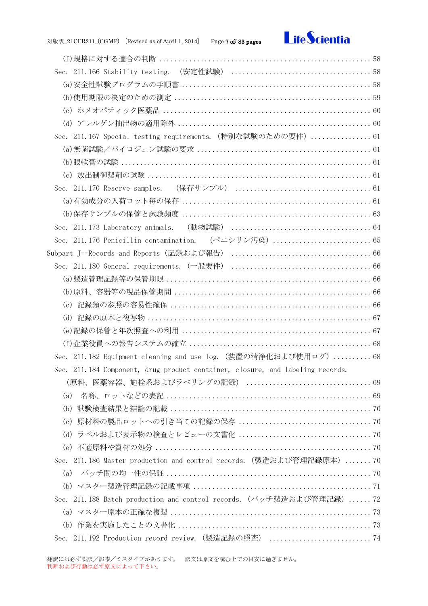

| Sec. 211.167 Special testing requirements. (特別な試験のための要件)  61                   |  |
|--------------------------------------------------------------------------------|--|
|                                                                                |  |
|                                                                                |  |
|                                                                                |  |
|                                                                                |  |
|                                                                                |  |
|                                                                                |  |
|                                                                                |  |
|                                                                                |  |
|                                                                                |  |
|                                                                                |  |
|                                                                                |  |
|                                                                                |  |
|                                                                                |  |
|                                                                                |  |
|                                                                                |  |
|                                                                                |  |
| Sec. 211.182 Equipment cleaning and use log. (装置の清浄化および使用ログ)  68               |  |
| Sec. 211.184 Component, drug product container, closure, and labeling records. |  |
|                                                                                |  |
| (a)                                                                            |  |
| (b)                                                                            |  |
| (c)                                                                            |  |
| (d)                                                                            |  |
|                                                                                |  |
| Sec. 211.186 Master production and control records. (製造および管理記録原本) 70           |  |
| (a)                                                                            |  |
|                                                                                |  |
| Sec. 211.188 Batch production and control records. (バッチ製造および管理記録)  72          |  |
|                                                                                |  |
|                                                                                |  |
|                                                                                |  |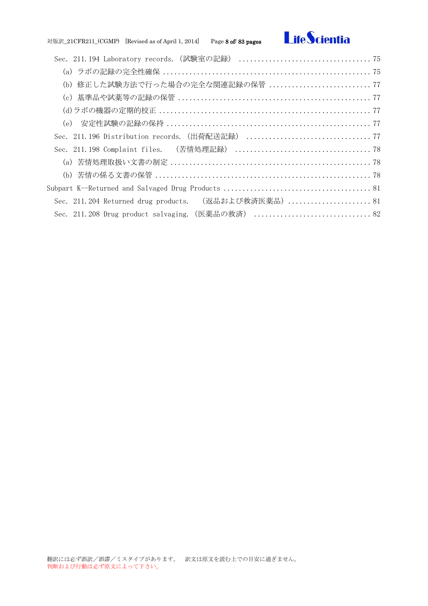# **LifeScientia**

| (b) 修正した試験方法で行った場合の完全な関連記録の保管 77                      |  |
|-------------------------------------------------------|--|
|                                                       |  |
|                                                       |  |
|                                                       |  |
|                                                       |  |
|                                                       |  |
|                                                       |  |
|                                                       |  |
|                                                       |  |
| Sec. 211.204 Returned drug products. (返品および救済医薬品)  81 |  |
|                                                       |  |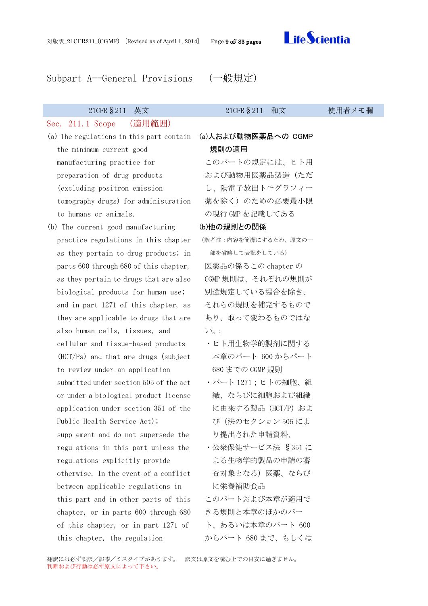

## <span id="page-8-0"></span>Subpart A--General Provisions (一般規定)

<span id="page-8-1"></span>Sec. 211.1 Scope (適用範囲)

- the minimum current good manufacturing practice for preparation of drug products (excluding positron emission tomography drugs) for administration to humans or animals.
- (b) The current good manufacturing practice regulations in this chapter as they pertain to drug products; in parts 600 through 680 of this chapter, as they pertain to drugs that are also biological products for human use; and in part 1271 of this chapter, as they are applicable to drugs that are also human cells, tissues, and cellular and tissue-based products (HCT/Ps) and that are drugs (subject to review under an application submitted under section 505 of the act or under a biological product license application under section 351 of the Public Health Service Act); supplement and do not supersede the regulations in this part unless the regulations explicitly provide otherwise. In the event of a conflict between applicable regulations in this part and in other parts of this chapter, or in parts 600 through 680 of this chapter, or in part 1271 of this chapter, the regulation

## 21CFR§211 英文 21CFR§211 和文 使用者メモ欄

(a) The regulations in this part contain (a)人および動物医薬品への CGMP 規則の適用

> <span id="page-8-2"></span>このパートの規定には、ヒト用 および動物用医薬品製造(ただ し、陽電子放出トモグラフィー 薬を除く)のための必要最小限 の現行 GMP を記載してある

### <span id="page-8-3"></span>(b)他の規則との関係

(訳者注:内容を簡潔にするため、原文の一 部を省略して表記をしている) 医薬品の係るこの chapter の CGMP 規則は、それぞれの規則が 別途規定している場合を除き、

それらの規則を補完するもので あり、取って変わるものではな い。:

- ・ヒト用生物学的製剤に関する 本章のパート 600 からパート 680 までの CGMP 規則
- ・パート 1271;ヒトの細胞、組 織、ならびに細胞および組織 に由来する製品 (HCT/P) およ び(法のセクション 505 によ り提出された申請資料、
- ・公衆保健サービス法 §351 に よる生物学的製品の申請の審 査対象となる)医薬、ならび に栄養補助食品
- このパートおよび本章が適用で きる規則と本章のほかのパー ト、あるいは本章のパート 600 からパート 680 まで、もしくは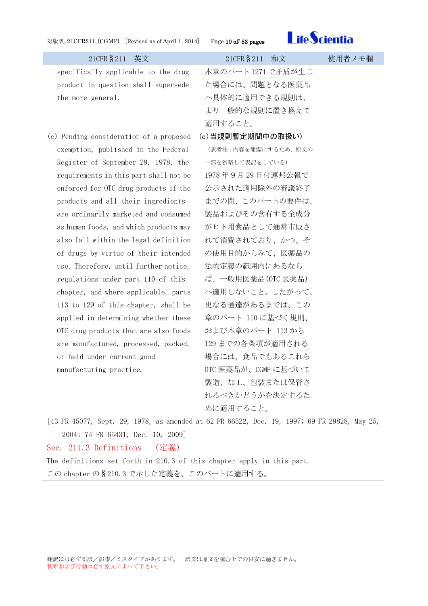<span id="page-9-0"></span>



| 21CFR § 211<br>英文                       | 21CFR § 211<br>和文                                        | 使用者メモ欄 |
|-----------------------------------------|----------------------------------------------------------|--------|
| specifically applicable to the drug     | 本章のパート1271で矛盾が生じ                                         |        |
| product in question shall supersede     | た場合には、問題となる医薬品                                           |        |
| the more general.                       | へ具体的に適用できる規則は、                                           |        |
|                                         | より一般的な規則に置き換えて                                           |        |
|                                         | 適用すること。                                                  |        |
| (c) Pending consideration of a proposed | (c) 当規則暫定期間中の取扱い)                                        |        |
| exemption, published in the Federal     | (訳者注 : 内容を簡潔にするため、原文の                                    |        |
| Register of September 29, 1978, the     | 一部を省略して表記をしている)                                          |        |
| requirements in this part shall not be  | 1978年9月29日付連邦公報で                                         |        |
| enforced for OTC drug products if the   | 公示された適用除外の審議終了                                           |        |
| products and all their ingredients      | までの間、このパートの要件は、                                          |        |
| are ordinarily marketed and consumed    | 製品およびその含有する全成分                                           |        |
| as human foods, and which products may  | がヒト用食品として通常市販さ                                           |        |
| also fall within the legal definition   | れて消費されており、かつ、そ                                           |        |
| of drugs by virtue of their intended    | の使用目的からみて、医薬品の                                           |        |
| use. Therefore, until further notice,   | 法的定義の範囲内にあるなら                                            |        |
| regulations under part 110 of this      | ば、一般用医薬品(OTC 医薬品)                                        |        |
| chapter, and where applicable, parts    | へ適用しないこと。したがって、                                          |        |
| 113 to 129 of this chapter, shall be    | 更なる通達があるまでは、この                                           |        |
| applied in determining whether these    | 章のパート 110に基づく規則、                                         |        |
| OTC drug products that are also foods   | および本章のパート 113から                                          |        |
| are manufactured, processed, packed,    | 129までの各条項が適用される                                          |        |
| or held under current good              | 場合には、食品でもあるこれら                                           |        |
| manufacturing practice.                 | OTC 医薬品が、CGMP に基づいて                                      |        |
|                                         | 製造、加工、包装または保管さ                                           |        |
|                                         | れるべきかどうかを決定するた                                           |        |
|                                         | めに適用すること。                                                |        |
| $\pm 49$ ED $\pm 677$<br>ററ<br>1070     | $1 - 1 = 0.0000$ $0.00000$ $0.00000$ $0.00000$ $0.00000$ |        |

[43 FR 45077, Sept. 29, 1978, as amended at 62 FR 66522, Dec. 19, 1997; 69 FR 29828, May 25, 2004; 74 FR 65431, Dec. 10, 2009]

<span id="page-9-1"></span>Sec. 211.3 Definitions (定義) The definitions set forth in 210.3 of this chapter apply in this part. この chapter の§210.3 で示した定義を、このパートに適用する。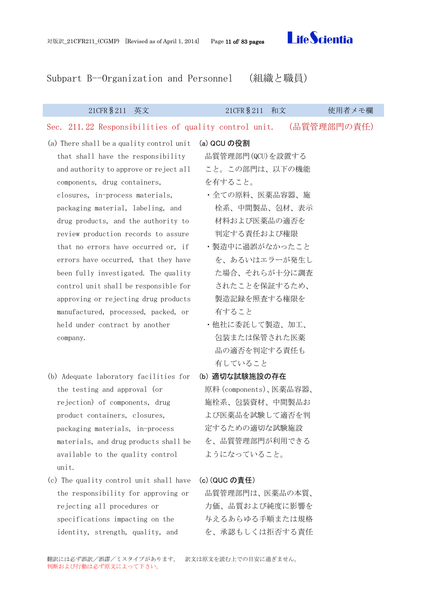<span id="page-10-2"></span>

<span id="page-10-0"></span>Subpart B--Organization and Personnel (組織と職員)

<span id="page-10-1"></span>

| (品質管理部門の責任)<br>Sec. 211.22 Responsibilities of quality control unit.<br>(a) There shall be a quality control unit<br>(a) QCU の役割<br>品質管理部門(QCU)を設置する<br>that shall have the responsibility<br>こと。この部門は、以下の機能<br>and authority to approve or reject all<br>を有すること。<br>components, drug containers,<br>・全ての原料、医薬品容器、施<br>closures, in-process materials,<br>栓系、中間製品、包材、表示<br>packaging material, labeling, and<br>材料および医薬品の適否を<br>drug products, and the authority to<br>判定する責任および権限<br>review production records to assure<br>・製造中に過誤がなかったこと<br>that no errors have occurred or, if<br>を、あるいはエラーが発生し<br>errors have occurred, that they have<br>た場合、それらが十分に調査<br>been fully investigated. The quality<br>されたことを保証するため、<br>control unit shall be responsible for<br>製造記録を照査する権限を<br>approving or rejecting drug products<br>有すること<br>manufactured, processed, packed, or<br>・他社に委託して製造、加工、<br>held under contract by another<br>包装または保管された医薬<br>company.<br>品の適否を判定する責任も<br>有していること<br>(b) 適切な試験施設の存在<br>(b) Adequate laboratory facilities for<br>原料 (components)、医薬品容器、<br>the testing and approval (or<br>施栓系、包装資材、中間製品お<br>rejection) of components, drug<br>よび医薬品を試験して適否を判<br>product containers, closures,<br>定するための適切な試験施設<br>packaging materials, in-process<br>を、品質管理部門が利用できる<br>materials, and drug products shall be<br>ようになっていること。<br>available to the quality control<br>unit.<br>(c) (QUC の責任)<br>(c) The quality control unit shall have | 21CFR § 211<br>英文                   | 21CFR § 211<br>和文 | 使用者メモ欄 |
|-------------------------------------------------------------------------------------------------------------------------------------------------------------------------------------------------------------------------------------------------------------------------------------------------------------------------------------------------------------------------------------------------------------------------------------------------------------------------------------------------------------------------------------------------------------------------------------------------------------------------------------------------------------------------------------------------------------------------------------------------------------------------------------------------------------------------------------------------------------------------------------------------------------------------------------------------------------------------------------------------------------------------------------------------------------------------------------------------------------------------------------------------------------------------------------------------------------------------------------------------------------------------------------------------------------------------------------------------------------------------------------------------------------------------------------------------------|-------------------------------------|-------------------|--------|
|                                                                                                                                                                                                                                                                                                                                                                                                                                                                                                                                                                                                                                                                                                                                                                                                                                                                                                                                                                                                                                                                                                                                                                                                                                                                                                                                                                                                                                                       |                                     |                   |        |
|                                                                                                                                                                                                                                                                                                                                                                                                                                                                                                                                                                                                                                                                                                                                                                                                                                                                                                                                                                                                                                                                                                                                                                                                                                                                                                                                                                                                                                                       |                                     |                   |        |
| 力価、品質および純度に影響を<br>rejecting all procedures or<br>与えるあらゆる手順または規格<br>specifications impacting on the                                                                                                                                                                                                                                                                                                                                                                                                                                                                                                                                                                                                                                                                                                                                                                                                                                                                                                                                                                                                                                                                                                                                                                                                                                                                                                                                                    | the responsibility for approving or | 品質管理部門は、医薬品の本質、   |        |

翻訳には必ず誤訳/誤謬/ミスタイプがあります。 訳文は原文を読む上での目安に過ぎません。 判断および行動は必ず原文によって下さい。

<span id="page-10-4"></span><span id="page-10-3"></span>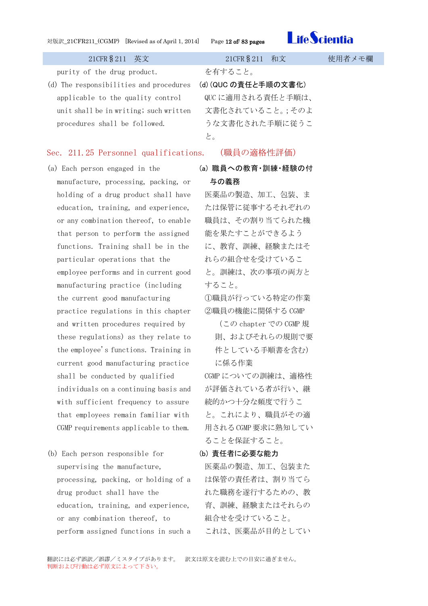

purity of the drug product. を有すること。

(d) The responsibilities and procedures applicable to the quality control unit shall be in writing; such written procedures shall be followed.

<span id="page-11-0"></span>(d) (QUC の責任と手順の文書化) QUC に適用される責任と手順は、 文書化されていること。;そのよ うな文書化された手順に従うこ と。

## <span id="page-11-1"></span>Sec. 211.25 Personnel qualifications. (職員の適格性評価)

- (a) Each person engaged in the manufacture, processing, packing, or holding of a drug product shall have education, training, and experience, or any combination thereof, to enable that person to perform the assigned functions. Training shall be in the particular operations that the employee performs and in current good manufacturing practice (including the current good manufacturing practice regulations in this chapter and written procedures required by these regulations) as they relate to the employee's functions. Training in current good manufacturing practice shall be conducted by qualified individuals on a continuing basis and with sufficient frequency to assure that employees remain familiar with CGMP requirements applicable to them.
- (b) Each person responsible for supervising the manufacture, processing, packing, or holding of a drug product shall have the education, training, and experience, or any combination thereof, to perform assigned functions in such a

<span id="page-11-2"></span>(a) 職員への教育・訓練・経験の付 与の義務

医薬品の製造、加工、包装、ま たは保管に従事するそれぞれの 職員は、その割り当てられた機 能を果たすことができるよう に、教育、訓練、経験またはそ れらの組合せを受けているこ と。訓練は、次の事項の両方と すること。

①職員が行っている特定の作業 ②職員の機能に関係する CGMP

(この chapter での CGMP 規 則、およびそれらの規則で要 件としている手順書を含む) に係る作業

CGMP についての訓練は、適格性 が評価されている者が行い、継 続的かつ十分な頻度で行うこ と。これにより、職員がその適 用される CGMP 要求に熟知してい ることを保証すること。

## <span id="page-11-3"></span>(b) 責任者に必要な能力

医薬品の製造、加工、包装また は保管の責任者は、割り当てら れた職務を遂行するための、教 育、訓練、経験またはそれらの 組合せを受けていること。 これは、医薬品が目的としてい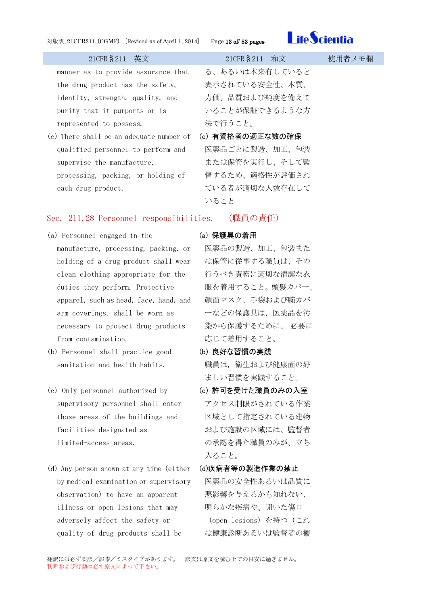

| 21CFR \$ 211 | 英文 |
|--------------|----|
|              |    |

manner as to provide assurance that the drug product has the safety, identity, strength, quality, and purity that it purports or is represented to possess.

(c) There shall be an adequate number of (c) 有資格者の適正な数の確保 qualified personnel to perform and supervise the manufacture, processing, packing, or holding of each drug product.

る、あるいは本来有していると 表示されている安全性、本質、 力価、品質および純度を備えて いることが保証できるような方 法で行うこと。

<span id="page-12-0"></span>医薬品ごとに製造、加工、包装 または保管を実行し、そして監 督するため、適格性が評価され ている者が適切な人数存在して いること

## <span id="page-12-1"></span>Sec. 211.28 Personnel responsibilities. (職員の責任)

- (a) Personnel engaged in the manufacture, processing, packing, or holding of a drug product shall wear clean clothing appropriate for the duties they perform. Protective apparel, such as head, face, hand, and arm coverings, shall be worn as necessary to protect drug products from contamination.
- (b) Personnel shall practice good sanitation and health habits.
- (c) Only personnel authorized by supervisory personnel shall enter those areas of the buildings and facilities designated as limited-access areas.
- (d) Any person shown at any time (either by medical examination or supervisory observation) to have an apparent illness or open lesions that may adversely affect the safety or quality of drug products shall be

## <span id="page-12-2"></span>(a) 保護具の着用

医薬品の製造、加工、包装また は保管に従事する職員は、その 行うべき責務に適切な清潔な衣 服を着用すること。頭髪カバー、 顔面マスク、手袋および腕カバ ーなどの保護具は,医薬品を汚 染から保護するために、 必要に 応じて着用すること。

<span id="page-12-3"></span>(b) 良好な習慣の実践

職員は,衛生および健康面の好 ましい習慣を実践すること。

- <span id="page-12-4"></span>(c) 許可を受けた職員のみの入室 アクセス制限がされている作業 区域として指定されている建物 および施設の区域には、監督者 の承認を得た職員のみが、立ち 入ること。
- <span id="page-12-5"></span>(d)疾病者等の製造作業の禁止 医薬品の安全性あるいは品質に 悪影響を与えるかも知れない、 明らかな疾病や、開いた傷口 (open lesions)を持つ(これ は健康診断あるいは監督者の観

21CFR § 211 和文 使用者メモ欄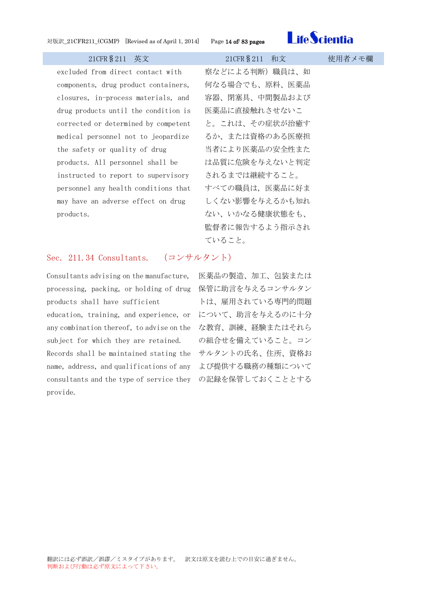

excluded from direct contact with components, drug product containers, closures, in-process materials, and drug products until the condition is corrected or determined by competent medical personnel not to jeopardize the safety or quality of drug products. All personnel shall be instructed to report to supervisory personnel any health conditions that may have an adverse effect on drug products.

察などによる判断)職員は、如 何なる場合でも、原料、医薬品 容器、閉塞具、中間製品および 医薬品に直接触れさせないこ と。これは、その症状が治癒す るか、または資格のある医療担 当者により医薬品の安全性また は品質に危険を与えないと判定 されるまでは継続すること。 すべての職員は,医薬品に好ま しくない影響を与えるかも知れ ない、いかなる健康状態をも、 監督者に報告するよう指示され ていること。

## <span id="page-13-0"></span>Sec. 211.34 Consultants. (コンサルタント)

Consultants advising on the manufacture, processing, packing, or holding of drug 保管に助言を与えるコンサルタン products shall have sufficient

education, training, and experience, or について、助言を与えるのに十分 any combination thereof, to advise on the な教育、訓練、経験またはそれら subject for which they are retained. Records shall be maintained stating the サルタントの氏名、住所、資格お name, address, and qualifications of any よび提供する職務の種類について consultants and the type of service they の記録を保管しておくこととするprovide.

医薬品の製造、加工、包装または トは、雇用されている専門的問題 の組合せを備えていること。コン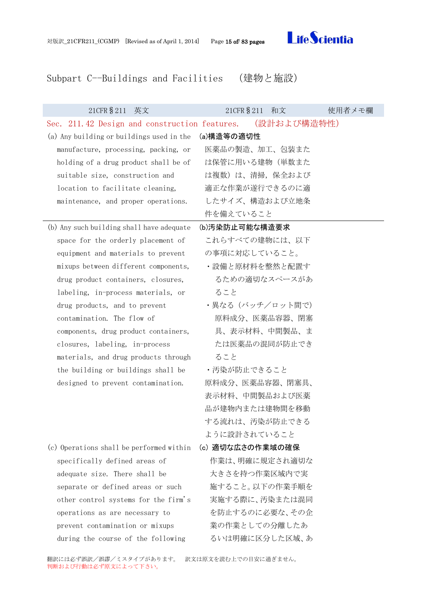<span id="page-14-2"></span>

## <span id="page-14-0"></span>Subpart C--Buildings and Facilities (建物と施設)

<span id="page-14-4"></span><span id="page-14-3"></span><span id="page-14-1"></span>

| 21CFR § 211 英文                                            | 21CFR § 211 和文   | 使用者メモ欄 |
|-----------------------------------------------------------|------------------|--------|
| Sec. 211.42 Design and construction features. (設計および構造特性) |                  |        |
| (a) Any building or buildings used in the                 | (a)構造等の適切性       |        |
| manufacture, processing, packing, or                      | 医薬品の製造、加工、包装また   |        |
| holding of a drug product shall be of                     | は保管に用いる建物(単数また   |        |
| suitable size, construction and                           | は複数)は、清掃、保全および   |        |
| location to facilitate cleaning,                          | 適正な作業が遂行できるのに適   |        |
| maintenance, and proper operations.                       | したサイズ、構造および立地条   |        |
|                                                           | 件を備えていること        |        |
| (b) Any such building shall have adequate                 | (b)汚染防止可能な構造要求   |        |
| space for the orderly placement of                        | これらすべての建物には、以下   |        |
| equipment and materials to prevent                        | の事項に対応していること。    |        |
| mixups between different components,                      | ・設備と原材料を整然と配置す   |        |
| drug product containers, closures,                        | るための適切なスペースがあ    |        |
| labeling, in-process materials, or                        | ること              |        |
| drug products, and to prevent                             | ・異なる(バッチ/ロット間で)  |        |
| contamination. The flow of                                | 原料成分、医薬品容器、閉塞    |        |
| components, drug product containers,                      | 具、表示材料、中間製品、ま    |        |
| closures, labeling, in-process                            | たは医薬品の混同が防止でき    |        |
| materials, and drug products through                      | ること              |        |
| the building or buildings shall be                        | ・汚染が防止できること      |        |
| designed to prevent contamination.                        | 原料成分、医薬品容器、閉塞具、  |        |
|                                                           | 表示材料、中間製品および医薬   |        |
|                                                           | 品が建物内または建物間を移動   |        |
|                                                           | する流れは、汚染が防止できる   |        |
|                                                           | ように設計されていること     |        |
| (c) Operations shall be performed within                  | (c) 適切な広さの作業域の確保 |        |
| specifically defined areas of                             | 作業は、明確に規定され適切な   |        |
| adequate size. There shall be                             | 大きさを持つ作業区域内で実    |        |
| separate or defined areas or such                         | 施すること。以下の作業手順を   |        |
| other control systems for the firm's                      | 実施する際に、汚染または混同   |        |
| operations as are necessary to                            | を防止するのに必要な、その企   |        |
| prevent contamination or mixups                           | 業の作業としての分離したあ    |        |
| during the course of the following                        | るいは明確に区分した区域、あ   |        |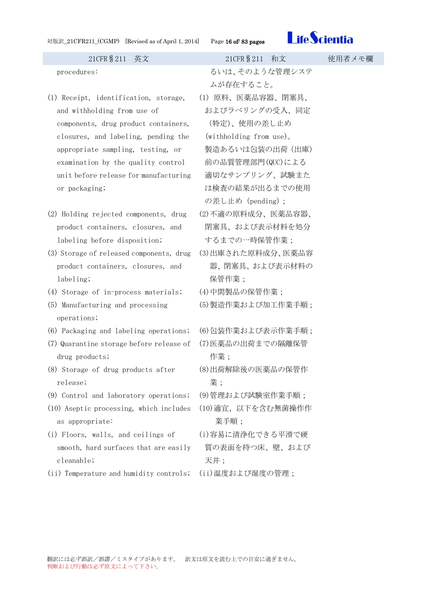| 対版訳_21CFR211_(CGMP) [Revised as of April 1, 2014] |  |
|---------------------------------------------------|--|
|---------------------------------------------------|--|

Page 16 of/ 83 pages



21CFR§211 英文 21CFR§211 和文 使用者メモ欄 procedures: カランスティック おいは、そのような管理システ ムが存在すること。 (1) Receipt, identification, storage, and withholding from use of components, drug product containers, closures, and labeling, pending the appropriate sampling, testing, or examination by the quality control unit before release for manufacturing or packaging; (1) 原料、医薬品容器、閉塞具、 およびラべリングの受入、同定 (特定)、使用の差し止め (withholding from use)。 製造あるいは包装の出荷(出庫) 前の品質管理部門(QUC)による 適切なサンプリング、試験また は検査の結果が出るまでの使用 の差し止め (pending); (2) Holding rejected components, drug product containers, closures, and labeling before disposition; (2)不適の原料成分、医薬品容器、 閉塞具、および表示材料を処分 するまでの一時保管作業; (3) Storage of released components, drug product containers, closures, and labeling; (3)出庫された原料成分、医薬品容 器、閉塞具、および表示材料の 保管作業; (4) Storage of in-process materials; (4)中間製品の保管作業; (5) Manufacturing and processing operations; (5)製造作業および加工作業手順; (6) Packaging and labeling operations; (6)包装作業および表示作業手順; (7) Quarantine storage before release of drug products; (7)医薬品の出荷までの隔離保管 作業; (8) Storage of drug products after release; (8)出荷解除後の医薬品の保管作 業; (9) Control and laboratory operations; (9)管理および試験室作業手順; (10) Aseptic processing, which includes as appropriate: (10)適宜、以下を含む無菌操作作 業手順; (i) Floors, walls, and ceilings of smooth, hard surfaces that are easily cleanable; (i)容易に清浄化できる平滑で硬 質の表面を持つ床、壁、および 天井; (ii) Temperature and humidity controls; (ii)温度および湿度の管理;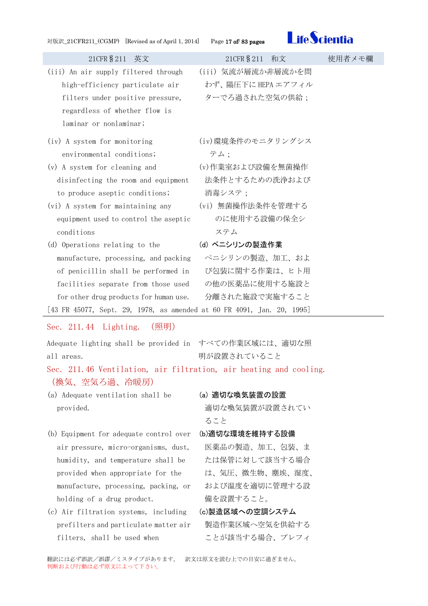<span id="page-16-0"></span>



| $101 \text{ m}^{-1}$ (both ) we note as 0.1 pm 1, 2017)                                                                                                                                                                                                                                                                                                                                                                                                                                                                                     |                                                                                                                                                                                                                |        |
|---------------------------------------------------------------------------------------------------------------------------------------------------------------------------------------------------------------------------------------------------------------------------------------------------------------------------------------------------------------------------------------------------------------------------------------------------------------------------------------------------------------------------------------------|----------------------------------------------------------------------------------------------------------------------------------------------------------------------------------------------------------------|--------|
| 21CFR § 211 英文                                                                                                                                                                                                                                                                                                                                                                                                                                                                                                                              | 21CFR § 211 和文                                                                                                                                                                                                 | 使用者メモ欄 |
| (iii) An air supply filtered through<br>high-efficiency particulate air<br>filters under positive pressure, ターでろ過された空気の供給;<br>regardless of whether flow is<br>laminar or nonlaminar;                                                                                                                                                                                                                                                                                                                                                       | (iii) 気流が層流か非層流かを問<br>わず、陽圧下に HEPA エアフィル                                                                                                                                                                       |        |
| (iv) A system for monitoring<br>environmental conditions;<br>(v) A system for cleaning and<br>disinfecting the room and equipment<br>to produce aseptic conditions;<br>(vi) A system for maintaining any<br>equipment used to control the aseptic<br>conditions<br>(d) Operations relating to the<br>manufacture, processing, and packing<br>of penicillin shall be performed in<br>facilities separate from those used<br>for other drug products for human use.<br>[43 FR 45077, Sept. 29, 1978, as amended at 60 FR 4091, Jan. 20, 1995] | (iv)環境条件のモニタリングシス<br>テム;<br>(v)作業室および設備を無菌操作<br>法条件とするための洗浄および<br>消毒システ;<br>(vi) 無菌操作法条件を管理する<br>のに使用する設備の保全シ<br>ステム<br>(d) ペニシリンの製造作業<br>ペニシリンの製造、加工、およ<br>び包装に関する作業は、ヒト用<br>の他の医薬品に使用する施設と<br>分離された施設で実施すること |        |
| Sec. 211.44 Lighting.<br>(照明)                                                                                                                                                                                                                                                                                                                                                                                                                                                                                                               |                                                                                                                                                                                                                |        |
| Adequate lighting shall be provided in すべての作業区域には、適切な照<br>all areas.<br>Sec. 211.46 Ventilation, air filtration, air heating and cooling.<br>(換気、空気ろ過、冷暖房)                                                                                                                                                                                                                                                                                                                                                                                  | 明が設置されていること                                                                                                                                                                                                    |        |
| (a) Adequate ventilation shall be<br>provided.                                                                                                                                                                                                                                                                                                                                                                                                                                                                                              | (a) 適切な喚気装置の設置<br>適切な喚気装置が設置されてい<br>ること                                                                                                                                                                        |        |
| (b) Equipment for adequate control over<br>air pressure, micro-organisms, dust,<br>humidity, and temperature shall be<br>provided when appropriate for the<br>manufacture, processing, packing, or                                                                                                                                                                                                                                                                                                                                          | (b)適切な環境を維持する設備<br>医薬品の製造、加工、包装、ま<br>たは保管に対して該当する場合<br>は、気圧、微生物、塵埃、湿度、<br>および温度を適切に管理する設                                                                                                                       |        |

(c) Air filtration systems, including (c)製造区域への空調システム prefilters and particulate matter air filters, shall be used when

<span id="page-16-2"></span><span id="page-16-1"></span>holding of a drug product.

# <span id="page-16-5"></span>製造作業区域へ空気を供給する ことが該当する場合、プレフィ

翻訳には必ず誤訳/誤謬/ミスタイプがあります。 訳文は原文を読む上での目安に過ぎません。 判断および行動は必ず原文によって下さい。

<span id="page-16-4"></span><span id="page-16-3"></span>備を設置すること。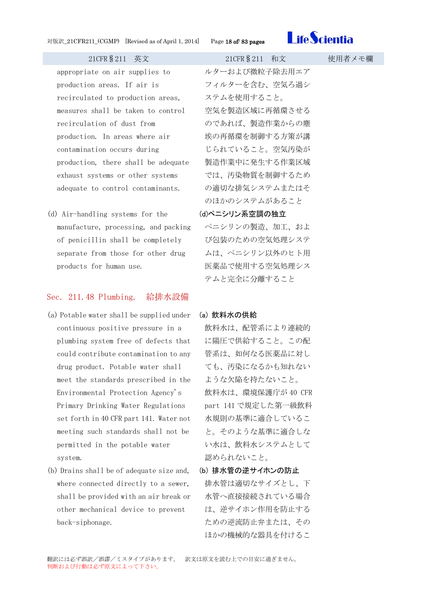

appropriate on air supplies to production areas. If air is recirculated to production areas, measures shall be taken to control recirculation of dust from production. In areas where air contamination occurs during production, there shall be adequate exhaust systems or other systems adequate to control contaminants.

(d) Air-handling systems for the manufacture, processing, and packing of penicillin shall be completely separate from those for other drug products for human use.

## <span id="page-17-1"></span>Sec. 211.48 Plumbing. 給排水設備

- (a) Potable water shall be supplied under continuous positive pressure in a plumbing system free of defects that could contribute contamination to any drug product. Potable water shall meet the standards prescribed in the Environmental Protection Agency's Primary Drinking Water Regulations set forth in 40 CFR part 141. Water not meeting such standards shall not be permitted in the potable water system.
- (b) Drains shall be of adequate size and, where connected directly to a sewer, shall be provided with an air break or other mechanical device to prevent back-siphonage.

ルターおよび微粒子除去用エア フィルターを含む、空気ろ過シ ステムを使用すること。 空気を製造区域に再循環させる のであれば、製造作業からの塵 埃の再循環を制御する方策が講 じられていること。空気汚染が 製造作業中に発生する作業区域 では、汚染物質を制御するため の適切な排気システムまたはそ のほかのシステムがあること

## <span id="page-17-0"></span>(d)ペニシリン系空調の独立

ペニシリンの製造、加工、およ び包装のための空気処理システ ムは、ペニシリン以外のヒト用 医薬品で使用する空気処理シス テムと完全に分離すること

### <span id="page-17-2"></span>(a) 飲料水の供給

- 飲料水は、配管系により連続的 に陽圧で供給すること。この配 管系は、如何なる医薬品に対し ても、汚染になるかも知れない ような欠陥を持たないこと。 飲料水は、環境保護庁が 40 CFR part 141 で規定した第一級飲料 水規則の基準に適合しているこ と。そのような基準に適合しな い水は、飲料水システムとして 認められないこと。
- <span id="page-17-3"></span>(b) 排水管の逆サイホンの防止 排水管は適切なサイズとし、下 水管へ直接接続されている場合 は、逆サイホン作用を防止する ための逆流防止弁または、その ほかの機械的な器具を付けるこ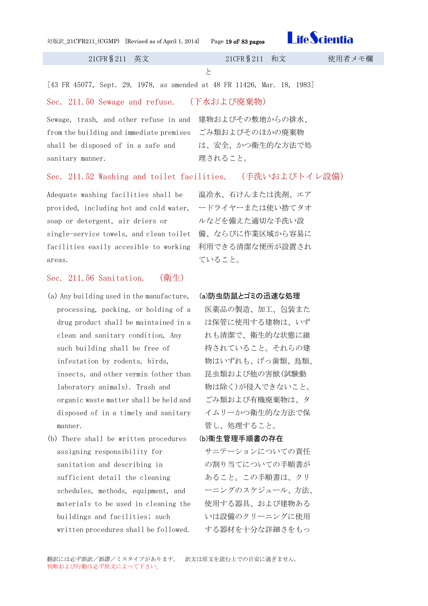[43 FR 45077, Sept. 29, 1978, as amended at 48 FR 11426, Mar. 18, 1983]

と

## <span id="page-18-0"></span>Sec. 211.50 Sewage and refuse. (下水および廃棄物)

Sewage, trash, and other refuse in and 建物およびその敷地からの排水、 from the building and immediate premises shall be disposed of in a safe and sanitary manner.

# <span id="page-18-1"></span>Sec. 211.52 Washing and toilet facilities. (手洗いおよびトイレ設備)

Adequate washing facilities shall be provided, including hot and cold water, soap or detergent, air driers or single-service towels, and clean toilet 備、ならびに作業区域から容易に facilities easily accesible to working 利用できる清潔な便所が設置され areas.

## <span id="page-18-2"></span>Sec. 211.56 Sanitation. (衛生)

- (a) Any building used in the manufacture, processing, packing, or holding of a drug product shall be maintained in a clean and sanitary condition, Any such building shall be free of infestation by rodents, birds, insects, and other vermin (other than laboratory animals). Trash and organic waste matter shall be held and disposed of in a timely and sanitary manner.
- (b) There shall be written procedures assigning responsibility for sanitation and describing in sufficient detail the cleaning schedules, methods, equipment, and materials to be used in cleaning the buildings and facilities; such written procedures shall be followed.

温冷水、石けんまたは洗剤、エア ードライヤーまたは使い捨てタオ ルなどを備えた適切な手洗い設 ていること。

## <span id="page-18-3"></span>(a)防虫防鼠とゴミの迅速な処理

医薬品の製造、加工、包装また は保管に使用する建物は、いず れも清潔で、衛生的な状態に維 持されていること。それらの建 物はいずれも、げっ歯類、鳥類、 昆虫類および他の害獣(試験動 物は除く)が侵入できないこと。 ごみ類および有機廃棄物は、タ イムリーかつ衛生的な方法で保 管し、処理すること。

## <span id="page-18-4"></span>(b)衛生管理手順書の存在

サニテーションについての責任 の割り当てについての手順書が あること。この手順書は、クリ ーニングのスケジュール、方法、 使用する器具、および建物ある いは設備のクリーニングに使用 する器材を十分な詳細さをもっ

ごみ類およびそのほかの廃棄物 は、安全、かつ衛生的な方法で処

理されること。

21CFR§211 英文 21CFR§211 和文 使用者メモ欄

**Life Scientia**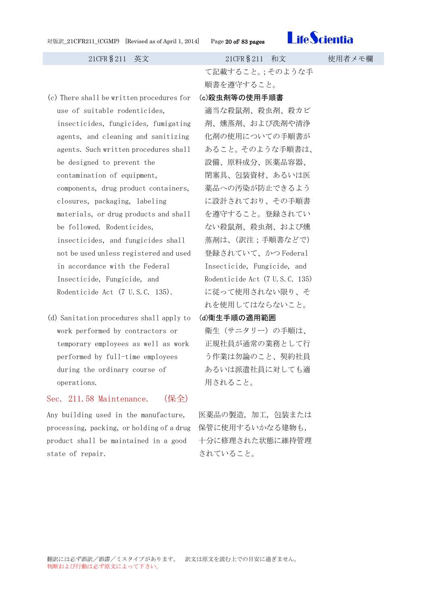

- (c) There shall be written procedures for use of suitable rodenticides, insecticides, fungicides, fumigating agents, and cleaning and sanitizing agents. Such written procedures shall be designed to prevent the contamination of equipment, components, drug product containers, closures, packaging, labeling materials, or drug products and shall be followed. Rodenticides, insecticides, and fungicides shall not be used unless registered and used in accordance with the Federal Insecticide, Fungicide, and Rodenticide Act (7 U.S.C. 135).
- (d) Sanitation procedures shall apply to work performed by contractors or temporary employees as well as work performed by full-time employees during the ordinary course of operations.

## <span id="page-19-2"></span>Sec. 211.58 Maintenance. (保全)

Any building used in the manufacture, processing, packing, or holding of a drug 保管に使用するいかなる建物も, product shall be maintained in a good state of repair.

て記載すること。;そのような手 順書を遵守すること。

<span id="page-19-0"></span>(c)殺虫剤等の使用手順書

適当な殺鼠剤、殺虫剤、殺カビ 剤、燻蒸剤、および洗剤や清浄 化剤の使用についての手順書が あること。そのような手順書は、 設備、原料成分、医薬品容器、 閉塞具、包装資材、あるいは医 薬品への汚染が防止できるよう に設計されており、その手順書 を遵守すること。登録されてい ない殺鼠剤、殺虫剤、および燻 蒸剤は、(訳注;手順書などで) 登録されていて、かつ Federal Insecticide, Fungicide, and Rodenticide Act (7 U.S.C. 135) に従って使用されない限り、そ れを使用してはならないこと。

### <span id="page-19-1"></span>(d)衛生手順の適用範囲

衛生(サニタリー)の手順は、 正規社員が通常の業務として行 う作業は勿論のこと、契約社員 あるいは派遣社員に対しても適 用されること。

医薬品の製造,加工,包装または 十分に修理された状態に維持管理 されていること。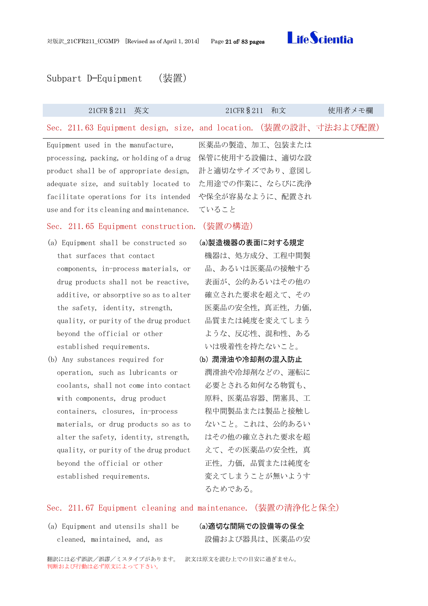<span id="page-20-3"></span>



## <span id="page-20-0"></span>Subpart D—Equipment (装置)

<span id="page-20-2"></span><span id="page-20-1"></span>

| 21CFR § 211<br>英文                                                 | 21CFR § 211<br>和文 | 使用者メモ欄 |
|-------------------------------------------------------------------|-------------------|--------|
| Sec. 211.63 Equipment design, size, and location. (装置の設計、寸法および配置) |                   |        |
| Equipment used in the manufacture,                                | 医薬品の製造、加工、包装または   |        |
| processing, packing, or holding of a drug                         | 保管に使用する設備は、適切な設   |        |
| product shall be of appropriate design,                           | 計と適切なサイズであり、意図し   |        |
| adequate size, and suitably located to                            | た用途での作業に、ならびに洗浄   |        |
| facilitate operations for its intended                            | や保全が容易なように、配置され   |        |
| use and for its cleaning and maintenance.                         | ていること             |        |
| Sec. 211.65 Equipment construction.                               | (装置の構造)           |        |
| (a) Equipment shall be constructed so                             | (a)製造機器の表面に対する規定  |        |
| that surfaces that contact                                        | 機器は、処方成分、工程中間製    |        |
| components, in-process materials, or                              | 品、あるいは医薬品の接触する    |        |
| drug products shall not be reactive,                              | 表面が、公的あるいはその他の    |        |
| additive, or absorptive so as to alter                            | 確立された要求を超えて、その    |        |
| the safety, identity, strength,                                   | 医薬品の安全性, 真正性, 力価, |        |
| quality, or purity of the drug product                            | 品質または純度を変えてしまう    |        |
| beyond the official or other                                      | ような、反応性、混和性、ある    |        |
| established requirements.                                         | いは吸着性を持たないこと。     |        |
| (b) Any substances required for                                   | (b) 潤滑油や冷却剤の混入防止  |        |
| operation, such as lubricants or                                  | 潤滑油や冷却剤などの、運転に    |        |
| coolants, shall not come into contact                             | 必要とされる如何なる物質も、    |        |
| with components, drug product                                     | 原料、医薬品容器、閉塞具、工    |        |
| containers, closures, in-process                                  | 程中間製品または製品と接触し    |        |
| materials, or drug products so as to                              | ないこと。これは、公的あるい    |        |
| alter the safety, identity, strength,                             | はその他の確立された要求を超    |        |
| quality, or purity of the drug product                            | えて、その医薬品の安全性、真    |        |
| beyond the official or other                                      | 正性、力価、品質または純度を    |        |
| established requirements.                                         | 変えてしまうことが無いようす    |        |
|                                                                   | るためである。           |        |
|                                                                   |                   |        |

## <span id="page-20-5"></span>Sec. 211.67 Equipment cleaning and maintenance.(装置の清浄化と保全)

(a) Equipment and utensils shall be (a)適切な間隔での設備等の保全 cleaned, maintained, and, as

<span id="page-20-6"></span><span id="page-20-4"></span>

設備および器具は、医薬品の安

翻訳には必ず誤訳/誤謬/ミスタイプがあります。 訳文は原文を読む上での目安に過ぎません。 判断および行動は必ず原文によって下さい。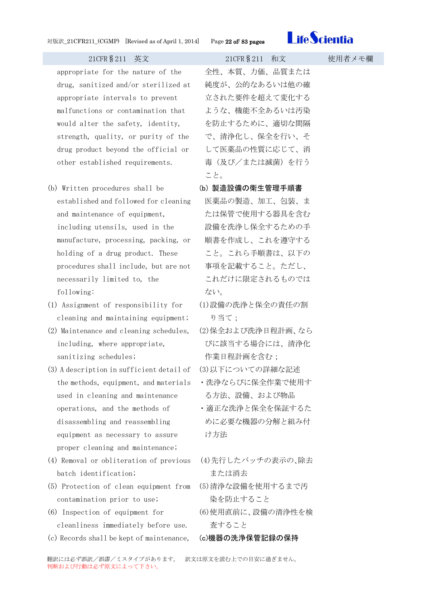

appropriate for the nature of the drug, sanitized and/or sterilized at appropriate intervals to prevent malfunctions or contamination that would alter the safety, identity, strength, quality, or purity of the drug product beyond the official or other established requirements.

- (b) Written procedures shall be established and followed for cleaning and maintenance of equipment, including utensils, used in the manufacture, processing, packing, or holding of a drug product. These procedures shall include, but are not necessarily limited to, the following:
- (1) Assignment of responsibility for cleaning and maintaining equipment;
- (2) Maintenance and cleaning schedules, including, where appropriate, sanitizing schedules;
- (3) A description in sufficient detail of the methods, equipment, and materials used in cleaning and maintenance operations, and the methods of disassembling and reassembling equipment as necessary to assure proper cleaning and maintenance;
- (4) Removal or obliteration of previous batch identification;
- (5) Protection of clean equipment from contamination prior to use;
- (6) Inspection of equipment for cleanliness immediately before use.
- (c) Records shall be kept of maintenance, (c)機器の洗浄保管記録の保持

全性、本質、力価、品質または 純度が、公的なあるいは他の確 立された要件を超えて変化する ような、機能不全あるいは汚染 を防止するために、適切な間隔 で、清浄化し、保全を行い、そ して医薬品の性質に応じて、消 毒(及び/または滅菌)を行う こと。

- <span id="page-21-0"></span>(b) 製造設備の衛生管理手順書
- 医薬品の製造、加工、包装、ま たは保管で使用する器具を含む 設備を洗浄し保全するための手 順書を作成し、これを遵守する こと。これら手順書は、以下の 事項を記載すること。ただし、 これだけに限定されるものでは ない。
- (1)設備の洗浄と保全の責任の割 り当て;
- (2)保全および洗浄日程計画、なら びに該当する場合には、清浄化 作業日程計画を含む;
- (3)以下についての詳細な記述
- ・洗浄ならびに保全作業で使用す る方法、設備、および物品
- ・適正な洗浄と保全を保証するた めに必要な機器の分解と組み付 け方法
- (4)先行したバッチの表示の、除去 または消去
- (5)清浄な設備を使用するまで汚 染を防止すること
- (6)使用直前に、設備の清浄性を検 査すること
- <span id="page-21-1"></span>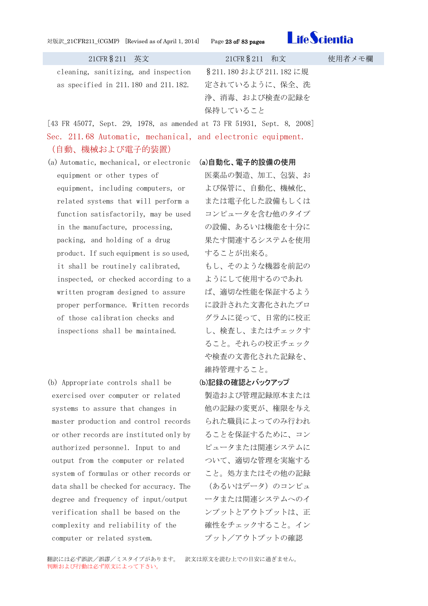### 対版訳\_21CFR211\_(CGMP) [Revised as of April 1, 2014] Page 23 of/ 83 pages



| 21CFR § 211 英文                                                          | 21CFR § 211 和文           | 使用者メモ欄 |
|-------------------------------------------------------------------------|--------------------------|--------|
| cleaning, sanitizing, and inspection                                    | § 211.180 および 211.182 に規 |        |
| as specified in 211.180 and 211.182.                                    | 定されているように、保全、洗           |        |
|                                                                         | 浄、消毒、および検査の記録を           |        |
|                                                                         | 保持していること                 |        |
| [43 FR 45077, Sept. 29, 1978, as amended at 73 FR 51931, Sept. 8, 2008] |                          |        |

<span id="page-22-0"></span>Sec. 211.68 Automatic, mechanical, and electronic equipment. (自動、機械および電子的装置)

- (a) Automatic, mechanical, or electronic (a)自動化、電子的設備の使用 equipment or other types of equipment, including computers, or related systems that will perform a function satisfactorily, may be used in the manufacture, processing, packing, and holding of a drug product. If such equipment is so used, it shall be routinely calibrated, inspected, or checked according to a written program designed to assure proper performance. Written records of those calibration checks and inspections shall be maintained.
- (b) Appropriate controls shall be exercised over computer or related systems to assure that changes in master production and control records or other records are instituted only by authorized personnel. Input to and output from the computer or related system of formulas or other records or data shall be checked for accuracy. The degree and frequency of input/output verification shall be based on the complexity and reliability of the computer or related system.

<span id="page-22-1"></span>医薬品の製造、加工、包装、お よび保管に、自動化、機械化、 または電子化した設備もしくは コンピュータを含む他のタイプ の設備、あるいは機能を十分に 果たす関連するシステムを使用 することが出来る。

もし、そのような機器を前記の ようにして使用するのであれ ば、適切な性能を保証するよう に設計された文書化されたプロ グラムに従って、日常的に校正 し、検査し、またはチェックす ること。それらの校正チェック や検査の文書化された記録を、 維持管理すること。

## <span id="page-22-2"></span>(b)記録の確認とバックアップ

製造および管理記録原本または 他の記録の変更が、権限を与え られた職員によってのみ行われ ることを保証するために、コン ピュータまたは関連システムに ついて、適切な管理を実施する こと。処方またはその他の記録 (あるいはデータ)のコンピュ ータまたは関連システムへのイ ンプットとアウトプットは、正 確性をチェックすること。イン プット/アウトプットの確認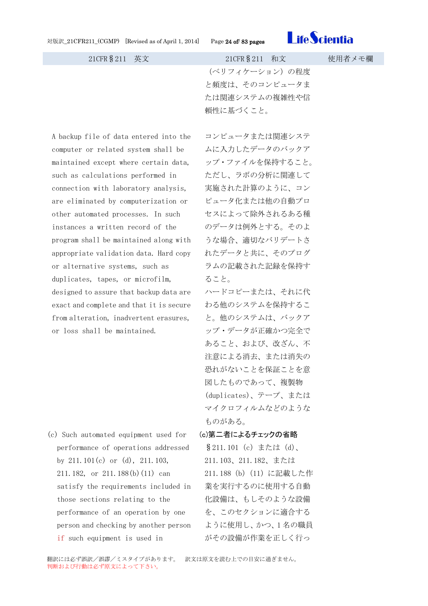

(ベリフィケーション)の程度 と頻度は、そのコンピュータま たは関連システムの複雑性や信 頼性に基づくこと。

A backup file of data entered into the computer or related system shall be maintained except where certain data, such as calculations performed in connection with laboratory analysis, are eliminated by computerization or other automated processes. In such instances a written record of the program shall be maintained along with appropriate validation data. Hard copy or alternative systems, such as duplicates, tapes, or microfilm, designed to assure that backup data are exact and complete and that it is secure from alteration, inadvertent erasures, or loss shall be maintained.

(c) Such automated equipment used for performance of operations addressed by 211.101(c) or (d), 211.103, 211.182, or 211.188(b)(11) can satisfy the requirements included in those sections relating to the performance of an operation by one person and checking by another person if such equipment is used in

コンピュータまたは関連システ ムに入力したデータのバックア ップ・ファイルを保持すること。 ただし、ラボの分析に関連して 実施された計算のように、コン ピュータ化または他の自動プロ セスによって除外されるある種 のデータは例外とする。そのよ うな場合、適切なバリデートさ れたデータと共に、そのプログ ラムの記載された記録を保持す ること。

ハードコピーまたは、それに代 わる他のシステムを保持するこ と。他のシステムは、バックア ップ・データが正確かつ完全で あること、および、改ざん、不 注意による消去、または消失の 恐れがないことを保証ことを意 図したものであって、複製物 (duplicates)、テープ、または マイクロフィルムなどのような ものがある。

<span id="page-23-0"></span>(c)第二者によるチェックの省略 §211.101 (c) または (d)、 211.103、211.182、または 211.188 (b) (11) に記載した作 業を実行するのに使用する自動 化設備は、もしそのような設備 を、このセクションに適合する ように使用し、かつ、1 名の職員 がその設備が作業を正しく行っ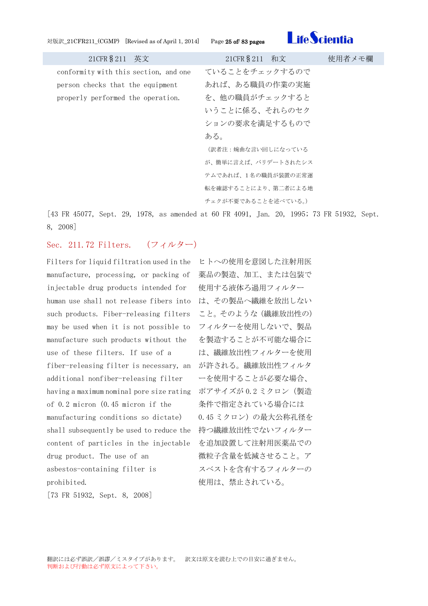対版訳\_21CFR211\_(CGMP) [Revised as of April 1, 2014] Page 25 of/ 83 pages



| 21CFR § 211 英文                        | 21CFR § 211 和文      | 使用者メモ欄 |
|---------------------------------------|---------------------|--------|
| conformity with this section, and one | ていることをチェックするので      |        |
| person checks that the equipment      | あれば、ある職員の作業の実施      |        |
| properly performed the operation.     | を、他の職員がチェックすると      |        |
|                                       | いうことに係る、それらのセク      |        |
|                                       | ションの要求を満足するもので      |        |
|                                       | ある。                 |        |
|                                       | (訳者注:婉曲な言い回しになっている  |        |
|                                       | が、簡単に言えば、バリデートされたシス |        |
|                                       | テムであれば、1名の職員が装置の正常運 |        |
|                                       | 転を確認することにより、第二者による地 |        |
|                                       | チェクが不要であることを述べている。) |        |

[43 FR 45077, Sept. 29, 1978, as amended at 60 FR 4091, Jan. 20, 1995; 73 FR 51932, Sept. 8, 2008]

## <span id="page-24-0"></span>Sec. 211.72 Filters. (フィルター)

Filters for liquid filtration used in the ヒトへの使用を意図した注射用医 manufacture, processing, or packing of 薬品の製造、加工、または包装で injectable drug products intended for human use shall not release fibers into は、その製品へ繊維を放出しない such products. Fiber-releasing filters こと。そのような(繊維放出性の) may be used when it is not possible to フィルターを使用しないで、製品 manufacture such products without the use of these filters. If use of a fiber-releasing filter is necessary, an additional nonfiber-releasing filter having a maximum nominal pore size rating ポアサイズが 0.2 ミクロン(製造 of 0.2 micron (0.45 micron if the manufacturing conditions so dictate) shall subsequently be used to reduce the 持つ繊維放出性でないフィルター content of particles in the injectable drug product. The use of an asbestos-containing filter is prohibited.

[73 FR 51932, Sept. 8, 2008]

使用する液体ろ過用フィルター を製造することが不可能な場合に は、繊維放出性フィルターを使用 が許される。繊維放出性フィルタ ーを使用することが必要な場合、 条件で指定されている場合には 0.45 ミクロン)の最大公称孔径を を追加設置して注射用医薬品での 微粒子含量を低減させること。ア スベストを含有するフィルターの 使用は、禁止されている。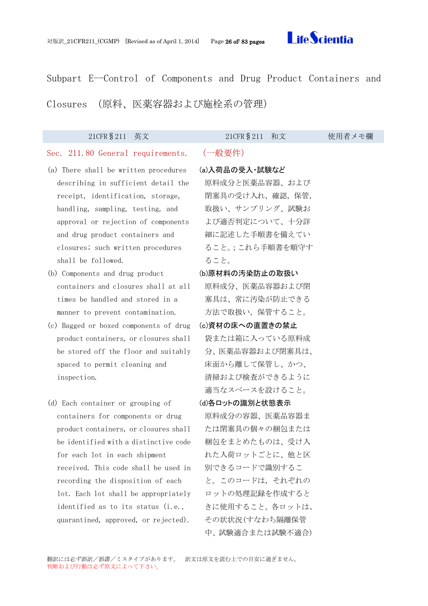<span id="page-25-2"></span>

<span id="page-25-0"></span>Subpart E--Control of Components and Drug Product Containers and Closures (原料、医薬容器および施栓系の管理)

<span id="page-25-5"></span><span id="page-25-4"></span><span id="page-25-3"></span><span id="page-25-1"></span>

| 21CFR § 211<br>英文                                                                                                                                                                                                                                                                                                                                                                                                                                                                                                                | 21CFR § 211<br>和文                                                                                                                                                                                                                                  | 使用者メモ欄 |
|----------------------------------------------------------------------------------------------------------------------------------------------------------------------------------------------------------------------------------------------------------------------------------------------------------------------------------------------------------------------------------------------------------------------------------------------------------------------------------------------------------------------------------|----------------------------------------------------------------------------------------------------------------------------------------------------------------------------------------------------------------------------------------------------|--------|
| Sec. 211.80 General requirements.                                                                                                                                                                                                                                                                                                                                                                                                                                                                                                | (一般要件)                                                                                                                                                                                                                                             |        |
| (a) There shall be written procedures<br>describing in sufficient detail the<br>receipt, identification, storage,<br>handling, sampling, testing, and<br>approval or rejection of components<br>and drug product containers and<br>closures; such written procedures<br>shall be followed.<br>(b) Components and drug product<br>containers and closures shall at all<br>times be handled and stored in a<br>manner to prevent contamination.<br>(c) Bagged or boxed components of drug<br>product containers, or closures shall | (a)入荷品の受入·試験など<br>原料成分と医薬品容器、および<br>閉塞具の受け入れ、確認、保管,<br>取扱い、サンプリング、試験お<br>よび適否判定について、十分詳<br>細に記述した手順書を備えてい<br>ること。;これら手順書を順守す<br>ること。<br>(b)原材料の汚染防止の取扱い<br>原料成分、医薬品容器および閉<br>塞具は、常に汚染が防止できる<br>方法で取扱い、保管すること。<br>(c)資材の床への直置きの禁止<br>袋または箱に入っている原料成 |        |
| be stored off the floor and suitably<br>spaced to permit cleaning and<br>inspection.                                                                                                                                                                                                                                                                                                                                                                                                                                             | 分、医薬品容器および閉塞具は、<br>床面から離して保管し、かつ、<br>清掃および検査ができるように<br>適当なスベースを設けること。                                                                                                                                                                              |        |
| (d) Each container or grouping of<br>containers for components or drug<br>product containers, or closures shall<br>be identified with a distinctive code<br>for each lot in each shipment<br>received. This code shall be used in<br>recording the disposition of each<br>lot. Each lot shall be appropriately<br>identified as to its status (i.e.,<br>quarantined, approved, or rejected).                                                                                                                                     | (d)各ロットの識別と状態表示<br>原料成分の容器、医薬品容器ま<br>たは閉塞具の個々の梱包または<br>梱包をまとめたものは、受け入<br>れた入荷ロットごとに、他と区<br>別できるコードで識別するこ<br>と。このコードは、それぞれの<br>ロットの処理記録を作成すると<br>きに使用すること。各ロットは、<br>その状状況(すなわち隔離保管<br>中、試験適合または試験不適合)                                               |        |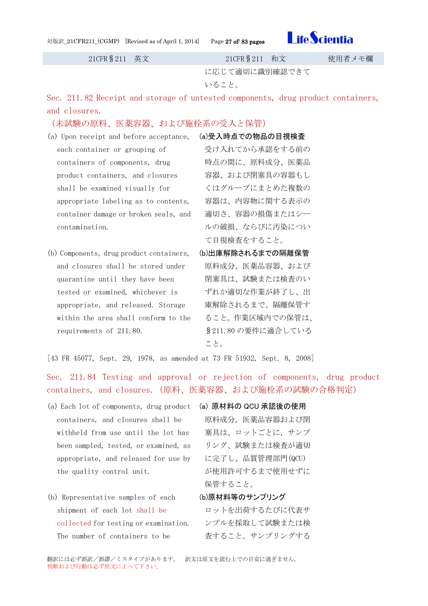| 対版訳_21CFR211_(CGMP) [Revised as of April 1, 2014] |  |  |  |  |
|---------------------------------------------------|--|--|--|--|
|---------------------------------------------------|--|--|--|--|

age 27 of/ 83 pages



21CFR§211 英文 21CFR§211 和文 使用者メモ欄

に応じて適切に識別確認できて

いること。

<span id="page-26-0"></span>Sec. 211.82 Receipt and storage of untested components, drug product containers, and closures.

## (未試験の原料、医薬容器、および施栓系の受入と保管)

- (a) Upon receipt and before acceptance, each container or grouping of containers of components, drug product containers, and closures shall be examined visually for appropriate labeling as to contents, container damage or broken seals, and contamination. (a)受入時点での物品の目視検査
- (b) Components, drug product containers, and closures shall be stored under quarantine until they have been tested or examined, whichever is appropriate, and released. Storage within the area shall conform to the requirements of 211.80.
- <span id="page-26-1"></span>受け入れてから承認をする前の 時点の間に、原料成分、医薬品 容器、および閉塞具の容器もし くはグループにまとめた複数の 容器は、内容物に関する表示の 適切さ、容器の損傷またはシー ルの破損、ならびに汚染につい て目視検査をすること。
- <span id="page-26-2"></span>(b)出庫解除されるまでの隔離保管 原料成分、医薬品容器、および 閉塞具は、試験または検査のい ずれか適切な作業が終了し、出 庫解除されるまで、隔離保管す ること。作業区域内での保管は、 §211.80 の要件に適合している こと。

[43 FR 45077, Sept. 29, 1978, as amended at 73 FR 51932, Sept. 8, 2008]

<span id="page-26-3"></span>Sec. 211.84 Testing and approval or rejection of components, drug product containers, and closures.(原料、医薬容器、および施栓系の試験の合格判定)

- (a) Each lot of components, drug product (a) 原材料の QCU 承認後の使用 containers, and closures shall be withheld from use until the lot has been sampled, tested, or examined, as appropriate, and released for use by the quality control unit.
- (b) Representative samples of each shipment of each lot shall be collected for testing or examination. The number of containers to be

<span id="page-26-4"></span>原料成分,医薬品容器および閉 塞具は、ロットごとに,サンプ リング、試験または検査が適切 に完了し、品質管理部門(QCU) が使用許可するまで使用せずに 保管すること。

<span id="page-26-5"></span>(b)原材料等のサンプリング

ロットを出荷するたびに代表サ ンプルを採取して試験または検 査すること。サンプリングする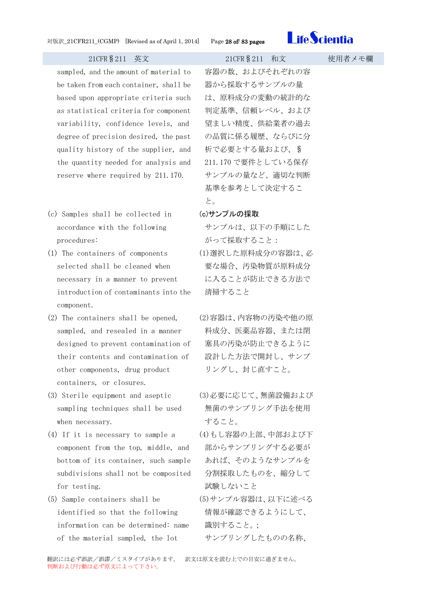

sampled, and the amount of material to be taken from each container, shall be based upon appropriate criteria such as statistical criteria for component variability, confidence levels, and degree of precision desired, the past quality history of the supplier, and the quantity needed for analysis and reserve where required by 211.170.

- (c) Samples shall be collected in accordance with the following procedures:
- (1) The containers of components selected shall be cleaned when necessary in a manner to prevent introduction of contaminants into the component.
- (2) The containers shall be opened, sampled, and resealed in a manner designed to prevent contamination of their contents and contamination of other components, drug product containers, or closures.
- (3) Sterile equipment and aseptic sampling techniques shall be used when necessary.
- (4) If it is necessary to sample a component from the top, middle, and bottom of its container, such sample subdivisions shall not be composited for testing.
- (5) Sample containers shall be identified so that the following information can be determined: name of the material sampled, the lot

容器の数、およびそれぞれの容 器から採取するサンプルの量 は、原料成分の変動の統計的な 判定基準、信頼レベル、および 望ましい精度、供給業者の過去 の品質に係る履歴、ならびに分 析で必要とする量および、§ 211.170 で要件としている保存 サンプルの量など、適切な判断 基準を参考として決定するこ と。

## <span id="page-27-0"></span>(c)サンプルの採取

- サンプルは、以下の手順にした がって採取すること:
- (1)選択した原料成分の容器は、必 要な場合、汚染物質が原料成分 に入ることが防止できる方法で 清掃すること
- (2)容器は、内容物の汚染や他の原 料成分、医薬品容器、または閉 塞具の汚染が防止できるように 設計した方法で開封し、サンプ リングし、封じ直すこと。
- (3)必要に応じて、無菌設備および 無菌のサンプリング手法を使用 すること。
- (4)もし容器の上部、中部および下 部からサンプリングする必要が あれば、そのようなサンプルを 分割採取したものを、縮分して 試験しないこと
- (5)サンプル容器は、以下に述べる 情報が確認できるようにして、 識別すること。;
	- サンプリングしたものの名称、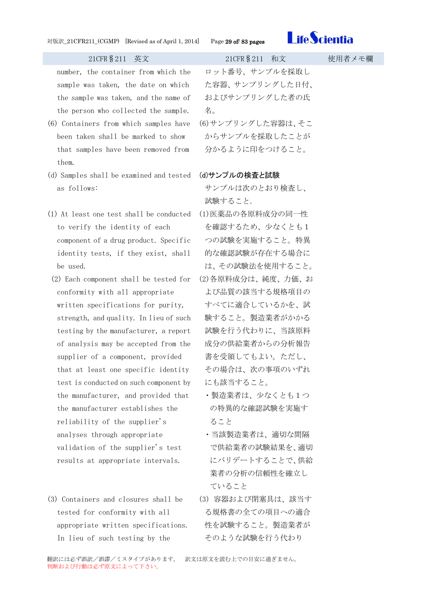

number, the container from which the sample was taken, the date on which the sample was taken, and the name of the person who collected the sample.

- (6) Containers from which samples have been taken shall be marked to show that samples have been removed from them.
- (d) Samples shall be examined and tested as follows:
- (1) At least one test shall be conducted to verify the identity of each component of a drug product. Specific identity tests, if they exist, shall be used.
- (2) Each component shall be tested for conformity with all appropriate written specifications for purity, strength, and quality. In lieu of such testing by the manufacturer, a report of analysis may be accepted from the supplier of a component, provided that at least one specific identity test is conducted on such component by the manufacturer, and provided that the manufacturer establishes the reliability of the supplier's analyses through appropriate validation of the supplier's test results at appropriate intervals.
- (3) Containers and closures shall be tested for conformity with all appropriate written specifications. In lieu of such testing by the

ロット番号、サンプルを採取し た容器、サンプリングした日付、 およびサンプリングした者の氏 名。 (6)サンプリングした容器は、そこ

からサンプルを採取したことが 分かるように印をつけること。

## <span id="page-28-0"></span>(d)サンプルの検査と試験

サンプルは次のとおり検査し、 試験すること.

- (1)医薬品の各原料成分の同一性 を確認するため、少なくとも1 つの試験を実施すること。特異 的な確認試験が存在する場合に は、その試験法を使用すること。 (2)各原料成分は、純度、力価、お
- よび品質の該当する規格項目の すべてに適合しているかを、試 験すること。製造業者がかかる 試験を行う代わりに、当該原料 成分の供給業者からの分析報告 書を受領してもよい。ただし、 その場合は、次の事項のいずれ にも該当すること。
- ・製造業者は、少なくとも1つ の特異的な確認試験を実施す ること
- ・当該製造業者は、適切な間隔 で供給業者の試験結果を、適切 にバリデートすることで、供給 業者の分析の信頼性を確立し ていること
- (3) 容器および閉塞具は、該当す る規格書の全ての項目への適合 性を試験すること。製造業者が そのような試験を行う代わり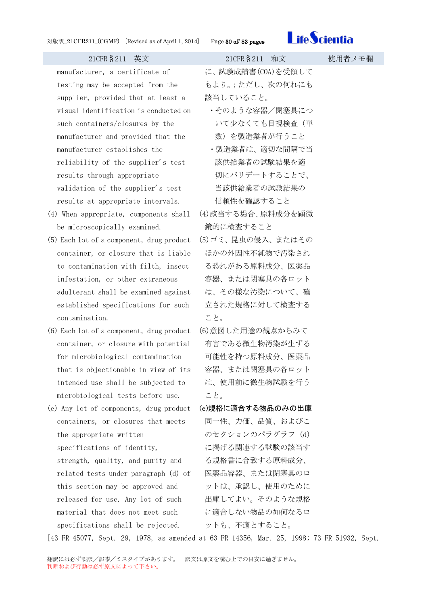

manufacturer, a certificate of testing may be accepted from the supplier, provided that at least a visual identification is conducted on such containers/closures by the manufacturer and provided that the manufacturer establishes the reliability of the supplier's test results through appropriate validation of the supplier's test results at appropriate intervals.

- (4) When appropriate, components shall be microscopically examined.
- (5) Each lot of a component, drug product container, or closure that is liable to contamination with filth, insect infestation, or other extraneous adulterant shall be examined against established specifications for such contamination.
- (6) Each lot of a component, drug product container, or closure with potential for microbiological contamination that is objectionable in view of its intended use shall be subjected to microbiological tests before use.
- <span id="page-29-0"></span>(e) Any lot of components, drug product containers, or closures that meets the appropriate written specifications of identity, strength, quality, and purity and related tests under paragraph (d) of this section may be approved and released for use. Any lot of such material that does not meet such specifications shall be rejected.

| 21CFR § 211 英文                            | 21CFR § 211 和文                                  | 使用者メモ欄 |
|-------------------------------------------|-------------------------------------------------|--------|
| urer, a certificate of                    | に、試験成績書(COA)を受領して                               |        |
| may be accepted from the                  | もより。;ただし、次の何れにも                                 |        |
| , provided that at least a                | 該当していること。                                       |        |
| dentification is conducted on             | ・そのような容器/閉塞具につ                                  |        |
| tainers/closures by the                   | いて少なくても目視検査(単                                   |        |
| urer and provided that the                | 数)を製造業者が行うこと                                    |        |
| urer establishes the                      | ・製造業者は、適切な間隔で当                                  |        |
| ity of the supplier's test                | 該供給業者の試験結果を適                                    |        |
| through appropriate                       | 切にバリデートすることで、                                   |        |
| on of the supplier's test                 | 当該供給業者の試験結果の                                    |        |
| at appropriate intervals.                 | 信頼性を確認すること                                      |        |
| propriate, components shall               | (4)該当する場合、原料成分を顕微                               |        |
| scopically examined.                      | 鏡的に検査すること                                       |        |
| of a component, drug product              | (5)ゴミ、昆虫の侵入、またはその                               |        |
| r, or closure that is liable              | ほかの外因性不純物で汚染され                                  |        |
| mination with filth, insect               | る恐れがある原料成分、医薬品                                  |        |
| ion, or other extraneous                  | 容器、または閉塞具の各ロット                                  |        |
| nt shall be examined against              | は、その様な汚染について、確                                  |        |
| hed specifications for such               | 立された規格に対して検査する                                  |        |
| ation.                                    | こと。                                             |        |
|                                           | : of a component, drug product (6)意図した用途の観点からみて |        |
|                                           | r, or closure with potential ― 有害である微生物汚染が生ずる   |        |
|                                           | obiological contamination    可能性を持つ原料成分、医薬品     |        |
| objectionable in view of its              | 容器、または閉塞具の各ロット                                  |        |
| use shall be subjected to                 | は、使用前に微生物試験を行う                                  |        |
| logical tests before use.                 | こと。                                             |        |
|                                           | of components, drug product (e)規格に適合する物品のみの出庫   |        |
| rs, or closures that meets                | 同一性、力価、品質、およびこ                                  |        |
| opriate written                           | のセクションのパラグラフ (d)                                |        |
| ations of identity,                       | に掲げる関連する試験の該当す                                  |        |
| , quality, and purity and                 | る規格書に合致する原料成分、                                  |        |
| tests under paragraph (d) of              | 医薬品容器、または閉塞具のロ                                  |        |
| tion may be approved and                  | ットは、承認し、使用のために                                  |        |
| for use. Any lot of such                  | 出庫してよい。そのような規格                                  |        |
| that does not meet such                   | に適合しない物品の如何なるロ                                  |        |
| ations shall be rejected.    ットも、不適とすること。 |                                                 |        |

[43 FR 45077, Sept. 29, 1978, as amended at 63 FR 14356, Mar. 25, 1998; 73 FR 51932, Sept.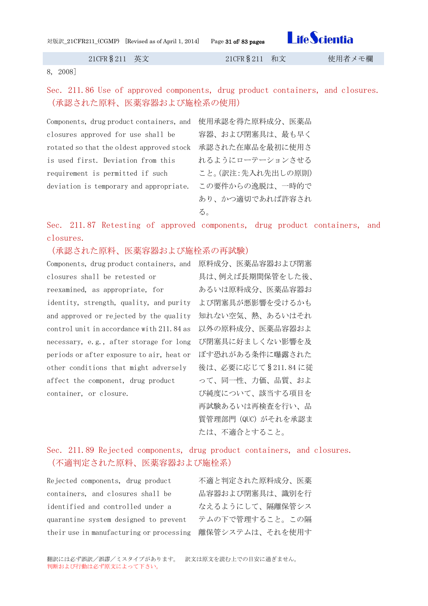対版訳\_21CFR211\_(CGMP) [Revised as of April 1, 2014] Page 31 of/ 83 pages

**LifeScientia** 

21CFR§211 英文 21CFR§211 和文 使用者メモ欄

8, 2008]

<span id="page-30-0"></span>Sec. 211.86 Use of approved components, drug product containers, and closures. (承認された原料、医薬容器および施栓系の使用)

Components, drug product containers, and 使用承認を得た原料成分、医薬品 closures approved for use shall be rotated so that the oldest approved stock 承認された在庫品を最初に使用さ is used first. Deviation from this requirement is permitted if such deviation is temporary and appropriate.

容器、および閉塞具は、最も早く れるようにローテーションさせる こと。(訳注:先入れ先出しの原則) この要件からの逸脱は、一時的で あり、かつ適切であれば許容され る。

<span id="page-30-1"></span>Sec. 211.87 Retesting of approved components, drug product containers, and closures.

(承認された原料、医薬容器および施栓系の再試験)

Components, drug product containers, and 原料成分、医薬品容器および閉塞 closures shall be retested or reexamined, as appropriate, for identity, strength, quality, and purity よび閉塞具が悪影響を受けるかも and approved or rejected by the quality 知れない空気、熱、あるいはそれ control unit in accordance with 211.84 as 以外の原料成分、医薬品容器およ necessary, e.g., after storage for long び閉塞具に好ましくない影響を及 periods or after exposure to air, heat or ぼす恐れがある条件に曝露された other conditions that might adversely affect the component, drug product container, or closure.

具は、例えば長期間保管をした後、 あるいは原料成分、医薬品容器お 後は、必要に応じて§211.84 に従 って、同一性、力価、品質、およ び純度について、該当する項目を 再試験あるいは再検査を行い、品 質管理部門(QUC)がそれを承認ま たは、不適合とすること。

## <span id="page-30-2"></span>Sec. 211.89 Rejected components, drug product containers, and closures. (不適判定された原料、医薬容器および施栓系)

Rejected components, drug product containers, and closures shall be identified and controlled under a quarantine system designed to prevent their use in manufacturing or processing 離保管システムは、それを使用す

不適と判定された原料成分、医薬 品容器および閉塞具は、識別を行 なえるようにして、隔離保管シス テムの下で管理すること。この隔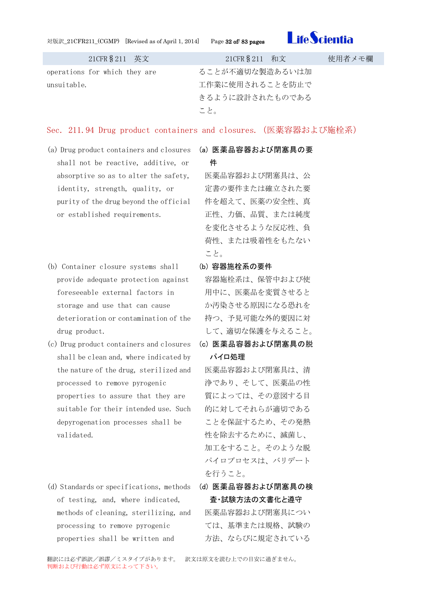対版訳\_21CFR211\_(CGMP) [Revised as of April 1, 2014] Page 32 of/ 83 pages



| 21CFR § 211 英文                | 21CFR § 211 和文  | 使用者メモ欄 |
|-------------------------------|-----------------|--------|
| operations for which they are | ることが不適切な製造あるいは加 |        |
| unsuitable.                   | 工作業に使用されることを防止で |        |
|                               | きるように設計されたものである |        |
|                               | こと。             |        |

## <span id="page-31-0"></span>Sec. 211.94 Drug product containers and closures.(医薬容器および施栓系)

- (a) Drug product containers and closures shall not be reactive, additive, or absorptive so as to alter the safety, identity, strength, quality, or purity of the drug beyond the official or established requirements.
- (b) Container closure systems shall provide adequate protection against foreseeable external factors in storage and use that can cause deterioration or contamination of the drug product.
- (c) Drug product containers and closures shall be clean and, where indicated by the nature of the drug, sterilized and processed to remove pyrogenic properties to assure that they are suitable for their intended use. Such depyrogenation processes shall be validated.
- (d) Standards or specifications, methods of testing, and, where indicated, methods of cleaning, sterilizing, and processing to remove pyrogenic properties shall be written and

## <span id="page-31-1"></span>(a) 医薬品容器および閉塞具の要

## 件

医薬品容器および閉塞具は、公 定書の要件または確立された要 件を超えて、医薬の安全性、真 正性、力価、品質、または純度 を変化させるような反応性、負 荷性、または吸着性をもたない こと。

<span id="page-31-2"></span>(b) 容器施栓系の要件

容器施栓系は、保管中および使 用中に、医薬品を変質させると か汚染させる原因になる恐れを 持つ、予見可能な外的要因に対 して、適切な保護を与えること。

<span id="page-31-3"></span>(c) 医薬品容器および閉塞具の脱 パイロ処理

医薬品容器および閉塞具は、清 浄であり、そして、医薬品の性 質によっては、その意図する目 的に対してそれらが適切である ことを保証するため、その発熱 性を除去するために、滅菌し、 加工をすること。そのような脱 パイロプロセスは、バリデート を行うこと。

<span id="page-31-4"></span>(d) 医薬品容器および閉塞具の検 査・試験方法の文書化と遵守

医薬品容器および閉塞具につい ては、基準または規格、試験の 方法、ならびに規定されている

翻訳には必ず誤訳/誤謬/ミスタイプがあります。 訳文は原文を読む上での目安に過ぎません。 判断および行動は必ず原文によって下さい。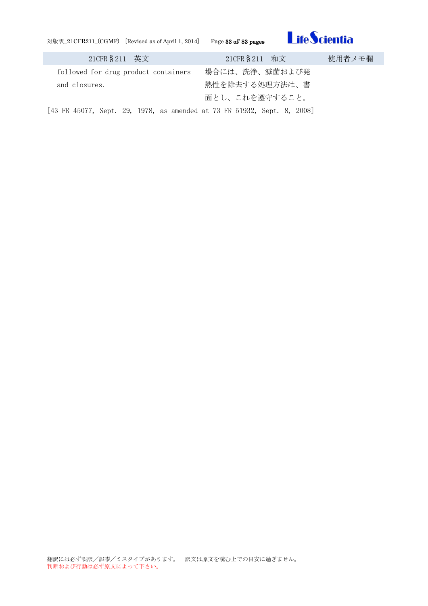対版訳\_21CFR211\_(CGMP) [Revised as of April 1, 2014] Page 33 of/ 83 pages

ſ



| 21CFR § 211 英文                                                          | 21CFR § 211 和文 | 使用者メモ欄 |
|-------------------------------------------------------------------------|----------------|--------|
| followed for drug product containers                                    | 場合には、洗浄、滅菌および発 |        |
| and closures.                                                           | 熱性を除去する処理方法は、書 |        |
|                                                                         | 面とし、これを遵守すること。 |        |
| [43 FR 45077, Sept. 29, 1978, as amended at 73 FR 51932, Sept. 8, 2008] |                |        |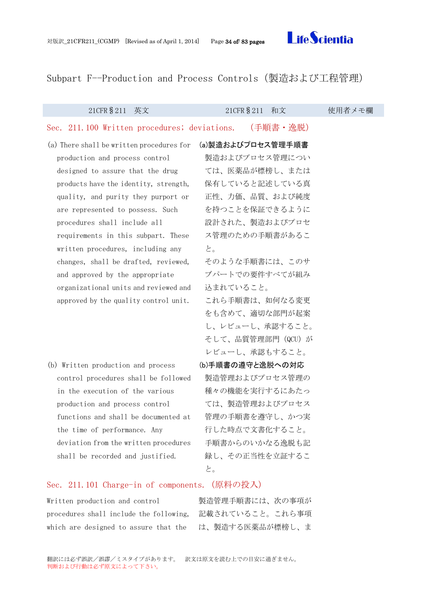翻訳には必ず誤訳/誤謬/ミスタイプがあります。 訳文は原文を読む上での目安に過ぎません。 判断および行動は必ず原文によって下さい。

<span id="page-33-4"></span><span id="page-33-3"></span>Written production and control 製造管理手順書には、次の事項が procedures shall include the following, 記載されていること。これら事項

## <span id="page-33-0"></span>Subpart F--Production and Process Controls(製造および工程管理)

<span id="page-33-1"></span>

| 21CFR § 211<br>英文                             | 21CFR § 211<br>和文  | 使用者メモ欄 |
|-----------------------------------------------|--------------------|--------|
| Sec. 211.100 Written procedures; deviations.  | (手順書・逸脱)           |        |
| (a) There shall be written procedures for     | (a)製造およびプロセス管理手順書  |        |
| production and process control                | 製造およびプロセス管理につい     |        |
| designed to assure that the drug              | ては、医薬品が標榜し、または     |        |
| products have the identity, strength,         | 保有していると記述している真     |        |
| quality, and purity they purport or           | 正性、力価、品質、および純度     |        |
| are represented to possess. Such              | を持つことを保証できるように     |        |
| procedures shall include all                  | 設計された、製造およびプロセ     |        |
| requirements in this subpart. These           | ス管理のための手順書があるこ     |        |
| written procedures, including any             | と。                 |        |
| changes, shall be drafted, reviewed,          | そのような手順書には、このサ     |        |
| and approved by the appropriate               | ブパートでの要件すべてが組み     |        |
| organizational units and reviewed and         | 込まれていること。          |        |
| approved by the quality control unit.         | これら手順書は、如何なる変更     |        |
|                                               | をも含めて、適切な部門が起案     |        |
|                                               | し、レビューし、承認すること。    |        |
|                                               | そして、品質管理部門 (QCU) が |        |
|                                               | レビューし、承認もすること。     |        |
| (b) Written production and process            | (b)手順書の遵守と逸脱への対応   |        |
| control procedures shall be followed          | 製造管理およびプロセス管理の     |        |
| in the execution of the various               | 種々の機能を実行するにあたっ     |        |
| production and process control                | ては、製造管理およびプロセス     |        |
| functions and shall be documented at          | 管理の手順書を遵守し、かつ実     |        |
| the time of performance. Any                  | 行した時点で文書化すること。     |        |
| deviation from the written procedures         | 手順書からのいかなる逸脱も記     |        |
| shall be recorded and justified.              | 録し、その正当性を立証するこ     |        |
|                                               | と。                 |        |
| Sec. 211.101 Charge-in of components. (原料の投入) |                    |        |

<span id="page-33-2"></span>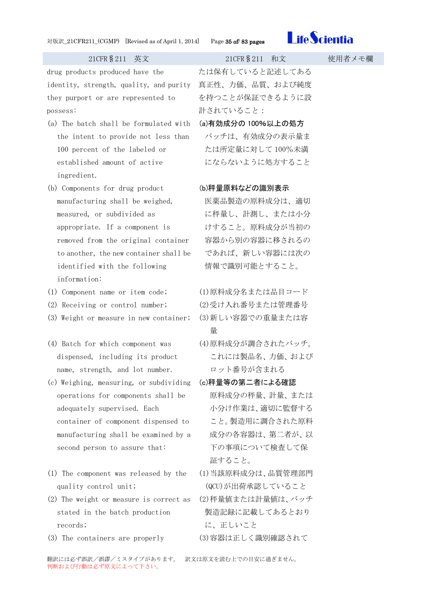

drug products produced have the identity, strength, quality, and purity 真正性、力価、品質、および純度 they purport or are represented to possess:

- (a) The batch shall be formulated with the intent to provide not less than 100 percent of the labeled or established amount of active ingredient.
- (b) Components for drug product manufacturing shall be weighed, measured, or subdivided as appropriate. If a component is removed from the original container to another, the new container shall be identified with the following information:
- 
- (2) Receiving or control number; (2)受け入れ番号または管理番号
- (3) Weight or measure in new container; (3)新しい容器での重量または容
- (4) Batch for which component was dispensed, including its product name, strength, and lot number.
- (c) Weighing, measuring, or subdividing operations for components shall be adequately supervised. Each container of component dispensed to manufacturing shall be examined by a second person to assure that:
- (1) The component was released by the quality control unit;
- (2) The weight or measure is correct as stated in the batch production records;
- (3) The containers are properly (3)容器は正しく識別確認されて

たは保有していると記述してある を持つことが保証できるように設 計されていること:

<span id="page-34-0"></span>(a)有効成分の 100%以上の処方

バッチは、有効成分の表示量ま たは所定量に対して 100%未満 にならないように処方すること

## <span id="page-34-1"></span>(b)秤量原料などの識別表示

医薬品製造の原料成分は、適切 に秤量し、計測し、または小分 けすること。原料成分が当初の 容器から別の容器に移されるの であれば、新しい容器には次の 情報で識別可能とすること。

(1) Component name or item code; (1)原料成分名または品目コード 量

- (4)原料成分が調合されたバッチ。 これには製品名、力価、および ロット番号が含まれる
- <span id="page-34-2"></span>(c)秤量等の第二者による確認 原料成分の秤量、計量、または 小分け作業は、適切に監督する こと。製造用に調合された原料 成分の各容器は、第二者が、以 下の事項について検査して保 証すること。
- (1)当該原料成分は、品質管理部門 (QCU)が出荷承認していること
- (2)秤量値または計量値は、バッチ 製造記録に記載してあるとおり に、正しいこと
	-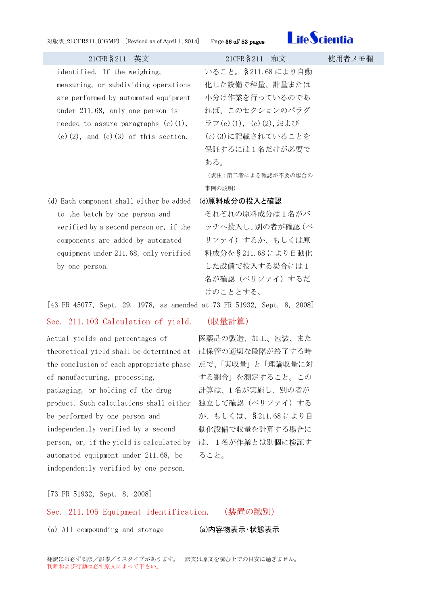

identified. If the weighing, measuring, or subdividing operations are performed by automated equipment under 211.68, only one person is needed to assure paragraphs  $(c)(1)$ ,  $(c)$  $(2)$ , and  $(c)$  $(3)$  of this section.

(d) Each component shall either be added to the batch by one person and verified by a second person or, if the components are added by automated equipment under 211.68, only verified by one person.

## いること。§211.68 により自動 化した設備で秤量、計量または 小分け作業を行っているのであ れば、このセクションのパラグ ラフ(c)(1), (c)(2),および (c)(3)に記載されていることを 保証するには1名だけが必要で ある。

(訳注:第二者による確認が不要の場合の 事例の説明)

### <span id="page-35-0"></span>(d)原料成分の投入と確認

それぞれの原料成分は1名がバ ッチへ投入し、別の者が確認(ベ リファイ)するか、もしくは原 料成分を§211.68 により自動化 した設備で投入する場合には1 名が確認(ベリファイ)するだ けのこととする。

[43 FR 45077, Sept. 29, 1978, as amended at 73 FR 51932, Sept. 8, 2008]

## <span id="page-35-1"></span>Sec. 211.103 Calculation of yield. (収量計算)

Actual yields and percentages of theoretical yield shall be determined at は保管の適切な段階が終了する時 the conclusion of each appropriate phase 点で、「実収量」と「理論収量に対 of manufacturing, processing, packaging, or holding of the drug product. Such calculations shall either 独立して確認(ベリファイ)する be performed by one person and independently verified by a second person, or, if the yield is calculated by は、1名が作業とは別個に検証す automated equipment under 211.68, be independently verified by one person.

医薬品の製造、加工、包装、また する割合」を測定すること。この 計算は、1 名が実施し、別の者が か、もしくは、§211.68 により自 動化設備で収量を計算する場合に ること。

[73 FR 51932, Sept. 8, 2008]

## <span id="page-35-2"></span>Sec. 211.105 Equipment identification. (装置の識別)

(a) All compounding and storage (a)内容物表示·状態表示

<span id="page-35-3"></span>

翻訳には必ず誤訳/誤謬/ミスタイプがあります。 訳文は原文を読む上での目安に過ぎません。 判断および行動は必ず原文によって下さい。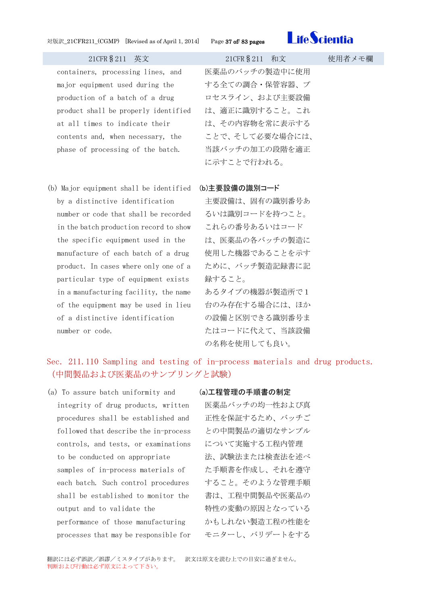

containers, processing lines, and major equipment used during the production of a batch of a drug product shall be properly identified at all times to indicate their contents and, when necessary, the phase of processing of the batch.

(b) Major equipment shall be identified (b)主要設備の識別コード by a distinctive identification number or code that shall be recorded in the batch production record to show the specific equipment used in the manufacture of each batch of a drug product. In cases where only one of a particular type of equipment exists in a manufacturing facility, the name of the equipment may be used in lieu of a distinctive identification number or code.

医薬品のバッチの製造中に使用 する全ての調合・保管容器、プ ロセスライン、および主要設備 は、適正に識別すること。これ は、その内容物を常に表示する ことで、そして必要な場合には、 当該バッチの加工の段階を適正 に示すことで行われる。

主要設備は、固有の識別番号あ るいは識別コードを持つこと。 これらの番号あるいはコード は、医薬品の各バッチの製造に 使用した機器であることを示す ために、バッチ製造記録書に記 録すること。 あるタイプの機器が製造所で1 台のみ存在する場合には、ほか の設備と区別できる識別番号ま たはコードに代えて、当該設備 の名称を使用しても良い。

## Sec. 211.110 Sampling and testing of in-process materials and drug products. (中間製品および医薬品のサンプリングと試験)

(a) To assure batch uniformity and integrity of drug products, written procedures shall be established and followed that describe the in-process controls, and tests, or examinations to be conducted on appropriate samples of in-process materials of each batch. Such control procedures shall be established to monitor the output and to validate the performance of those manufacturing processes that may be responsible for

### (a)工程管理の手順書の制定

医薬品バッチの均一性および真 正性を保証するため、バッチご との中間製品の適切なサンプル について実施する工程内管理 法、試験法または検査法を述べ た手順書を作成し、それを遵守 すること。そのような管理手順 書は、工程中間製品や医薬品の 特性の変動の原因となっている かもしれない製造工程の性能を モニターし、バリデートをする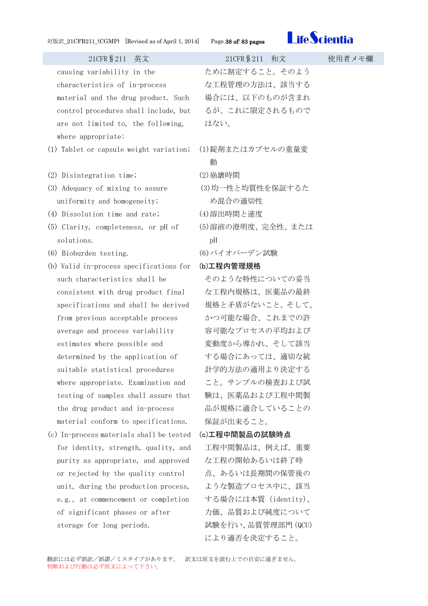

21CFR§211 英文 21CFR§211 和文 使用者メモ欄 causing variability in the characteristics of in-process material and the drug product. Such control procedures shall include, but are not limited to, the following, where appropriate: ために制定すること。そのよう な工程管理の方法は、該当する 場合には、以下のものが含まれ るが、これに限定されるもので はない。 (1) Tablet or capsule weight variation; (1)錠剤またはカプセルの重量変 動 (2) Disintegration time; (2)崩壊時間 (3) Adequacy of mixing to assure uniformity and homogeneity; (3)均一性と均質性を保証するた め混合の適切性 (4) Dissolution time and rate; (4)溶出時間と速度 (5) Clarity, completeness, or pH of solutions. (5)溶液の澄明度、完全性、または pH (6) Bioburden testing. (6)バイオバーデン試験 (b) Valid in-process specifications for such characteristics shall be consistent with drug product final specifications and shall be derived from previous acceptable process average and process variability estimates where possible and determined by the application of suitable statistical procedures where appropriate. Examination and testing of samples shall assure that the drug product and in-process material conform to specifications. (b)工程内管理規格 そのような特性についての妥当 な工程内規格は、医薬品の最終 規格と矛盾がないこと。そして、 かつ可能な場合、これまでの許 容可能なプロセスの平均および 変動度から導かれ、そして該当 する場合にあっては、適切な統 計学的方法の適用より決定する こと。サンプルの検査および試 験は、医薬品および工程中間製 品が規格に適合していることの 保証が出来ること。 (c) In-process materials shall be tested for identity, strength, quality, and purity as appropriate, and approved or rejected by the quality control unit, during the production process, e.g., at commencement or completion of significant phases or after (c)工程中間製品の試験時点 工程中間製品は、例えば、重要 な工程の開始あるいは終了時 点、あるいは長期間の保管後の ような製造プロセス中に、該当 する場合には本質(identity)、

力価、品質および純度について 試験を行い、品質管理部門(QCU) により適否を決定すること。

storage for long periods.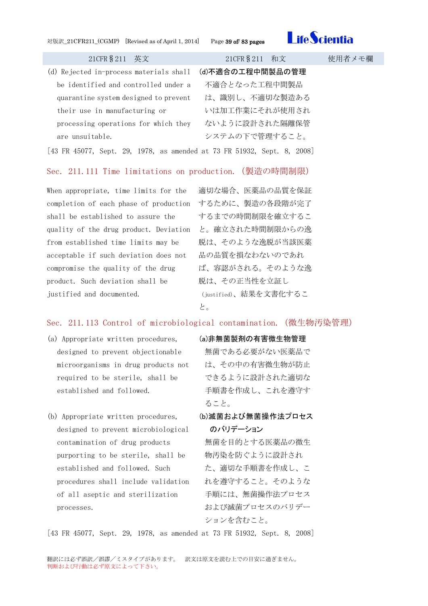

| 21CFR § 211 英文                          | 21CFR § 211 和文   | 使用者メモ欄 |
|-----------------------------------------|------------------|--------|
| (d) Rejected in-process materials shall | (d)不適合の工程中間製品の管理 |        |
| be identified and controlled under a    | 不適合となった工程中間製品    |        |
| quarantine system designed to prevent   | は、識別し、不適切な製造ある   |        |
| their use in manufacturing or           | いは加工作業にそれが使用され   |        |
| processing operations for which they    | ないように設計された隔離保管   |        |
| are unsuitable.                         | システムの下で管理すること。   |        |
|                                         |                  |        |

[43 FR 45077, Sept. 29, 1978, as amended at 73 FR 51932, Sept. 8, 2008]

### Sec. 211.111 Time limitations on production.(製造の時間制限)

When appropriate, time limits for the completion of each phase of production するために、製造の各段階が完了 shall be established to assure the quality of the drug product. Deviation と。確立された時間制限からの逸 from established time limits may be acceptable if such deviation does not compromise the quality of the drug product. Such deviation shall be justified and documented.

適切な場合、医薬品の品質を保証 するまでの時間制限を確立するこ 脱は、そのような逸脱が当該医薬 品の品質を損なわないのであれ ば、容認がされる。そのような逸 脱は、その正当性を立証し (justified)、結果を文書化するこ と。

### Sec. 211.113 Control of microbiological contamination.(微生物汚染管理)

- (a) Appropriate written procedures, designed to prevent objectionable microorganisms in drug products not required to be sterile, shall be established and followed.
- (b) Appropriate written procedures, designed to prevent microbiological contamination of drug products purporting to be sterile, shall be established and followed. Such procedures shall include validation of all aseptic and sterilization processes.

### (a)非無菌製剤の有害微生物管理

無菌である必要がない医薬品で は、その中の有害微生物が防止 できるように設計された適切な 手順書を作成し、これを遵守す ること。

(b)滅菌および無菌操作法プロセス のバリデーション

無菌を目的とする医薬品の微生 物汚染を防ぐように設計され た、適切な手順書を作成し、こ れを遵守すること。そのような 手順には、無菌操作法プロセス および滅菌プロセスのバリデー ションを含むこと。

[43 FR 45077, Sept. 29, 1978, as amended at 73 FR 51932, Sept. 8, 2008]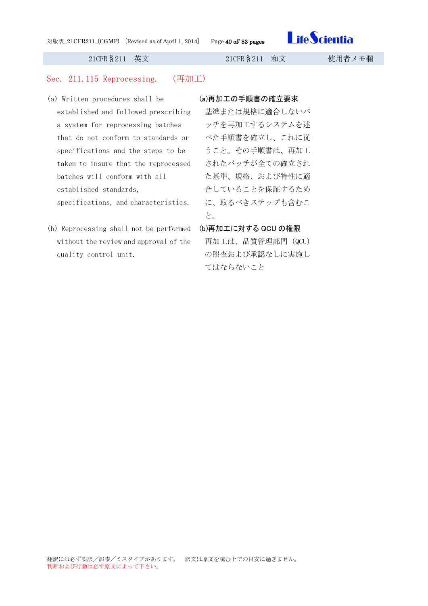

### Sec. 211.115 Reprocessing. (再加工)

- (a) Written procedures shall be established and followed prescribing a system for reprocessing batches that do not conform to standards or specifications and the steps to be taken to insure that the reprocessed batches will conform with all established standards, specifications, and characteristics.
- (b) Reprocessing shall not be performed without the review and approval of the quality control unit.

### (a)再加工の手順書の確立要求

基準または規格に適合しないバ ッチを再加工するシステムを述 べた手順書を確立し、これに従 うこと。その手順書は、再加工 されたバッチが全ての確立され た基準、規格、および特性に適 合していることを保証するため に、取るべきステップも含むこ と。

## (b)再加工に対する QCU の権限

再加工は、品質管理部門(QCU) の照査および承認なしに実施し てはならないこと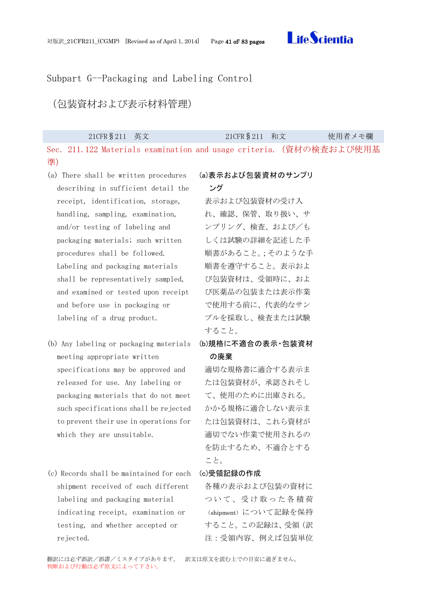

### Subpart G--Packaging and Labeling Control

(包装資材および表示材料管理)

|    | 21CFR § 211 英文                                                      | 21CFR § 211 和文 | 使用者メモ欄 |
|----|---------------------------------------------------------------------|----------------|--------|
|    | Sec. 211.122 Materials examination and usage criteria. (資材の検査および使用基 |                |        |
| 準) |                                                                     |                |        |

- (a) There shall be written procedures describing in sufficient detail the receipt, identification, storage, handling, sampling, examination, and/or testing of labeling and packaging materials; such written procedures shall be followed. Labeling and packaging materials shall be representatively sampled, and examined or tested upon receipt and before use in packaging or labeling of a drug product.
- (b) Any labeling or packaging materials meeting appropriate written specifications may be approved and released for use. Any labeling or packaging materials that do not meet such specifications shall be rejected to prevent their use in operations for which they are unsuitable.
- (c) Records shall be maintained for each shipment received of each different labeling and packaging material indicating receipt, examination or testing, and whether accepted or rejected.

### (a)表示および包装資材のサンプリ

ング

表示および包装資材の受け入 れ、確認、保管、取り扱い、サ ンプリング、検査、および/も しくは試験の詳細を記述した手 順書があること。;そのような手 順書を遵守すること。表示およ び包装資材は、受領時に、およ び医薬品の包装または表示作業 で使用する前に、代表的なサン プルを採取し、検査または試験 すること。

(b)規格に不適合の表示・包装資材 の廃棄

適切な規格書に適合する表示ま たは包装資材が、承認されそし て、使用のために出庫される。 かかる規格に適合しない表示ま たは包装資材は、これら資材が 適切でない作業で使用されるの を防止するため、不適合とする こと。

### (c)受領記録の作成

各種の表示および包装の資材に ついて、受け取った各積荷 (shipment)について記録を保持 すること。この記録は、受領(訳 注:受領内容、例えば包装単位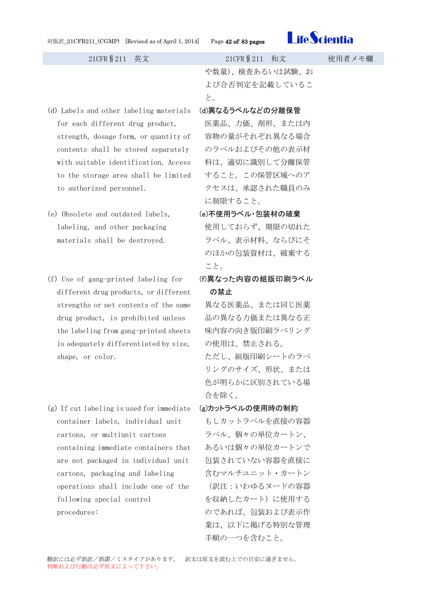

### 21CFR§211 英文 21CFR§211 和文 使用者メモ欄 や数量)、検査あるいは試験、お よび合否判定を記載しているこ と。 (d) Labels and other labeling materials for each different drug product, strength, dosage form, or quantity of contents shall be stored separately with suitable identification. Access to the storage area shall be limited to authorized personnel. (d)異なるラベルなどの分離保管 医薬品、力価、剤形、または内 容物の量がそれぞれ異なる場合 のラベルおよびその他の表示材 料は、適切に識別して分離保管 すること。この保管区域へのア クセスは、承認された職員のみ に制限すること。 (e) Obsolete and outdated labels, labeling, and other packaging materials shall be destroyed. (e)不使用ラベル・包装材の破棄 使用しておらず、期限の切れた ラベル、表示材料、ならびにそ のほかの包装資材は、破棄する こと。 (f) Use of gang-printed labeling for

(f)異なった内容の組版印刷ラベル の禁止

異なる医薬品、または同じ医薬 品の異なる力価または異なる正 味内容の向き版印刷ラべリング の使用は、禁止される。 ただし、組版印刷シートのラべ リングのサイズ、形状、または 色が明らかに区別されている場 合を除く。

- (g)カットラベルの使用時の制約
- もしカットラベルを直接の容器 ラベル、個々の単位カートン、 あるいは個々の単位カートンで 包装されていない容器を直接に 含むマルチユニット・カートン (訳注:いわゆるヌードの容器 を収納したカート)に使用する のであれば、包装および表示作 業は、以下に掲げる特別な管理 手順の一つを含むこと。

# is adequately differentiated by size, shape, or color. (g) If cut labeling is used for immediate container labels, individual unit cartons, or multiunit cartons containing immediate containers that

different drug products, or different strengths or net contents of the same drug product, is prohibited unless the labeling from gang-printed sheets

are not packaged in individual unit cartons, packaging and labeling operations shall include one of the following special control procedures: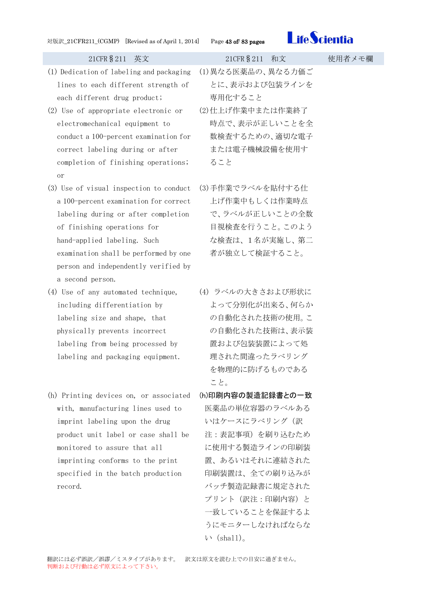

- (1) Dedication of labeling and packaging lines to each different strength of each different drug product;
- (2) Use of appropriate electronic or electromechanical equipment to conduct a 100-percent examination for correct labeling during or after completion of finishing operations; or
- (3) Use of visual inspection to conduct a 100-percent examination for correct labeling during or after completion of finishing operations for hand-applied labeling. Such examination shall be performed by one person and independently verified by a second person.
- (4) Use of any automated technique, including differentiation by labeling size and shape, that physically prevents incorrect labeling from being processed by labeling and packaging equipment.
- (h) Printing devices on, or associated with, manufacturing lines used to imprint labeling upon the drug product unit label or case shall be monitored to assure that all imprinting conforms to the print specified in the batch production record.

## 21CFR§211 英文 21CFR§211 和文 使用者メモ欄 (1)異なる医薬品の、異なる力価ご とに、表示および包装ラインを 専用化すること (2)仕上げ作業中または作業終了 時点で、表示が正しいことを全 数検査するための、適切な電子 または電子機械設備を使用す ること

- (3)手作業でラベルを貼付する仕 上げ作業中もしくは作業時点 で、ラベルが正しいことの全数 目視検査を行うこと。このよう な検査は、1名が実施し、第二 者が独立して検証すること。
- (4) ラベルの大きさおよび形状に よって分別化が出来る、何らか の自動化された技術の使用。こ の自動化された技術は、表示装 置および包装装置によって処 理された間違ったラべリング を物理的に防げるものである こと。
- (h)印刷内容の製造記録書との一致 医薬品の単位容器のラベルある いはケースにラベリング (訳 注:表記事項)を刷り込むため に使用する製造ラインの印刷装 置、あるいはそれに連結された 印刷装置は、全ての刷り込みが バッチ製造記録書に規定された プリント(訳注:印刷内容)と 一致していることを保証するよ うにモニターしなければならな  $V$  (shall).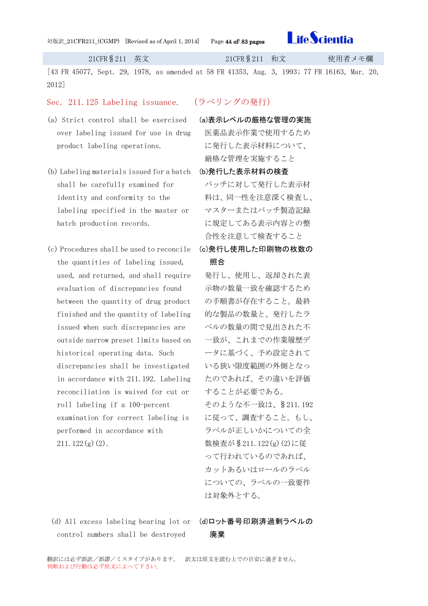

[43 FR 45077, Sept. 29, 1978, as amended at 58 FR 41353, Aug. 3, 1993; 77 FR 16163, Mar. 20, 2012]

### Sec. 211.125 Labeling issuance. (ラべリングの発行)

- (a) Strict control shall be exercised over labeling issued for use in drug product labeling operations.
- (b) Labeling materials issued for a batch shall be carefully examined for identity and conformity to the labeling specified in the master or batch production records.
- (c) Procedures shall be used to reconcile the quantities of labeling issued, used, and returned, and shall require evaluation of discrepancies found between the quantity of drug product finished and the quantity of labeling issued when such discrepancies are outside narrow preset limits based on historical operating data. Such discrepancies shall be investigated in accordance with 211.192. Labeling reconciliation is waived for cut or roll labeling if a 100-percent examination for correct labeling is performed in accordance with  $211.122(g)(2)$ .

- (a)表示レベルの厳格な管理の実施
	- 医薬品表示作業で使用するため に発行した表示材料について、 厳格な管理を実施すること
- (b)発行した表示材料の検査
	- バッチに対して発行した表示材 料は、同一性を注意深く検査し、 マスターまたはバッチ製造記録 に規定してある表示内容との整 合性を注意して検査すること
- (c)発行し使用した印刷物の枚数の 照合

発行し、使用し、返却された表 示物の数量一致を確認するため の手順書が存在すること。最終 的な製品の数量と、発行したラ ベルの数量の間で見出された不 一致が、これまでの作業履歴デ ータに基づく、予め設定されて いる狭い限度範囲の外側となっ たのであれば、その違いを評価 することが必要である。

そのような不一致は、§211.192 に従って、調査すること。もし、 ラベルが正しいかについての全 数検査が§211.122(g)(2)に従 って行われているのであれば、 カットあるいはロールのラベル についての、ラベルの一致要件 は対象外とする。

(d) All excess labeling bearing lot or (d)ロット番号印刷済過剰ラベルの control numbers shall be destroyed

廃棄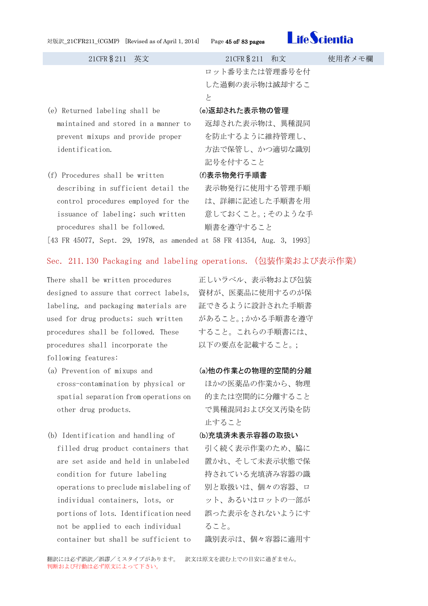| 対版訳_21CFR211_(CGMP) [Revised as of April 1, 2014] |  |
|---------------------------------------------------|--|
|---------------------------------------------------|--|

Page 45 of/ 83 pages



| 21CFR § 211 英文                       | 21CFR § 211 和文 | 使用者メモ欄 |
|--------------------------------------|----------------|--------|
|                                      | ロット番号または管理番号を付 |        |
|                                      | した過剰の表示物は滅却するこ |        |
|                                      | と              |        |
| (e) Returned labeling shall be       | (e)返却された表示物の管理 |        |
| maintained and stored in a manner to | 返却された表示物は、異種混同 |        |
| prevent mixups and provide proper    | を防止するように維持管理し、 |        |
| identification.                      | 方法で保管し、かつ適切な識別 |        |
|                                      | 記号を付すること       |        |
| (f) Procedures shall be written      | (f)表示物発行手順書    |        |
| describing in sufficient detail the  | 表示物発行に使用する管理手順 |        |
| control procedures employed for the  | は、詳細に記述した手順書を用 |        |

[43 FR 45077, Sept. 29, 1978, as amended at 58 FR 41354, Aug. 3, 1993]

### Sec. 211.130 Packaging and labeling operations.(包装作業および表示作業)

There shall be written procedures designed to assure that correct labels, labeling, and packaging materials are used for drug products; such written procedures shall be followed. These procedures shall incorporate the following features:

issuance of labeling; such written

procedures shall be followed.

- (a) Prevention of mixups and cross-contamination by physical or spatial separation from operations on other drug products.
- (b) Identification and handling of filled drug product containers that are set aside and held in unlabeled condition for future labeling operations to preclude mislabeling of individual containers, lots, or portions of lots. Identification need not be applied to each individual container but shall be sufficient to

正しいラベル、表示物および包装 資材が、医薬品に使用するのが保 証できるように設計された手順書 があること。;かかる手順書を遵守 すること。これらの手順書には、 以下の要点を記載すること。;

意しておくこと。;そのような手

順書を遵守すること

### (a)他の作業との物理的空間的分離

ほかの医薬品の作業から、物理 的または空間的に分離すること で異種混同および交叉汚染を防 止すること

### (b)充填済未表示容器の取扱い

引く続く表示作業のため、脇に 置かれ、そして未表示状態で保 持されている充填済み容器の識 別と取扱いは、個々の容器、ロ ット、あるいはロットの一部が 誤った表示をされないようにす ること。

識別表示は、個々容器に適用す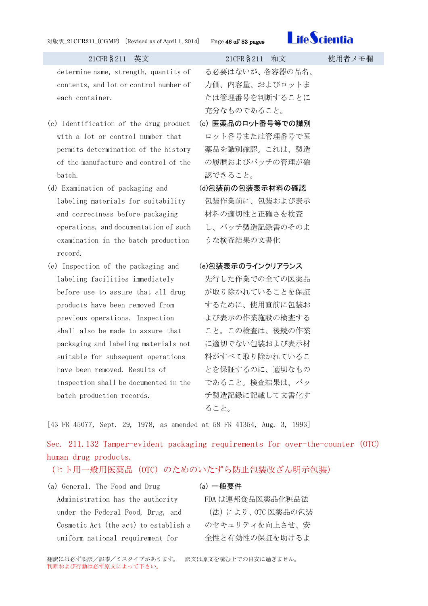### 対版訳\_21CFR211\_(CGMP) [Revised as of April 1, 2014] Page 46 of/ 83 pages



### 21CFR§211 英文 21CFR§211 和文 使用者メモ欄

determine name, strength, quantity of contents, and lot or control number of each container.

- (c) Identification of the drug product with a lot or control number that permits determination of the history of the manufacture and control of the batch.
- (d) Examination of packaging and labeling materials for suitability and correctness before packaging operations, and documentation of such examination in the batch production record.
- (e) Inspection of the packaging and labeling facilities immediately before use to assure that all drug products have been removed from previous operations. Inspection shall also be made to assure that packaging and labeling materials not suitable for subsequent operations have been removed. Results of inspection shall be documented in the batch production records.

る必要はないが、各容器の品名、 力価、内容量、およびロットま たは管理番号を判断することに 充分なものであること。

- (c) 医薬品のロット番号等での識別 ロット番号または管理番号で医 薬品を識別確認。これは、製造 の履歴およびバッチの管理が確 認できること。
- (d)包装前の包装表示材料の確認 包装作業前に、包装および表示 材料の適切性と正確さを検査 し、バッチ製造記録書のそのよ うな検査結果の文書化

### (e)包装表示のラインクリアランス

先行した作業での全ての医薬品 が取り除かれていることを保証 するために、使用直前に包装お よび表示の作業施設の検査する こと。この検査は、後続の作業 に適切でない包装および表示材 料がすべて取り除かれているこ とを保証するのに、適切なもの であること。検査結果は、バッ チ製造記録に記載して文書化す ること。

[43 FR 45077, Sept. 29, 1978, as amended at 58 FR 41354, Aug. 3, 1993]

Sec. 211.132 Tamper-evident packaging requirements for over-the-counter (OTC) human drug products.

(ヒト用一般用医薬品(OTC)のためのいたずら防止包装改ざん明示包装)

| (a) General. The Food and Drug        | (a) 一般要件          |
|---------------------------------------|-------------------|
| Administration has the authority      | FDA は連邦食品医薬品化粧品法  |
| under the Federal Food, Drug, and     | (法)により、OTC 医薬品の包当 |
| Cosmetic Act (the act) to establish a | のセキュリティを向上させ、安    |
| uniform national requirement for      | 全性と有効性の保証を助けるよ    |
|                                       |                   |

翻訳には必ず誤訳/誤謬/ミスタイプがあります。 訳文は原文を読む上での目安に過ぎません。 判断および行動は必ず原文によって下さい。

## $(n)$   $\frac{1}{2}$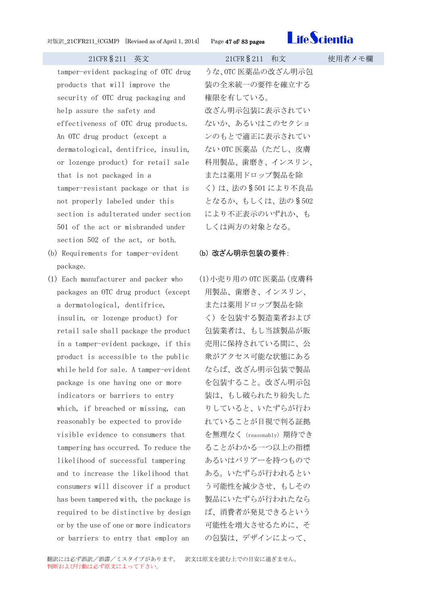

tamper-evident packaging of OTC drug products that will improve the security of OTC drug packaging and help assure the safety and effectiveness of OTC drug products. An OTC drug product (except a dermatological, dentifrice, insulin, or lozenge product) for retail sale that is not packaged in a tamper-resistant package or that is not properly labeled under this section is adulterated under section 501 of the act or misbranded under section 502 of the act, or both.

- (b) Requirements for tamper-evident package.
- (1) Each manufacturer and packer who packages an OTC drug product (except a dermatological, dentifrice, insulin, or lozenge product) for retail sale shall package the product in a tamper-evident package, if this product is accessible to the public while held for sale. A tamper-evident package is one having one or more indicators or barriers to entry which, if breached or missing, can reasonably be expected to provide visible evidence to consumers that tampering has occurred. To reduce the likelihood of successful tampering and to increase the likelihood that consumers will discover if a product has been tampered with, the package is required to be distinctive by design or by the use of one or more indicators or barriers to entry that employ an

うな、OTC 医薬品の改ざん明示包 装の全米統一の要件を確立する 権限を有している。 改ざん明示包装に表示されてい ないか、あるいはこのセクショ ンのもとで適正に表示されてい ない OTC 医薬品(ただし、皮膚 科用製品、歯磨き、インスリン、 または薬用ドロップ製品を除 く)は、法の§501 により不良品 となるか、もしくは、法の§502 により不正表示のいずれか、も しくは両方の対象となる。

### (b) 改ざん明示包装の要件:

(1)小売り用の OTC 医薬品(皮膚科 用製品、歯磨き、インスリン、 または薬用ドロップ製品を除 く)を包装する製造業者および 包装業者は、もし当該製品が販 売用に保持されている間に、公 衆がアクセス可能な状態にある ならば、改ざん明示包装で製品 を包装すること。改ざん明示包 装は、もし破られたり紛失した りしていると、いたずらが行わ れていることが目視で判る証拠 を無理なく(reasonably)期待でき ることがわかる一つ以上の指標 あるいはバリアーを持つもので ある。いたずらが行われるとい う可能性を減少させ、もしその 製品にいたずらが行われたなら ば、消費者が発見できるという 可能性を増大させるために、そ の包装は、デザインによって、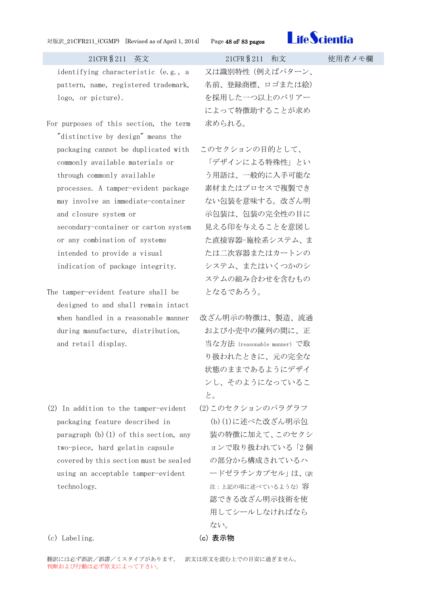### 対版訳\_21CFR211\_(CGMP) [Revised as of April 1, 2014] Page 48 of/ 83 pages



### 21CFR§211 英文 21CFR§211 和文 使用者メモ欄

identifying characteristic (e.g., a pattern, name, registered trademark, logo, or picture).

- For purposes of this section, the term "distinctive by design" means the packaging cannot be duplicated with commonly available materials or through commonly available processes. A tamper-evident package may involve an immediate-container and closure system or secondary-container or carton system or any combination of systems intended to provide a visual indication of package integrity.
- The tamper-evident feature shall be designed to and shall remain intact when handled in a reasonable manner during manufacture, distribution, and retail display.
- (2) In addition to the tamper-evident packaging feature described in paragraph  $(b)(1)$  of this section, any two-piece, hard gelatin capsule covered by this section must be sealed using an acceptable tamper-evident technology.

又は識別特性(例えばパターン、 名前、登録商標、ロゴまたは絵) を採用した一つ以上のバリアー によって特徴助することが求め 求められる。

- このセクションの目的として、 「デザインによる特殊性」とい う用語は、一般的に入手可能な 素材またはプロセスで複製でき ない包装を意味する。改ざん明 示包装は、包装の完全性の目に 見える印を与えることを意図し た直接容器-施栓系システム、ま たは二次容器またはカートンの システム、またはいくつかのシ ステムの組み合わせを含むもの となるであろう。
- 改ざん明示の特徴は、製造、流通 および小売中の陳列の間に、正 当な方法(reasonable manner)で取 り扱われたときに、元の完全な 状態のままであるようにデザイ ンし、そのようになっているこ と。
- (2)このセクションのパラグラフ (b)(1)に述べた改ざん明示包 装の特徴に加えて、このセクシ ョンで取り扱われている「2 個 の部分から構成されているハ ードゼラチンカプセル」は、(訳 注:上記の項に述べているような)容 認できる改ざん明示技術を使 用してシールしなければなら ない。

(c) Labeling. (c) 表示物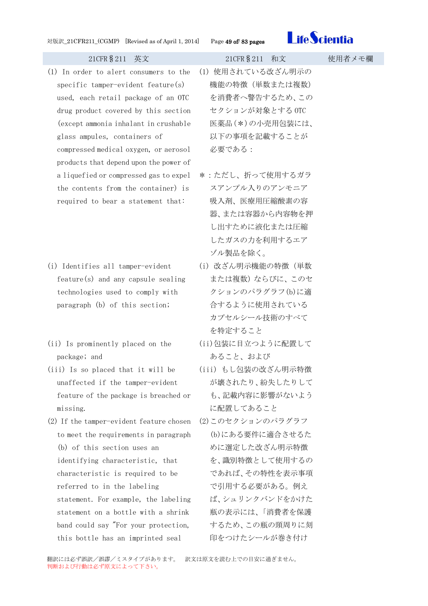

- (1) In order to alert consumers to the specific tamper-evident feature(s) used, each retail package of an OTC drug product covered by this section (except ammonia inhalant in crushable glass ampules, containers of compressed medical oxygen, or aerosol products that depend upon the power of a liquefied or compressed gas to expel the contents from the container) is required to bear a statement that:
- (i) Identifies all tamper-evident feature(s) and any capsule sealing technologies used to comply with paragraph (b) of this section;
- (ii) Is prominently placed on the package; and
- (iii) Is so placed that it will be unaffected if the tamper-evident feature of the package is breached or missing.
- (2) If the tamper-evident feature chosen to meet the requirements in paragraph (b) of this section uses an identifying characteristic, that characteristic is required to be referred to in the labeling statement. For example, the labeling statement on a bottle with a shrink band could say "For your protection, this bottle has an imprinted seal
- (1) 使用されている改ざん明示の 機能の特徴(単数または複数) を消費者へ警告するため、この セクションが対象とする OTC 医薬品(\*)の小売用包装には、 以下の事項を記載することが 必要である:
- \*:ただし、折って使用するガラ スアンプル入りのアンモニア 吸入剤、医療用圧縮酸素の容 器、または容器から内容物を押 し出すために液化または圧縮 したガスの力を利用するエア ゾル製品を除く。
- (i) 改ざん明示機能の特徴(単数 または複数)ならびに、このセ クションのパラグラフ(b)に適 合するように使用されている カプセルシール技術のすべて を特定すること
- (ii)包装に目立つように配置して あること、および
- (iii) もし包装の改ざん明示特徴 が壊されたり、紛失したりして も、記載内容に影響がないよう に配置してあること
- (2)このセクションのパラグラフ (b)にある要件に適合させるた めに選定した改ざん明示特徴 を、識別特徴として使用するの であれば、その特性を表示事項 で引用する必要がある。例え ば、シュリンクバンドをかけた 瓶の表示には、「消費者を保護 するため、この瓶の頸周りに刻 印をつけたシールが巻き付け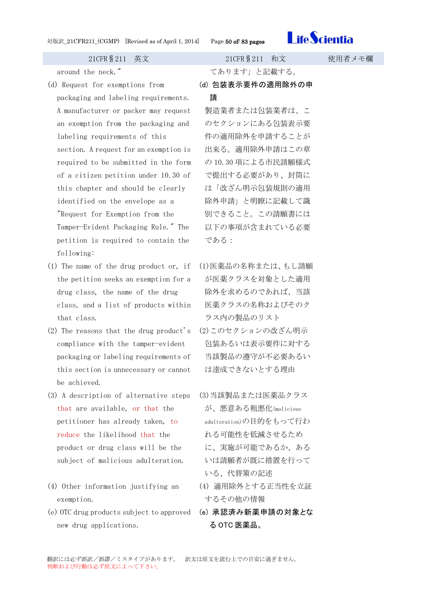

21CFR§211 英文 21CFR§211 和文 使用者メモ欄 around the neck." てあります」と記載する。 (d) Request for exemptions from packaging and labeling requirements. A manufacturer or packer may request an exemption from the packaging and labeling requirements of this section. A request for an exemption is required to be submitted in the form of a citizen petition under 10.30 of this chapter and should be clearly identified on the envelope as a "Request for Exemption from the Tamper-Evident Packaging Rule." The petition is required to contain the following: (d) 包装表示要件の適用除外の申 請 製造業者または包装業者は、こ のセクションにある包装表示要 件の適用除外を申請することが 出来る。適用除外申請はこの章 の 10.30 項による市民請願様式 で提出する必要があり、封筒に は「改ざん明示包装規則の適用 除外申請」と明瞭に記載して識 別できること。この請願書には 以下の事項が含まれている必要 である: (1) The name of the drug product or, if

- the petition seeks an exemption for a drug class, the name of the drug class, and a list of products within that class.
- (2) The reasons that the drug product's compliance with the tamper-evident packaging or labeling requirements of this section is unnecessary or cannot be achieved.
- (3) A description of alternative steps that are available, or that the petitioner has already taken, to reduce the likelihood that the product or drug class will be the subject of malicious adulteration.
- (4) Other information justifying an exemption.
- (e) OTC drug products subject to approved (e) 承認済み新薬申請の対象とな new drug applications.

- (1)医薬品の名称または、もし請願 が医薬クラスを対象とした適用 除外を求めるのであれば、当該 医薬クラスの名称およびそのク ラス内の製品のリスト
- (2)このセクションの改ざん明示 包装あるいは表示要件に対する 当該製品の遵守が不必要あるい は達成できないとする理由
- (3)当該製品または医薬品クラス が、悪意ある粗悪化(malicious adulteration)の目的をもって行わ れる可能性を低減させるため に、実施が可能であるか、ある いは請願者が既に措置を行って いる、代替策の記述
- (4) 適用除外とする正当性を立証 するその他の情報
- る OTC 医薬品。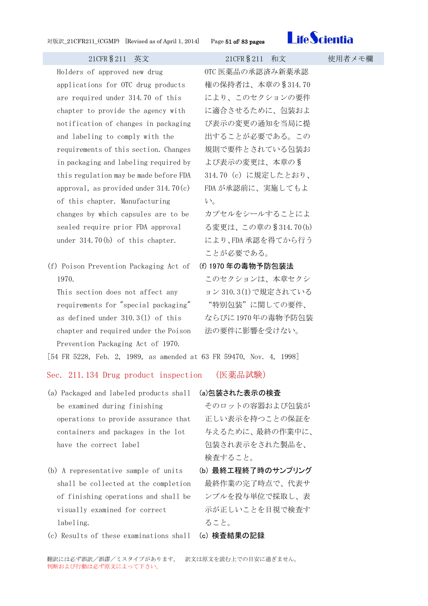

Holders of approved new drug applications for OTC drug products are required under 314.70 of this chapter to provide the agency with notification of changes in packaging and labeling to comply with the requirements of this section. Changes in packaging and labeling required by this regulation may be made before FDA approval, as provided under  $314.70(c)$ of this chapter. Manufacturing changes by which capsules are to be sealed require prior FDA approval under 314.70(b) of this chapter.

(f) Poison Prevention Packaging Act of 1970.

This section does not affect any requirements for "special packaging" as defined under 310.3(l) of this chapter and required under the Poison Prevention Packaging Act of 1970.

OTC 医薬品の承認済み新薬承認 権の保持者は、本章の§314.70 により、このセクションの要件 に適合させるために、包装およ び表示の変更の通知を当局に提 出することが必要である。この 規則で要件とされている包装お よび表示の変更は、本章の§ 314.70 (c) に規定したとおり、 FDA が承認前に、実施してもよ い。

カプセルをシールすることによ る変更は、この章の§314.70(b) により、FDA 承認を得てから行う ことが必要である。

(f) 1970 年の毒物予防包装法 このセクションは、本章セクシ ョン 310.3(1)で規定されている "特別包装"に関しての要件、

ならびに 1970年の毒物予防包装 法の要件に影響を受けない。

[54 FR 5228, Feb. 2, 1989, as amended at 63 FR 59470, Nov. 4, 1998]

Sec. 211.134 Drug product inspection (医薬品試験)

- (a) Packaged and labeled products shall (a)包装された表示の検査 be examined during finishing operations to provide assurance that containers and packages in the lot have the correct label
- (b) A representative sample of units shall be collected at the completion of finishing operations and shall be visually examined for correct labeling.
- (c) Results of these examinations shall (c) 検査結果の記録

そのロットの容器および包装が 正しい表示を持つことの保証を 与えるために、最終の作業中に、 包装され表示をされた製品を、 検査すること。

- (b) 最終工程終了時のサンプリング 最終作業の完了時点で、代表サ ンプルを投与単位で採取し、表 示が正しいことを目視で検査す ること。
-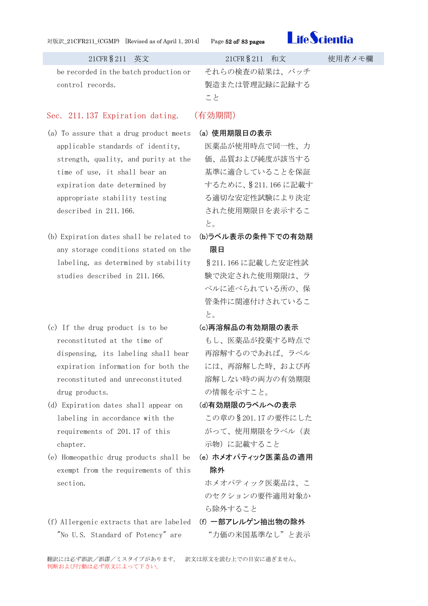### 対版訳\_21CFR211\_(CGMP) [Revised as of April 1, 2014] Page 52 of/ 83 pages



be recorded in the batch production or control records.

### Sec. 211.137 Expiration dating. (有効期間)

- (a) To assure that a drug product meets applicable standards of identity, strength, quality, and purity at the time of use, it shall bear an expiration date determined by appropriate stability testing described in 211.166.
- (b) Expiration dates shall be related to any storage conditions stated on the labeling, as determined by stability studies described in 211.166.
- (c) If the drug product is to be reconstituted at the time of dispensing, its labeling shall bear expiration information for both the reconstituted and unreconstituted drug products.
- (d) Expiration dates shall appear on labeling in accordance with the requirements of 201.17 of this chapter.
- (e) Homeopathic drug products shall be exempt from the requirements of this section.
- (f) Allergenic extracts that are labeled (f) 一部アレルゲン抽出物の除外 "No U.S. Standard of Potency" are

21CFR§211 英文 21CFR§211 和文 使用者メモ欄 それらの検査の結果は、バッチ 製造または管理記録に記録する こと

### (a) 使用期限日の表示

医薬品が使用時点で同一性、力 価、品質および純度が該当する 基準に適合していることを保証 するために、§211.166 に記載す る適切な安定性試験により決定 された使用期限日を表示するこ と。

(b)ラベル表示の条件下での有効期 限日

§211.166 に記載した安定性試 験で決定された使用期限は、ラ ベルに述べられている所の、保 管条件に関連付けされているこ と。

(c)再溶解品の有効期限の表示

もし、医薬品が投薬する時点で 再溶解するのであれば、ラベル には、再溶解した時、および再 溶解しない時の両方の有効期限 の情報を示すこと。

(d)有効期限のラベルへの表示

この章の§201.17 の要件にした がって、使用期限をラベル(表 示物)に記載すること

(e) ホメオパティック医薬品の適用 除外

ホメオパティック医薬品は、こ のセクションの要件適用対象か ら除外すること

"力価の米国基準なし"と表示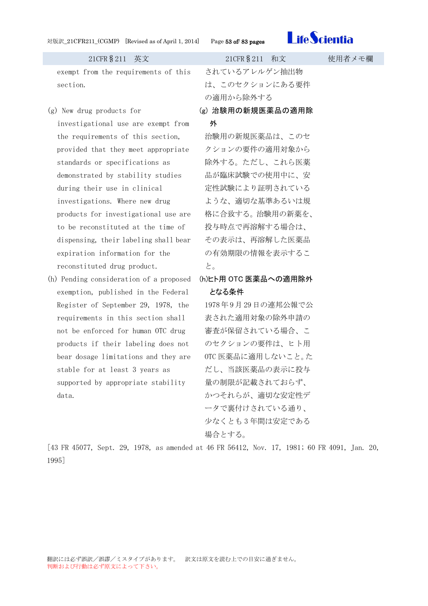

21CFR§211 英文 21CFR§211 和文 使用者メモ欄 exempt from the requirements of this section. されているアレルゲン抽出物 は、このセクションにある要件 の適用から除外する (g) New drug products for investigational use are exempt from the requirements of this section, provided that they meet appropriate standards or specifications as demonstrated by stability studies during their use in clinical investigations. Where new drug products for investigational use are to be reconstituted at the time of dispensing, their labeling shall bear expiration information for the reconstituted drug product. (g) 治験用の新規医薬品の適用除 外 治験用の新規医薬品は、このセ クションの要件の適用対象から 除外する。ただし、これら医薬 品が臨床試験での使用中に、安 定性試験により証明されている ような、適切な基準あるいは規 格に合致する。治験用の新薬を、 投与時点で再溶解する場合は、 その表示は、再溶解した医薬品 の有効期限の情報を表示するこ と。 (h) Pending consideration of a proposed exemption, published in the Federal Register of September 29, 1978, the requirements in this section shall not be enforced for human OTC drug products if their labeling does not bear dosage limitations and they are stable for at least 3 years as supported by appropriate stability data. (h)ヒト用 OTC 医薬品への適用除外 となる条件 1978年 9月 29 日の連邦公報で公 表された適用対象の除外申請の 審査が保留されている場合、こ のセクションの要件は、ヒト用 OTC 医薬品に適用しないこと。た だし、当該医薬品の表示に投与 量の制限が記載されておらず、 かつそれらが、適切な安定性デ

場合とする。

ータで裏付けされている通り、 少なくとも 3 年間は安定である

[43 FR 45077, Sept. 29, 1978, as amended at 46 FR 56412, Nov. 17, 1981; 60 FR 4091, Jan. 20, 1995]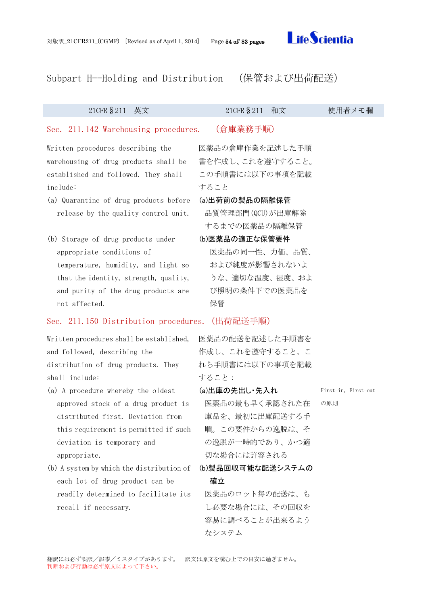

## Subpart H--Holding and Distribution (保管および出荷配送)

### 21CFR§211 英文 21CFR§211 和文 使用者メモ欄

### Sec. 211.142 Warehousing procedures. (倉庫業務手順)

Written procedures describing the warehousing of drug products shall be established and followed. They shall include:

- (a) Quarantine of drug products before (a)出荷前の製品の隔離保管 release by the quality control unit.
- (b) Storage of drug products under appropriate conditions of temperature, humidity, and light so that the identity, strength, quality, and purity of the drug products are not affected.

### Sec. 211.150 Distribution procedures.(出荷配送手順)

Written procedures shall be established, and followed, describing the distribution of drug products. They shall include:

- (a) A procedure whereby the oldest approved stock of a drug product is distributed first. Deviation from this requirement is permitted if such deviation is temporary and appropriate.
- (b) A system by which the distribution of each lot of drug product can be readily determined to facilitate its recall if necessary.

## 医薬品の倉庫作業を記述した手順 書を作成し、これを遵守すること。 この手順書には以下の事項を記載 すること

品質管理部門(QCU)が出庫解除 するまでの医薬品の隔離保管

(b)医薬品の適正な保管要件 医薬品の同一性、力価、品質、

および純度が影響されないよ うな、適切な温度、湿度、およ び照明の条件下での医薬品を 保管

医薬品の配送を記述した手順書を 作成し、これを遵守すること。こ れら手順書には以下の事項を記載 すること:

(a)出庫の先出し・先入れ

医薬品の最も早く承認された在 庫品を、最初に出庫配送する手 順。この要件からの逸脱は、そ の逸脱が一時的であり、かつ適 切な場合には許容される

(b)製品回収可能な配送システムの 確立

医薬品のロット毎の配送は、も し必要な場合には、その回収を 容易に調べることが出来るよう なシステム

翻訳には必ず誤訳/誤謬/ミスタイプがあります。 訳文は原文を読む上での目安に過ぎません。 判断および行動は必ず原文によって下さい。

First-in, First-out の原則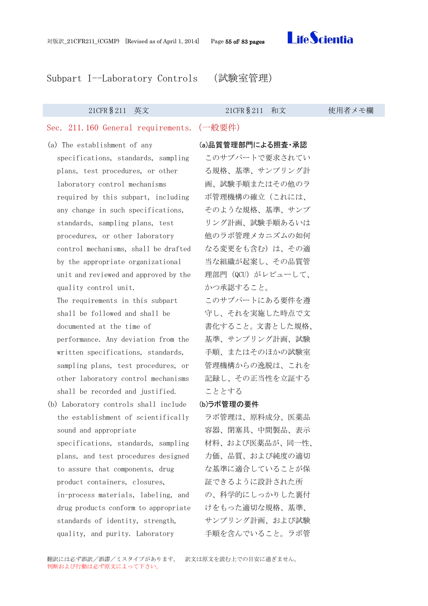Subpart I--Laboratory Controls (試験室管理)

### 21CFR§211 英文 21CFR§211 和文 使用者メモ欄

### Sec. 211.160 General requirements.(一般要件)

- (a) The establishment of any specifications, standards, sampling plans, test procedures, or other laboratory control mechanisms required by this subpart, including any change in such specifications, standards, sampling plans, test procedures, or other laboratory control mechanisms, shall be drafted by the appropriate organizational unit and reviewed and approved by the quality control unit. The requirements in this subpart shall be followed and shall be documented at the time of performance. Any deviation from the written specifications, standards, sampling plans, test procedures, or
	- other laboratory control mechanisms shall be recorded and justified.
- (b) Laboratory controls shall include the establishment of scientifically sound and appropriate specifications, standards, sampling plans, and test procedures designed to assure that components, drug product containers, closures, in-process materials, labeling, and drug products conform to appropriate standards of identity, strength, quality, and purity. Laboratory

(a)品質管理部門による照査・承認

このサブパートで要求されてい る規格、基準、サンプリング計 画、試験手順またはその他のラ ボ管理機構の確立(これには、 そのような規格、基準、サンプ リング計画、試験手順あるいは 他のラボ管理メカニズムの如何 なる変更をも含む)は、その適 当な組織が起案し、その品質管 理部門 (QCU) がレビューして、 かつ承認すること。

このサブパートにある要件を遵 守し、それを実施した時点で文 書化すること。文書とした規格、 基準、サンプリング計画、試験 手順、またはそのほかの試験室 管理機構からの逸脱は、これを 記録し、その正当性を立証する こととする

### (b)ラボ管理の要件

ラボ管理は、原料成分、医薬品 容器、閉塞具、中間製品、表示 材料、および医薬品が、同一性、 力価、品質、および純度の適切 な基準に適合していることが保 証できるように設計された所 の、科学的にしっかりした裏付 けをもった適切な規格、基準、 サンプリング計画、および試験 手順を含んでいること。ラボ管

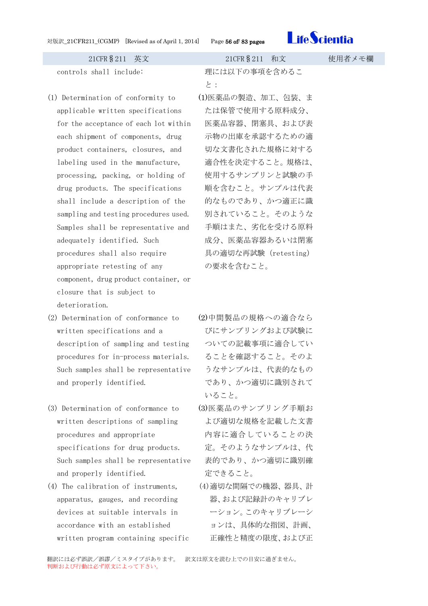

- (1) Determination of conformity to applicable written specifications for the acceptance of each lot within each shipment of components, drug product containers, closures, and labeling used in the manufacture, processing, packing, or holding of drug products. The specifications shall include a description of the sampling and testing procedures used. Samples shall be representative and adequately identified. Such procedures shall also require appropriate retesting of any component, drug product container, or closure that is subject to deterioration.
- (2) Determination of conformance to written specifications and a description of sampling and testing procedures for in-process materials. Such samples shall be representative and properly identified.
- (3) Determination of conformance to written descriptions of sampling procedures and appropriate specifications for drug products. Such samples shall be representative and properly identified.
- (4) The calibration of instruments, apparatus, gauges, and recording devices at suitable intervals in accordance with an established written program containing specific

controls shall include: 理には以下の事項を含めるこ と:

- (1)医薬品の製造、加工、包装、ま たは保管で使用する原料成分、 医薬品容器、閉塞具、および表 示物の出庫を承認するための適 切な文書化された規格に対する 適合性を決定すること。規格は、 使用するサンプリンと試験の手 順を含むこと。サンプルは代表 的なものであり、かつ適正に識 別されていること。そのような 手順はまた、劣化を受ける原料 成分、医薬品容器あるいは閉塞 具の適切な再試験(retesting) の要求を含むこと。
- (2)中間製品の規格への適合なら びにサンプリングおよび試験に ついての記載事項に適合してい ることを確認すること。そのよ うなサンプルは、代表的なもの であり、かつ適切に識別されて いること。
- (3)医薬品のサンプリング手順お よび適切な規格を記載した文書 内容に適合していることの決 定。そのようなサンプルは、代 表的であり、かつ適切に識別確 定できること。
- (4)適切な間隔での機器、器具、計 器、および記録計のキャリブレ ーション。このキャリブレーシ ョンは、具体的な指図、計画、 正確性と精度の限度、および正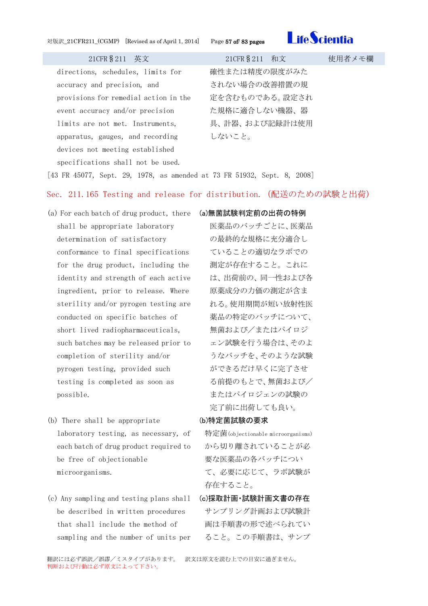対版訳\_21CFR211\_(CGMP) [Revised as of April 1, 2014] Page 57 of/ 83 pages



21CFR§211 英文 21CFR§211 和文 使用者メモ欄

directions, schedules, limits for accuracy and precision, and provisions for remedial action in the event accuracy and/or precision limits are not met. Instruments, apparatus, gauges, and recording devices not meeting established specifications shall not be used.

確性または精度の限度がみた されない場合の改善措置の規 定を含むものである。設定され た規格に適合しない機器、器 具、計器、および記録計は使用 しないこと。

[43 FR 45077, Sept. 29, 1978, as amended at 73 FR 51932, Sept. 8, 2008]

### Sec. 211.165 Testing and release for distribution.(配送のための試験と出荷)

- (a) For each batch of drug product, there shall be appropriate laboratory determination of satisfactory conformance to final specifications for the drug product, including the identity and strength of each active ingredient, prior to release. Where sterility and/or pyrogen testing are conducted on specific batches of short lived radiopharmaceuticals, such batches may be released prior to completion of sterility and/or pyrogen testing, provided such testing is completed as soon as possible.
- (b) There shall be appropriate laboratory testing, as necessary, of each batch of drug product required to be free of objectionable microorganisms.
- (c) Any sampling and testing plans shall be described in written procedures that shall include the method of sampling and the number of units per

(a)無菌試験判定前の出荷の特例 医薬品のバッチごとに、医薬品 の最終的な規格に充分適合し ていることの適切なラボでの 測定が存在すること。これに は、出荷前の、同一性および各 原薬成分の力価の測定が含ま れる。使用期間が短い放射性医 薬品の特定のバッチについて、 無菌および/またはパイロジ ェン試験を行う場合は、そのよ うなバッチを、そのような試験 ができるだけ早くに完了させ る前提のもとで、無菌および/ またはパイロジェンの試験の 完了前に出荷しても良い。

### (b)特定菌試験の要求

特定菌(objectionable microorganisms) から切り離されていることが必 要な医薬品の各バッチについ て、必要に応じて、ラボ試験が 存在すること。

(c)採取計画・試験計画文書の存在 サンプリング計画および試験計 画は手順書の形で述べられてい ること。この手順書は、サンプ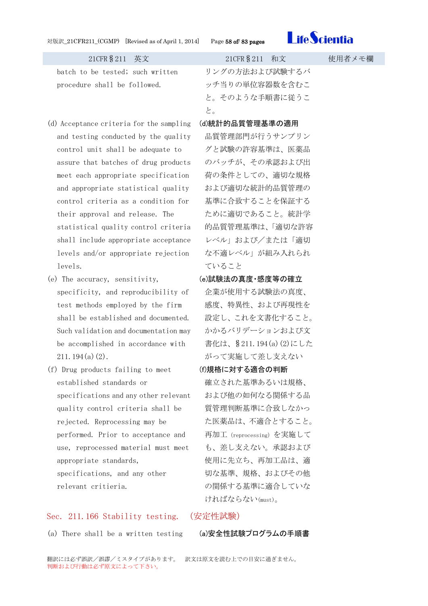

batch to be tested; such written procedure shall be followed.

- (d) Acceptance criteria for the sampling and testing conducted by the quality control unit shall be adequate to assure that batches of drug products meet each appropriate specification and appropriate statistical quality control criteria as a condition for their approval and release. The statistical quality control criteria shall include appropriate acceptance levels and/or appropriate rejection levels.
- (e) The accuracy, sensitivity, specificity, and reproducibility of test methods employed by the firm shall be established and documented. Such validation and documentation may be accomplished in accordance with  $211.194(a)(2)$ .
- (f) Drug products failing to meet established standards or specifications and any other relevant quality control criteria shall be rejected. Reprocessing may be performed. Prior to acceptance and use, reprocessed material must meet appropriate standards, specifications, and any other relevant critieria.

### Sec. 211.166 Stability testing. (安定性試験)

(a) There shall be a written testing (a)安全性試験プログラムの手順書

リングの方法および試験するバ ッチ当りの単位容器数を含むこ と。そのような手順書に従うこ と。

### (d)統計的品質管理基準の適用

品質管理部門が行うサンプリン グと試験の許容基準は、医薬品 のバッチが、その承認および出 荷の条件としての、適切な規格 および適切な統計的品質管理の 基準に合致することを保証する ために適切であること。統計学 的品質管理基準は、「適切な許容 レベル」および/または「適切 な不適レベル」が組み入れられ ていること

- (e)試験法の真度・感度等の確立 企業が使用する試験法の真度、 感度、特異性、および再現性を 設定し、これを文書化すること。 かかるバリデーションおよび文 書化は、§211.194(a)(2)にした がって実施して差し支えない
- (f)規格に対する適合の判断 確立された基準あるいは規格、
- および他の如何なる関係する品 質管理判断基準に合致しなかっ た医薬品は、不適合とすること。 再加工(reprocessing)を実施して も、差し支えない。承認および 使用に先立ち、再加工品は、適 切な基準、規格、およびその他 の関係する基準に適合していな ければならない(must)。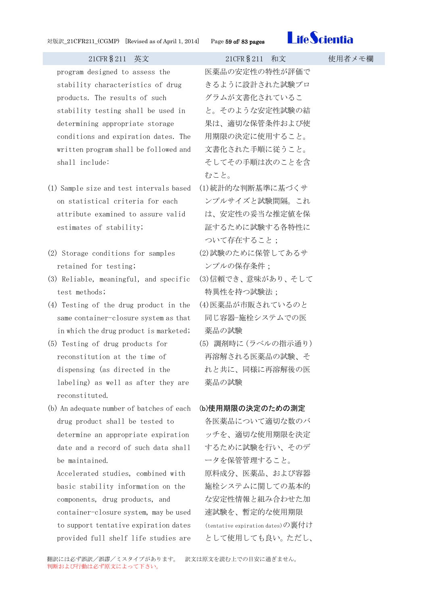

program designed to assess the stability characteristics of drug products. The results of such stability testing shall be used in determining appropriate storage conditions and expiration dates. The written program shall be followed and shall include:

- (1) Sample size and test intervals based on statistical criteria for each attribute examined to assure valid estimates of stability;
- (2) Storage conditions for samples retained for testing;
- (3) Reliable, meaningful, and specific test methods;
- (4) Testing of the drug product in the same container-closure system as that in which the drug product is marketed;
- (5) Testing of drug products for reconstitution at the time of dispensing (as directed in the labeling) as well as after they are reconstituted.
- (b) An adequate number of batches of each drug product shall be tested to determine an appropriate expiration date and a record of such data shall be maintained.

Accelerated studies, combined with basic stability information on the components, drug products, and container-closure system, may be used to support tentative expiration dates provided full shelf life studies are

医薬品の安定性の特性が評価で きるように設計された試験プロ グラムが文書化されているこ と。そのような安定性試験の結 果は、適切な保管条件および使 用期限の決定に使用すること。 文書化された手順に従うこと。 そしてその手順は次のことを含 むこと。

- (1)統計的な判断基準に基づくサ ンプルサイズと試験間隔。これ は、安定性の妥当な推定値を保 証するために試験する各特性に ついて存在すること;
- (2)試験のために保管してあるサ ンプルの保存条件;
- (3)信頼でき、意味があり、そして 特異性を持つ試験法;
- (4)医薬品が市販されているのと 同じ容器-施栓システムでの医 薬品の試験
- (5) 調剤時に(ラベルの指示通り) 再溶解される医薬品の試験、そ れと共に、同様に再溶解後の医 薬品の試験

### (b)使用期限の決定のための測定

各医薬品について適切な数のバ ッチを、適切な使用期限を決定 するために試験を行い、そのデ ータを保管管理すること。 原料成分、医薬品、および容器 施栓システムに関しての基本的 な安定性情報と組み合わせた加 速試験を、暫定的な使用期限 (tentative expiration dates)の裏付け として使用しても良い。ただし、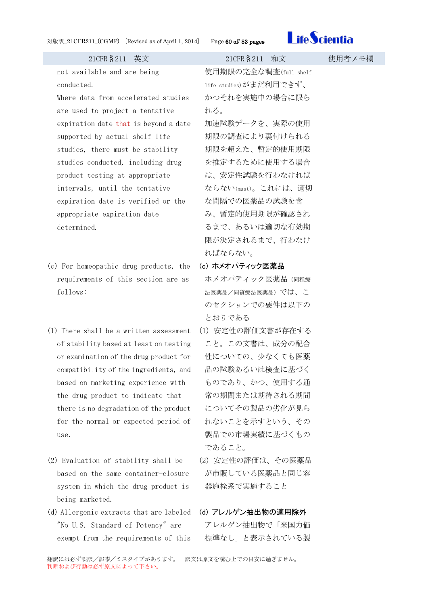

| 21CFR § 211 英文                         | 21CFR § 211 和文         | 使月 |
|----------------------------------------|------------------------|----|
| not available and are being            | 使用期限の完全な調査(full shelf  |    |
| conducted.                             | life studies)がまだ利用できず、 |    |
| Where data from accelerated studies    | かつそれを実施中の場合に限ら         |    |
| are used to project a tentative        | れる。                    |    |
| expiration date that is beyond a date  | 加速試験データを、実際の使用         |    |
| supported by actual shelf life         | 期限の調査により裏付けられる         |    |
| studies, there must be stability       | 期限を超えた、暫定的使用期限         |    |
| studies conducted, including drug      | を推定するために使用する場合         |    |
| product testing at appropriate         | は、安定性試験を行わなければ         |    |
| intervals, until the tentative         | ならない(must)。これには、適切     |    |
| expiration date is verified or the     | な間隔での医薬品の試験を含          |    |
| appropriate expiration date            | み、暫定的使用期限が確認され         |    |
| determined.                            | るまで、あるいは適切な有効期         |    |
|                                        | 限が決定されるまで、行わなけ         |    |
|                                        | ればならない。                |    |
| (c) For homeopathic drug products, the | (c) ホメオパティック医薬品        |    |
| requirements of this section are as    | ホメオパティック医薬品 (同種療       |    |
| follows:                               | 法医薬品/同質療法医薬品)では、 こ     |    |

(1) There shall be a written assessment of stability based at least on testing or examination of the drug product for compatibility of the ingredients, and based on marketing experience with the drug product to indicate that there is no degradation of the product for the normal or expected period of use.

- (2) Evaluation of stability shall be based on the same container-closure system in which the drug product is being marketed.
- (d) Allergenic extracts that are labeled "No U.S. Standard of Potency" are exempt from the requirements of this

(1) 安定性の評価文書が存在する こと。この文書は、成分の配合 性についての、少なくても医薬 品の試験あるいは検査に基づく ものであり、かつ、使用する通 常の期間または期待される期間 についてその製品の劣化が見ら れないことを示すという、その 製品での市場実績に基づくもの であること。

のセクションでの要件は以下の

とおりである

- (2) 安定性の評価は、その医薬品 が市販している医薬品と同じ容 器施栓系で実施すること
- (d) アレルゲン抽出物の適用除外 アレルゲン抽出物で「米国力価 標準なし」と表示されている製

翻訳には必ず誤訳/誤謬/ミスタイプがあります。 訳文は原文を読む上での目安に過ぎません。 判断および行動は必ず原文によって下さい。

## 日者メモ欄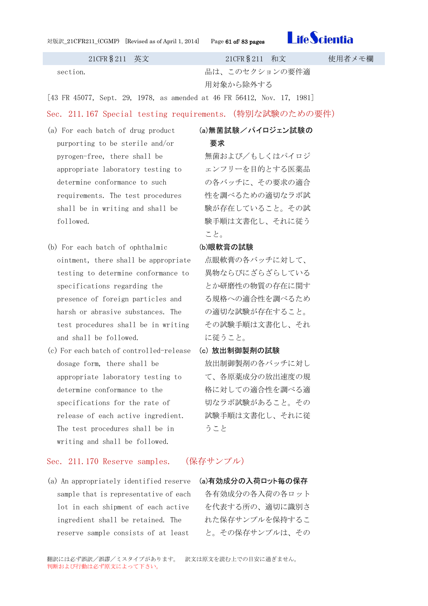対版訳\_21CFR211\_(CGMP) [Revised as of April 1, 2014] Page 61 of/ 83 pages



21CFR§211 英文 21CFR§211 和文 使用者メモ欄

section. 2000 and Table and Table and Table and Table and Table and Table and Table and Table and Ta 用対象から除外する

[43 FR 45077, Sept. 29, 1978, as amended at 46 FR 56412, Nov. 17, 1981]

### Sec. 211.167 Special testing requirements.(特別な試験のための要件)

- (a) For each batch of drug product purporting to be sterile and/or pyrogen-free, there shall be appropriate laboratory testing to determine conformance to such requirements. The test procedures shall be in writing and shall be followed.
- (b) For each batch of ophthalmic ointment, there shall be appropriate testing to determine conformance to specifications regarding the presence of foreign particles and harsh or abrasive substances. The test procedures shall be in writing and shall be followed.
- (c) For each batch of controlled-release dosage form, there shall be appropriate laboratory testing to determine conformance to the specifications for the rate of release of each active ingredient. The test procedures shall be in writing and shall be followed.

### Sec. 211.170 Reserve samples. (保存サンプル)

(a) An appropriately identified reserve (a)有効成分の入荷ロット毎の保存 sample that is representative of each lot in each shipment of each active ingredient shall be retained. The reserve sample consists of at least

### (a)無菌試験/パイロジェン試験の

### 要求

無菌および/もしくはパイロジ ェンフリーを目的とする医薬品 の各バッチに、その要求の適合 性を調べるための適切なラボ試 験が存在していること。その試 験手順は文書化し、それに従う こと。

### (b)眼軟膏の試験

点眼軟膏の各バッチに対して、 異物ならびにざらざらしている とか研磨性の物質の存在に関す る規格への適合性を調べるため の適切な試験が存在すること。 その試験手順は文書化し、それ に従うこと。

### (c) 放出制御製剤の試験

放出制御製剤の各バッチに対し て、各原薬成分の放出速度の規 格に対しての適合性を調べる適 切なラボ試験があること。その 試験手順は文書化し、それに従 うこと

各有効成分の各入荷の各ロット を代表する所の、適切に識別さ れた保存サンプルを保持するこ と。その保存サンプルは、その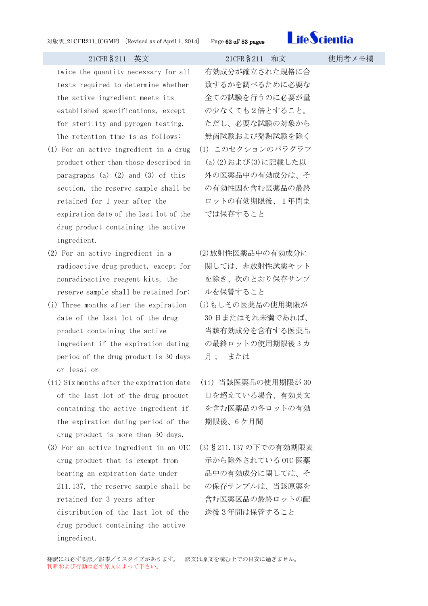

twice the quantity necessary for all tests required to determine whether the active ingredient meets its established specifications, except for sterility and pyrogen testing. The retention time is as follows:

- (1) For an active ingredient in a drug product other than those described in paragraphs (a)  $(2)$  and  $(3)$  of this section, the reserve sample shall be retained for 1 year after the expiration date of the last lot of the drug product containing the active ingredient.
- (2) For an active ingredient in a radioactive drug product, except for nonradioactive reagent kits, the reserve sample shall be retained for:
- (i) Three months after the expiration date of the last lot of the drug product containing the active ingredient if the expiration dating period of the drug product is 30 days or less; or
- (ii) Six months after the expiration date of the last lot of the drug product containing the active ingredient if the expiration dating period of the drug product is more than 30 days.
- (3) For an active ingredient in an OTC drug product that is exempt from bearing an expiration date under 211.137, the reserve sample shall be retained for 3 years after distribution of the last lot of the drug product containing the active ingredient.

有効成分が確立された規格に合 致するかを調べるために必要な 全ての試験を行うのに必要が量 の少なくても2倍とすること。 ただし、必要な試験の対象から 無菌試験および発熱試験を除く (1) このセクションのパラグラフ (a)(2)および(3)に記載した以 外の医薬品中の有効成分は、そ の有効性因を含む医薬品の最終 ロットの有効期限後、1年間ま

(2)放射性医薬品中の有効成分に 関しては、非放射性試薬キット を除き、次のとおり保存サンプ ルを保管すること

では保存すること

- (i)もしその医薬品の使用期限が 30 日またはそれ未満であれば、 当該有効成分を含有する医薬品 の最終ロットの使用期限後 3 カ 月; または
- (ii) 当該医薬品の使用期限が 30 日を超えている場合、有効英文 を含む医薬品の各ロットの有効 期限後、6 ケ月間
- (3)§211.137 の下での有効期限表 示から除外されている OTC 医薬 品中の有効成分に関しては、そ の保存サンプルは、当該原薬を 含む医薬区品の最終ロットの配 送後3年間は保管すること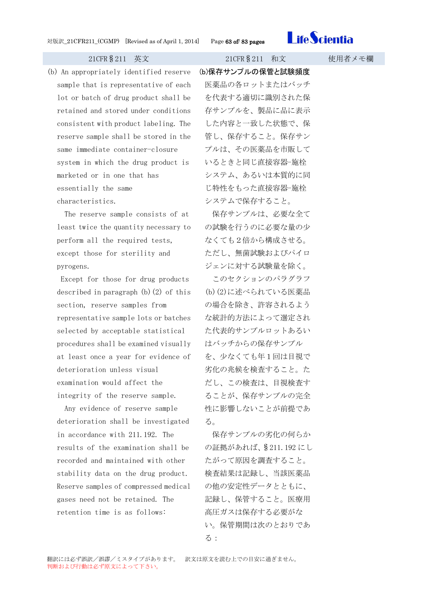

(b) An appropriately identified reserve sample that is representative of each lot or batch of drug product shall be retained and stored under conditions consistent with product labeling. The reserve sample shall be stored in the same immediate container-closure system in which the drug product is marketed or in one that has essentially the same characteristics.

The reserve sample consists of at least twice the quantity necessary to perform all the required tests, except those for sterility and pyrogens.

Except for those for drug products described in paragraph  $(b)(2)$  of this section, reserve samples from representative sample lots or batches selected by acceptable statistical procedures shall be examined visually at least once a year for evidence of deterioration unless visual examination would affect the integrity of the reserve sample.

Any evidence of reserve sample deterioration shall be investigated in accordance with 211.192. The results of the examination shall be recorded and maintained with other stability data on the drug product. Reserve samples of compressed medical gases need not be retained. The retention time is as follows:

21CFR§211 英文 21CFR§211 和文 使用者メモ欄

(b)保存サンプルの保管と試験頻度 医薬品の各ロットまたはバッチ を代表する適切に識別された保 存サンプルを、製品に品に表示

した内容と一致した状態で、保 管し、保存すること。保存サン プルは、その医薬品を市販して いるときと同じ直接容器-施栓 システム、あるいは本質的に同 じ特性をもった直接容器-施栓 システムで保存すること。

保存サンプルは、必要な全て の試験を行うのに必要な量の少 なくても2倍から構成させる。 ただし、無菌試験およびパイロ ジェンに対する試験量を除く。

このセクションのパラグラフ (b)(2)に述べられている医薬品 の場合を除き、許容されるよう な統計的方法によって選定され た代表的サンプルロットあるい はバッチからの保存サンプル を、少なくても年1回は目視で 劣化の兆候を検査すること。た だし、この検査は、目視検査す ることが、保存サンプルの完全 性に影響しないことが前提であ る。

保存サンプルの劣化の何らか の証拠があれば、§211.192 にし たがって原因を調査すること。 検査結果は記録し、当該医薬品 の他の安定性データとともに、 記録し、保管すること。医療用 高圧ガスは保存する必要がな い。保管期間は次のとおりであ る: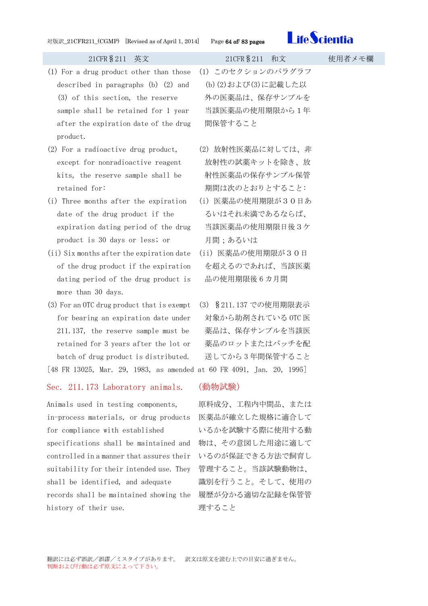

- (1) For a drug product other than those described in paragraphs (b) (2) and (3) of this section, the reserve sample shall be retained for 1 year after the expiration date of the drug product.
- (2) For a radioactive drug product, except for nonradioactive reagent kits, the reserve sample shall be retained for:
- (i) Three months after the expiration date of the drug product if the expiration dating period of the drug product is 30 days or less; or
- (ii) Six months after the expiration date of the drug product if the expiration dating period of the drug product is more than 30 days.
- (3) For an OTC drug product that is exempt for bearing an expiration date under 211.137, the reserve sample must be retained for 3 years after the lot or batch of drug product is distributed.

[48 FR 13025, Mar. 29, 1983, as amended at 60 FR 4091, Jan. 20, 1995]

### Sec. 211.173 Laboratory animals. (動物試験)

Animals used in testing components, in-process materials, or drug products for compliance with established specifications shall be maintained and 物は、その意図した用途に適して controlled in a manner that assures their suitability for their intended use. They shall be identified, and adequate records shall be maintained showing the 履歴が分かる適切な記録を保管管 history of their use.

(1) このセクションのパラグラフ (b)(2)および(3)に記載した以 外の医薬品は、保存サンプルを 当該医薬品の使用期限から1年 間保管すること

- (2) 放射性医薬品に対しては、非 放射性の試薬キットを除き、放 射性医薬品の保存サンプル保管 期間は次のとおりとすること:
- (i) 医薬品の使用期限が30日あ るいはそれ未満であるならば、 当該医薬品の使用期限日後3ケ 月間;あるいは
- (ii) 医薬品の使用期限が30日 を超えるのであれば、当該医薬 品の使用期限後 6 カ月間
- (3) §211.137 での使用期限表示 対象から助剤されている OTC 医 薬品は、保存サンプルを当該医 薬品のロットまたはバッチを配 送してから 3 年間保管すること

原料成分、工程内中間品、または 医薬品が確立した規格に適合して いるかを試験する際に使用する動 いるのが保証できる方法で飼育し 管理すること。当該試験動物は、 識別を行うこと。そして、使用の 理すること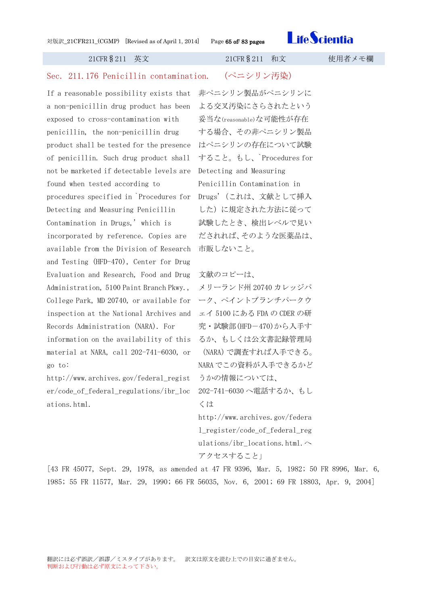

| 21CFR § 211<br>英文                        | 21CFR § 211<br>和文                   | 使用者メモ欄 |
|------------------------------------------|-------------------------------------|--------|
| Sec. 211.176 Penicillin contamination.   | (ペニシリン汚染)                           |        |
| If a reasonable possibility exists that  | 非ペニシリン製品がペニシリンに                     |        |
| a non-penicillin drug product has been   | よる交叉汚染にさらされたという                     |        |
| exposed to cross-contamination with      | 妥当な(reasonable)な可能性が存在              |        |
| penicillin, the non-penicillin drug      | する場合、その非ペニシリン製品                     |        |
| product shall be tested for the presence | はペニシリンの存在について試験                     |        |
| of penicillin. Such drug product shall   | すること。もし、Procedures for              |        |
| not be marketed if detectable levels are | Detecting and Measuring             |        |
| found when tested according to           | Penicillin Contamination in         |        |
| procedures specified in Procedures for   | Drugs' (これは、文献として挿入                 |        |
| Detecting and Measuring Penicillin       | した)に規定された方法に従って                     |        |
| Contamination in Drugs,' which is        | 試験したとき、検出レベルで見い                     |        |
| incorporated by reference. Copies are    | だされれば、そのような医薬品は、                    |        |
| available from the Division of Research  | 市販しないこと。                            |        |
| and Testing (HFD-470), Center for Drug   |                                     |        |
| Evaluation and Research, Food and Drug   | 文献のコピーは、                            |        |
| Administration, 5100 Paint Branch Pkwy., | メリーランド州 20740 カレッジパ                 |        |
| College Park, MD 20740, or available for | ーク、ペイントブランチパークウ                     |        |
| inspection at the National Archives and  | ェイ 5100 にある FDA の CDER の研           |        |
| Records Administration (NARA). For       | 究・試験部(HFD-470)から入手す                 |        |
| information on the availability of this  | るか、もしくは公文書記録管理局                     |        |
| material at NARA, call 202-741-6030, or  | (NARA)で調査すれば入手できる。                  |        |
| go to:                                   | NARA でこの資料が入手できるかど                  |        |
| http://www.archives.gov/federal_regist   | うかの情報については、                         |        |
| er/code_of_federal_regulations/ibr_loc   | 202-741-6030へ電話するか、もし               |        |
| ations.html.                             | くは                                  |        |
|                                          | http://www.archives.gov/federa      |        |
|                                          | 1_register/code_of_federal_reg      |        |
|                                          | ulations/ibr_locations.html. $\sim$ |        |

[43 FR 45077, Sept. 29, 1978, as amended at 47 FR 9396, Mar. 5, 1982; 50 FR 8996, Mar. 6, 1985; 55 FR 11577, Mar. 29, 1990; 66 FR 56035, Nov. 6, 2001; 69 FR 18803, Apr. 9, 2004]

アクセスすること」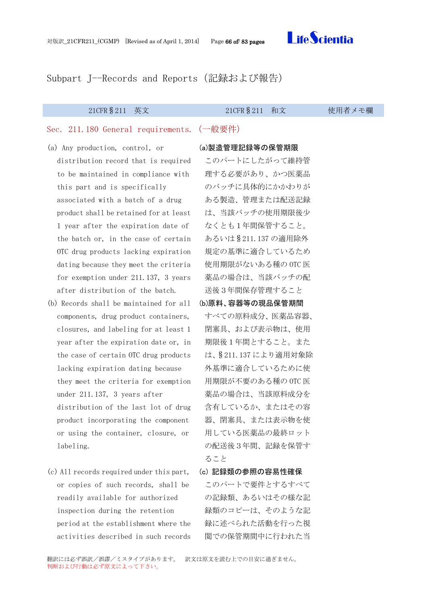

Subpart J--Records and Reports(記録および報告)

### 21CFR§211 英文 21CFR§211 和文 使用者メモ欄

### Sec. 211.180 General requirements.(一般要件)

- (a) Any production, control, or distribution record that is required to be maintained in compliance with this part and is specifically associated with a batch of a drug product shall be retained for at least 1 year after the expiration date of the batch or, in the case of certain OTC drug products lacking expiration dating because they meet the criteria for exemption under 211.137, 3 years after distribution of the batch.
- (b) Records shall be maintained for all components, drug product containers, closures, and labeling for at least 1 year after the expiration date or, in the case of certain OTC drug products lacking expiration dating because they meet the criteria for exemption under 211.137, 3 years after distribution of the last lot of drug product incorporating the component or using the container, closure, or labeling.
- (c) All records required under this part, or copies of such records, shall be readily available for authorized inspection during the retention period at the establishment where the activities described in such records

### (a)製造管理記録等の保管期限

このパートにしたがって維持管 理する必要があり、かつ医薬品 のバッチに具体的にかかわりが ある製造、管理または配送記録 は、当該バッチの使用期限後少 なくとも1年間保管すること。 あるいは§211.137 の適用除外 規定の基準に適合しているため 使用期限がないある種の OTC 医 薬品の場合は、当該バッチの配 送後3年間保存管理すること

### (b)原料、容器等の現品保管期間

- すべての原料成分、医薬品容器、 閉塞具、および表示物は、使用 期限後1年間とすること。また は、§211.137 により適用対象除 外基準に適合しているために使 用期限が不要のある種の OTC 医 薬品の場合は、当該原料成分を 含有しているか、またはその容 器、閉塞具、または表示物を使 用している医薬品の最終ロット の配送後3年間、記録を保管す ること
- (c) 記録類の参照の容易性確保 このパートで要件とするすべて の記録類、あるいはその様な記 録類のコピーは、そのような記 録に述べられた活動を行った視 閲での保管期間中に行われた当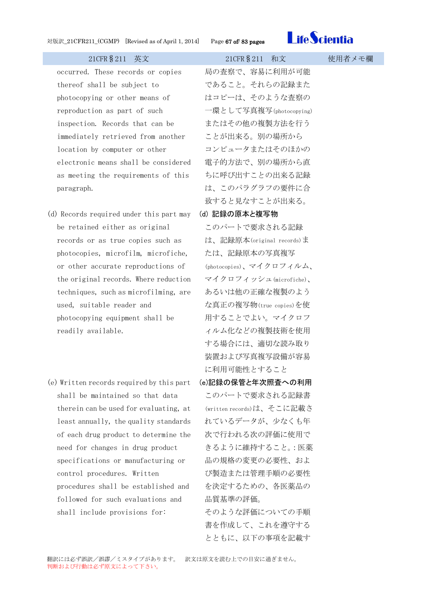

occurred. These records or copies thereof shall be subject to photocopying or other means of reproduction as part of such inspection. Records that can be immediately retrieved from another location by computer or other electronic means shall be considered as meeting the requirements of this paragraph.

- (d) Records required under this part may be retained either as original records or as true copies such as photocopies, microfilm, microfiche, or other accurate reproductions of the original records. Where reduction techniques, such as microfilming, are used, suitable reader and photocopying equipment shall be readily available.
- (e) Written records required by this part shall be maintained so that data therein can be used for evaluating, at least annually, the quality standards of each drug product to determine the need for changes in drug product specifications or manufacturing or control procedures. Written procedures shall be established and followed for such evaluations and shall include provisions for:

局の査察で、容易に利用が可能 であること。それらの記録また はコピーは、そのような査察の 一環として写真複写(photocopying) またはその他の複製方法を行う ことが出来る。別の場所から コンピュータまたはそのほかの 電子的方法で、別の場所から直 ちに呼び出すことの出来る記録 は、このパラグラフの要件に合 致すると見なすことが出来る。 (d) 記録の原本と複写物

## このパートで要求される記録 は、記録原本(original records)ま たは、記録原本の写真複写 (photocopies)、マイクロフィルム、 マイクロフィッシュ(microfiche)、 あるいは他の正確な複製のよう な真正の複写物(true copies)を使 用することでよい。マイクロフ ィルム化などの複製技術を使用 する場合には、適切な読み取り 装置および写真複写設備が容易 に利用可能性とすること

(e)記録の保管と年次照査への利用 このパートで要求される記録書 (written records)は、そこに記載さ れているデータが、少なくも年 次で行われる次の評価に使用で きるように維持すること。:医薬 品の規格の変更の必要性、およ び製造または管理手順の必要性 を決定するための、各医薬品の 品質基準の評価。

そのような評価についての手順 書を作成して、これを遵守する とともに、以下の事項を記載す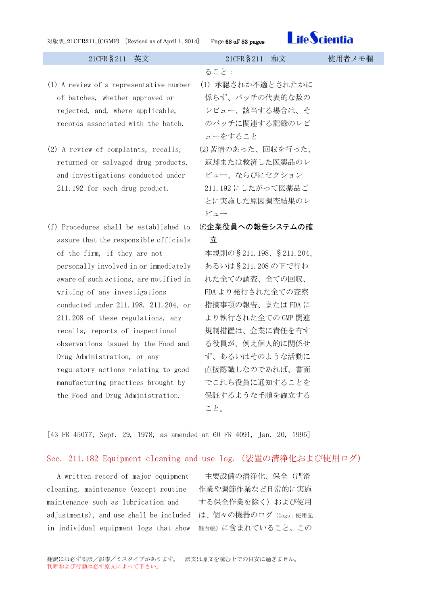

- (1) A review of a representative number of batches, whether approved or rejected, and, where applicable, records associated with the batch.
- (2) A review of complaints, recalls, returned or salvaged drug products, and investigations conducted under 211.192 for each drug product.
- (f) Procedures shall be established to assure that the responsible officials of the firm, if they are not personally involved in or immediately aware of such actions, are notified in writing of any investigations conducted under 211.198, 211.204, or 211.208 of these regulations, any recalls, reports of inspectional observations issued by the Food and Drug Administration, or any regulatory actions relating to good manufacturing practices brought by the Food and Drug Administration.

ること:

- (1) 承認されか不適とされたかに 係らず、バッチの代表的な数の レビュー、該当する場合は、そ のバッチに関連する記録のレビ ューをすること
- (2)苦情のあった、回収を行った、 返却または救済した医薬品のレ ビュー、ならびにセクション 211.192 にしたがって医薬品ご とに実施した原因調査結果のレ ビュー
- (f)企業役員への報告システムの確 立

本規則の§211.198、§211.204、 あるいは§211.208 の下で行わ れた全ての調査、全ての回収、 FDA より発行された全ての査察 指摘事項の報告、または FDA に より執行された全ての GMP 関連 規制措置は、企業に責任を有す る役員が、例え個人的に関係せ ず、あるいはそのような活動に 直接認識しなのであれば、書面 でこれら役員に通知することを 保証するような手順を確立する こと。

[43 FR 45077, Sept. 29, 1978, as amended at 60 FR 4091, Jan. 20, 1995]

### Sec. 211.182 Equipment cleaning and use log.(装置の清浄化および使用ログ)

A written record of major equipment cleaning, maintenance (except routine maintenance such as lubrication and adjustments), and use shall be included は、個々の機器のログ(logs:使用記 in individual equipment logs that show 録台帳)に含まれていること。この

主要設備の清浄化、保全(潤滑 作業や調節作業など日常的に実施 する保全作業を除く)および使用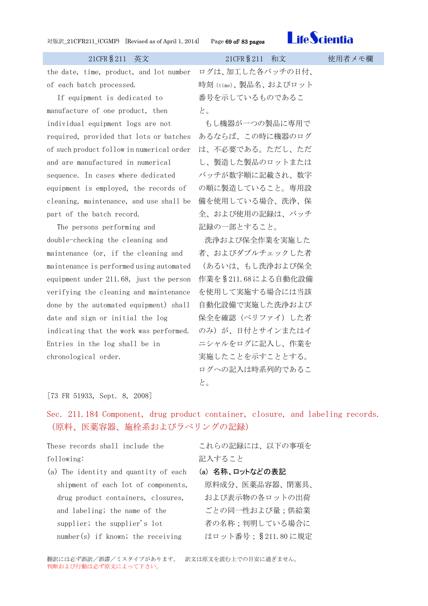

21CFR§211 英文 21CFR§211 和文 使用者メモ欄 the date, time, product, and lot number of each batch processed. If equipment is dedicated to manufacture of one product, then individual equipment logs are not required, provided that lots or batches of such product follow in numerical order and are manufactured in numerical sequence. In cases where dedicated equipment is employed, the records of cleaning, maintenance, and use shall be 備を使用している場合、洗浄、保 part of the batch record. The persons performing and double-checking the cleaning and maintenance (or, if the cleaning and maintenance is performed using automated equipment under 211.68, just the person 作業を§211.68による自動化設備 verifying the cleaning and maintenance done by the automated equipment) shall date and sign or initial the log indicating that the work was performed. Entries in the log shall be in chronological order. ログは、加工した各バッチの日付、 時刻(time)、製品名、およびロット 番号を示しているものであるこ と。 もし機器が一つの製品に専用で あるならば、この時に機器のログ は、不必要である。ただし、ただ し、製造した製品のロットまたは バッチが数字順に記載され、数字 の順に製造していること。専用設 全、および使用の記録は、バッチ 記録の一部とすること。 洗浄および保全作業を実施した 者、およびダブルチェックした者 (あるいは、もし洗浄および保全 を使用して実施する場合には当該 自動化設備で実施した洗浄および 保全を確認(ベリファイ)した者 のみ)が、日付とサインまたはイ ニシャルをログに記入し、作業を 実施したことを示すこととする。 ログへの記入は時系列的であるこ

と。

[73 FR 51933, Sept. 8, 2008]

Sec. 211.184 Component, drug product container, closure, and labeling records. (原料、医薬容器、施栓系およびラべリングの記録)

These records shall include the following:

これらの記録には、以下の事項を 記入すること

- (a) 名称、ロットなどの表記
- shipment of each lot of components, drug product containers, closures, and labeling; the name of the supplier; the supplier's lot number(s) if known; the receiving

(a) The identity and quantity of each

原料成分、医薬品容器、閉塞具、 および表示物の各ロットの出荷 ごとの同一性および量;供給業 者の名称;判明している場合に はロット番号;§211.80 に規定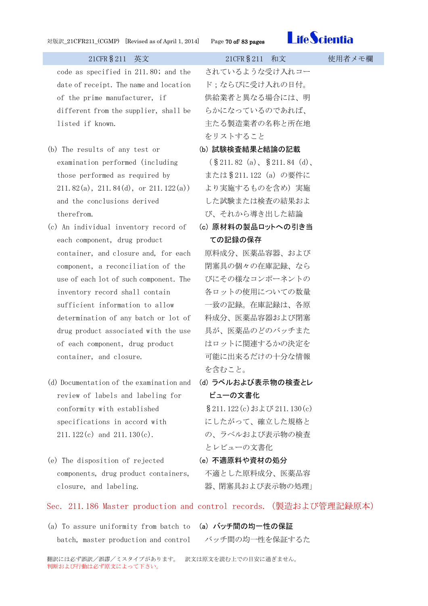

| 21CFR § 211 英文                                                    | 21CFR § 211 和文                   | 使用者メモ欄 |
|-------------------------------------------------------------------|----------------------------------|--------|
| code as specified in 211.80; and the                              | されているような受け入れコー                   |        |
| date of receipt. The name and location                            | ド;ならびに受け入れの日付。                   |        |
| of the prime manufacturer, if                                     | 供給業者と異なる場合には、明                   |        |
| different from the supplier, shall be                             | らかになっているのであれば、                   |        |
| listed if known.                                                  | 主たる製造業者の名称と所在地                   |        |
|                                                                   | をリストすること                         |        |
| (b) The results of any test or                                    | (b) 試験検査結果と結論の記載                 |        |
| examination performed (including                                  | $(\$211.82\ (a), \$211.84\ (d),$ |        |
| those performed as required by                                    | または§211.122 (a) の要件に             |        |
| 211.82(a), 211.84(d), or 211.122(a)                               | より実施するものを含め)実施                   |        |
| and the conclusions derived                                       | した試験または検査の結果およ                   |        |
| therefrom.                                                        | び、それから導き出した結論                    |        |
| (c) An individual inventory record of                             | (c) 原材料の製品ロットへの引き当               |        |
| each component, drug product                                      | ての記録の保存                          |        |
| container, and closure and, for each                              | 原料成分、医薬品容器、および                   |        |
| component, a reconciliation of the                                | 閉塞具の個々の在庫記録、なら                   |        |
| use of each lot of such component. The                            | びにその様なコンポーネントの                   |        |
| inventory record shall contain                                    | 各ロットの使用についての数量                   |        |
| sufficient information to allow                                   | 一致の記録。在庫記録は、各原                   |        |
| determination of any batch or lot of                              | 料成分、医薬品容器および閉塞                   |        |
| drug product associated with the use                              | 具が、医薬品のどのバッチまた                   |        |
| of each component, drug product                                   | はロットに関連するかの決定を                   |        |
| container, and closure.                                           | 可能に出来るだけの十分な情報                   |        |
|                                                                   | を含むこと。                           |        |
| (d) Documentation of the examination and                          | (d) ラベルおよび表示物の検査とレ               |        |
| review of labels and labeling for                                 | ビューの文書化                          |        |
| conformity with established                                       | § 211.122 (c) および 211.130 (c)    |        |
| specifications in accord with                                     | にしたがって、確立した規格と                   |        |
| 211. $122(c)$ and 211. $130(c)$ .                                 | の、ラベルおよび表示物の検査                   |        |
|                                                                   | とレビューの文書化                        |        |
| (e) The disposition of rejected                                   | (e) 不適原料や資材の処分                   |        |
| components, drug product containers,                              | 不適とした原料成分、医薬品容                   |        |
| closure, and labeling.                                            | 器、閉塞具および表示物の処理」                  |        |
| Sec. 211.186 Master production and control records. (製造および管理記録原本) |                                  |        |

(a) To assure uniformity from batch to (a) バッチ間の均一性の保証 batch, master production and control

バッチ間の均一性を保証するた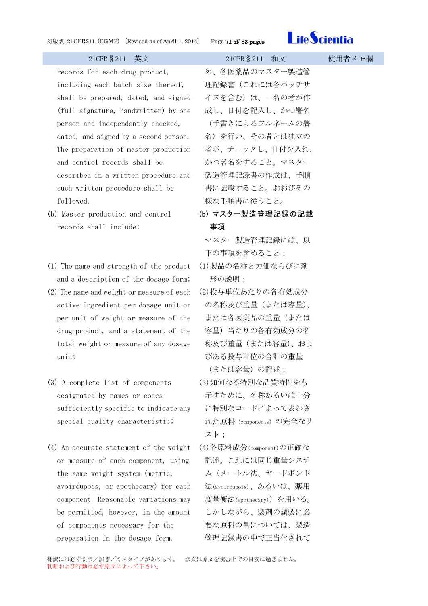

records for each drug product, including each batch size thereof, shall be prepared, dated, and signed (full signature, handwritten) by one person and independently checked, dated, and signed by a second person. The preparation of master production and control records shall be described in a written procedure and such written procedure shall be followed.

- (b) Master production and control records shall include:
- (1) The name and strength of the product and a description of the dosage form;
- (2) The name and weight or measure of each active ingredient per dosage unit or per unit of weight or measure of the drug product, and a statement of the total weight or measure of any dosage unit;
- (3) A complete list of components designated by names or codes sufficiently specific to indicate any special quality characteristic;
- (4) An accurate statement of the weight or measure of each component, using the same weight system (metric, avoirdupois, or apothecary) for each component. Reasonable variations may be permitted, however, in the amount of components necessary for the preparation in the dosage form,

め、各医薬品のマスター製造管 理記録書(これには各バッチサ イズを含む)は、一名の者が作 成し、日付を記入し、かつ署名 (手書きによるフルネームの署 名)を行い、その者とは独立の 者が、チェックし、日付を入れ、 かつ署名をすること。マスター 製造管理記録書の作成は、手順 書に記載すること。おおびその 様な手順書に従うこと。

(b) マスター製造管理記録の記載 事項

マスター製造管理記録には、以 下の事項を含めること:

- (1)製品の名称と力価ならびに剤 形の説明;
- (2)投与単位あたりの各有効成分 の名称及び重量(または容量)、 または各医薬品の重量(または 容量)当たりの各有効成分の名 称及び重量(または容量)、およ びある投与単位の合計の重量 (または容量)の記述;
- (3)如何なる特別な品質特性をも 示すために、名称あるいは十分 に特別なコードによって表わさ れた原料(components)の完全なリ スト;
- (4)各原料成分(component)の正確な 記述。これには同じ重量システ ム(メートル法、ヤードポンド 法(avoirdupois)、あるいは、薬用 度量衡法(apothecary))を用いる。 しかしながら、製剤の調製に必 要な原料の量については、製造 管理記録書の中で正当化されて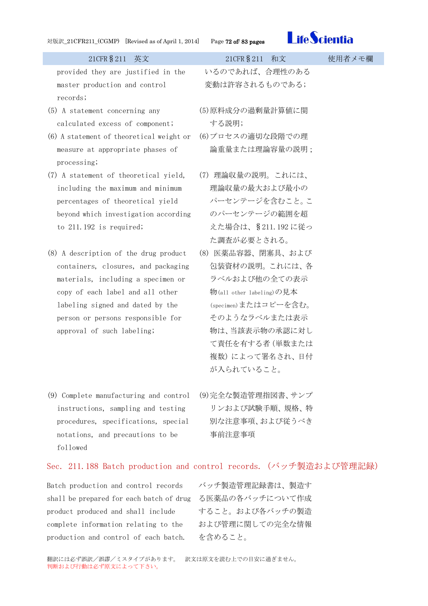

| 21CFR § 211 英文                           | 21CFR § 211 和文           | 使用者メモ欄 |
|------------------------------------------|--------------------------|--------|
| provided they are justified in the       | いるのであれば、合理性のある           |        |
| master production and control            | 変動は許容されるものである;           |        |
| records;                                 |                          |        |
| (5) A statement concerning any           | (5)原料成分の過剰量計算値に関         |        |
| calculated excess of component;          | する説明;                    |        |
| (6) A statement of theoretical weight or | (6)プロセスの適切な段階での理         |        |
| measure at appropriate phases of         | 論重量または理論容量の説明;           |        |
| processing;                              |                          |        |
| (7) A statement of theoretical yield,    | (7) 理論収量の説明。これには、        |        |
| including the maximum and minimum        | 理論収量の最大および最小の            |        |
| percentages of theoretical yield         | パーセンテージを含むこと。こ           |        |
| beyond which investigation according     | のパーセンテージの範囲を超            |        |
| to $211.192$ is required;                | えた場合は、§211.192に従っ        |        |
|                                          | た調査が必要とされる。              |        |
| (8) A description of the drug product    | (8) 医薬品容器、閉塞具、および        |        |
| containers, closures, and packaging      | 包装資材の説明。これには、各           |        |
| materials, including a specimen or       | ラベルおよび他の全ての表示            |        |
| copy of each label and all other         | 物(all other labeling)の見本 |        |
| labeling signed and dated by the         | (specimen)またはコピーを含む。     |        |
| person or persons responsible for        | そのようなラベルまたは表示            |        |
| approval of such labeling;               | 物は、当該表示物の承認に対し           |        |
|                                          | て責任を有する者 (単数または          |        |
|                                          | 複数)によって署名され、日付           |        |
|                                          | が入られていること。               |        |
| (9) Complete manufacturing and control   | (9)完全な製造管理指図書、サンプ        |        |

- instructions, sampling and testing procedures, specifications, special notations, and precautions to be followed
- リンおよび試験手順、規格、特 別な注意事項、および従うべき 事前注意事項

### Sec. 211.188 Batch production and control records.(バッチ製造および管理記録)

Batch production and control records shall be prepared for each batch of drug る医薬品の各バッチについて作成 product produced and shall include complete information relating to the production and control of each batch.

バッチ製造管理記録書は、製造す すること。および各バッチの製造 および管理に関しての完全な情報 を含めること。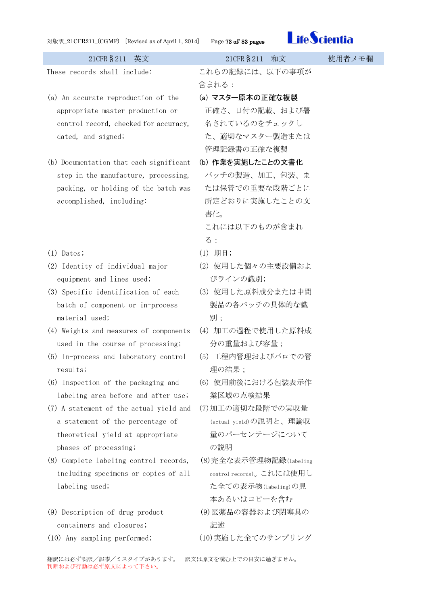

These records shall include: これらの記録には、以下の事項が 含まれる: (a) An accurate reproduction of the appropriate master production or control record, checked for accuracy, dated, and signed; (a) マスター原本の正確な複製 正確さ、日付の記載、および署 名されているのをチェックし た、適切なマスター製造または 管理記録書の正確な複製 (b) Documentation that each significant step in the manufacture, processing, packing, or holding of the batch was accomplished, including: (b) 作業を実施したことの文書化 バッチの製造、加工、包装、ま たは保管での重要な段階ごとに 所定どおりに実施したことの文 書化。 これには以下のものが含まれ る: (1) Dates; (1) 期日; (2) Identity of individual major equipment and lines used; (2) 使用した個々の主要設備およ びラインの識別; (3) Specific identification of each batch of component or in-process material used; (3) 使用した原料成分または中間 製品の各バッチの具体的な識 別; (4) Weights and measures of components used in the course of processing; (4) 加工の過程で使用した原料成 分の重量および容量; (5) In-process and laboratory control results; (5) 工程内管理およびバロでの管 理の結果: (6) Inspection of the packaging and labeling area before and after use; (6) 使用前後における包装表示作 業区域の点検結果 (7) A statement of the actual yield and a statement of the percentage of theoretical yield at appropriate phases of processing; (7)加工の適切な段階での実収量 (actual yield)の説明と、理論収 量のパーセンテージについて の説明 (8) Complete labeling control records, including specimens or copies of all labeling used; (8)完全な表示管理物記録(labeling control records)。これには使用し た全ての表示物(labeling)の見 本あるいはコピーを含む (9) Description of drug product containers and closures; (9)医薬品の容器および閉塞具の 記述

(10) Any sampling performed; (10)実施した全てのサンプリング

翻訳には必ず誤訳/誤謬/ミスタイプがあります。 訳文は原文を読む上での目安に過ぎません。

判断および行動は必ず原文によって下さい。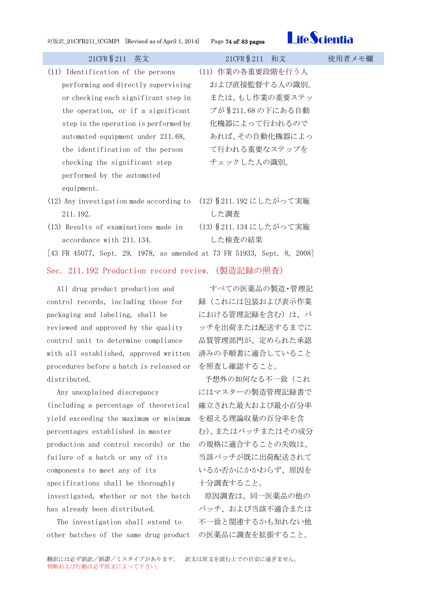

| 21CFR § 211 英文                                                          | 21CFR § 211 和文          | 使用者メモ欄 |
|-------------------------------------------------------------------------|-------------------------|--------|
| (11) Identification of the persons                                      | (11) 作業の各重要段階を行う人       |        |
| performing and directly supervising                                     | および直接監督する人の識別。          |        |
| or checking each significant step in                                    | または、もし作業の重要ステッ          |        |
| the operation, or if a significant                                      | プが§211.68の下にある自動        |        |
| step in the operation is performed by                                   | 化機器によって行われるので           |        |
| automated equipment under 211.68,                                       | あれば、その自動化機器によっ          |        |
| the identification of the person                                        | て行われる重要なステップを           |        |
| checking the significant step                                           | チェックした人の識別。             |        |
| performed by the automated                                              |                         |        |
| equipment.                                                              |                         |        |
| (12) Any investigation made according to                                | (12) § 211.192 にしたがって実施 |        |
| 211.192.                                                                | した調査                    |        |
| (13) Results of examinations made in                                    | (13) § 211.134 にしたがって実施 |        |
| accordance with 211.134.                                                | した検査の結果                 |        |
| [43 FR 45077, Sept. 29, 1978, as amended at 73 FR 51933, Sept. 8, 2008] |                         |        |
| Sec. 211.192 Production record review. (製造記録の照査)                        |                         |        |

All drug product production and control records, including those for packaging and labeling, shall be reviewed and approved by the quality control unit to determine compliance with all established, approved written procedures before a batch is released or distributed.

Any unexplained discrepancy (including a percentage of theoretical yield exceeding the maximum or minimum percentages established in master production and control records) or the failure of a batch or any of its components to meet any of its specifications shall be thoroughly investigated, whether or not the batch has already been distributed.

The investigation shall extend to other batches of the same drug product

すべての医薬品の製造・管理記 録(これには包装および表示作業 における管理記録を含む)は、バ ッチを出荷または配送するまでに 品質管理部門が、定められた承認 済みの手順書に適合していること を照査し確認すること。

予想外の如何なる不一致(これ にはマスターの製造管理記録書で 確立された最大および最小百分率 を超える理論収量の百分率を含 む)、またはバッチまたはその成分 の規格に適合することの失敗は、 当該バッチが既に出荷配送されて いるか否かにかかわらず、原因を 十分調査すること。

原因調査は、同一医薬品の他の バッチ、および当該不適合または 不一致と関連するかも知れない他 の医薬品に調査を拡張すること。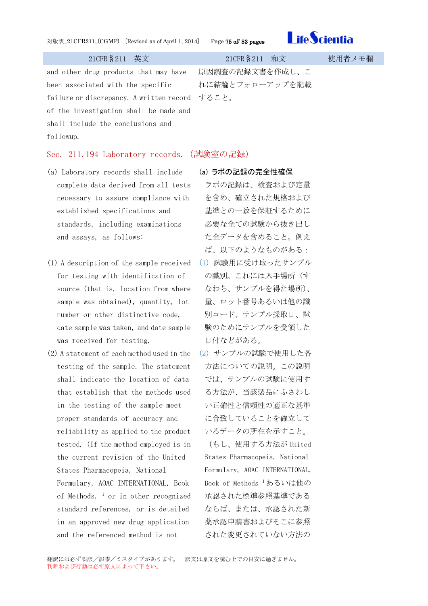

and other drug products that may have been associated with the specific failure or discrepancy. A written record すること。 of the investigation shall be made and shall include the conclusions and followup.

原因調査の記録文書を作成し、こ れに結論とフォローアップを記載

# Sec. 211.194 Laboratory records.(試験室の記録)

- (a) Laboratory records shall include complete data derived from all tests necessary to assure compliance with established specifications and standards, including examinations and assays, as follows:
- (1) A description of the sample received for testing with identification of source (that is, location from where sample was obtained), quantity, lot number or other distinctive code, date sample was taken, and date sample was received for testing.
- (2) A statement of each method used in the testing of the sample. The statement shall indicate the location of data that establish that the methods used in the testing of the sample meet proper standards of accuracy and reliability as applied to the product tested. (If the method employed is in the current revision of the United States Pharmacopeia, National Formulary, AOAC INTERNATIONAL, Book of Methods,  $\frac{1}{1}$  or in other recognized standard references, or is detailed in an approved new drug application and the referenced method is not

# (a) ラボの記録の完全性確保

- ラボの記録は、検査および定量 を含め、確立された規格および 基準との一致を保証するために 必要な全ての試験から抜き出し た全データを含めること。例え ば、以下のようなものがある: (1) 試験用に受け取ったサンプル
- の識別。これには入手場所(す なわち、サンプルを得た場所)、 量、ロット番号あるいは他の識 別コード、サンプル採取日、試 験のためにサンプルを受領した 日付などがある。
- (2) サンプルの試験で使用した各 方法についての説明。この説明 では、サンプルの試験に使用す る方法が、当該製品にふさわし い正確性と信頼性の適正な基準 に合致していることを確立して いるデータの所在を示すこと。

(もし、使用する方法が United States Pharmacopeia, National Formulary, AOAC INTERNATIONAL, Book of Methods <sup>1</sup>あるいは他の 承認された標準参照基準である ならば、または、承認された新 薬承認申請書およびそこに参照 された変更されていない方法の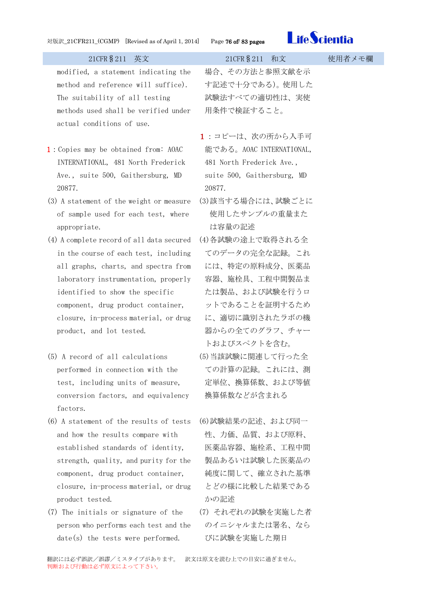

| 刈版訳_ZIUFRZII_(UGNIP) [Revised as of April 1, 2014] Page 76 of 85 pages       | <b>LIIU JULIUL</b>                    |
|------------------------------------------------------------------------------|---------------------------------------|
| 21CFR § 211<br>英文                                                            | 21CFR § 211<br>和文<br>使用者メモ欄           |
| modified, a statement indicating the<br>method and reference will suffice).  | 場合、その方法と参照文献を示<br>す記述で十分である)。使用した     |
| The suitability of all testing                                               | 試験法すべての適切性は、実使                        |
| methods used shall be verified under<br>actual conditions of use.            | 用条件で検証すること。                           |
|                                                                              | 1:コピーは、次の所から入手可                       |
| 1: Copies may be obtained from: AOAC                                         | 能である。AOAC INTERNATIONAL,              |
| INTERNATIONAL, 481 North Frederick                                           | 481 North Frederick Ave.,             |
| Ave., suite 500, Gaithersburg, MD<br>20877.                                  | suite 500, Gaithersburg, MD<br>20877. |
| (3) A statement of the weight or measure                                     | (3)該当する場合には、試験ごとに                     |
| of sample used for each test, where<br>appropriate.                          | 使用したサンプルの重量また<br>は容量の記述               |
| (4) A complete record of all data secured                                    | (4)各試験の途上で取得される全                      |
| in the course of each test, including                                        | てのデータの完全な記録。これ                        |
| all graphs, charts, and spectra from<br>laboratory instrumentation, properly | には、特定の原料成分、医薬品<br>容器、施栓具、工程中間製品ま      |
| identified to show the specific                                              | たは製品、および試験を行うロ                        |
| component, drug product container,                                           | ットであることを証明するため                        |
| closure, in-process material, or drug                                        | に、適切に識別されたラボの機                        |
| product, and lot tested.                                                     | 器からの全てのグラフ、チャー                        |
|                                                                              | トおよびスペクトを含む。                          |
| (5) A record of all calculations                                             | (5)当該試験に関連して行った全                      |
| performed in connection with the                                             | ての計算の記録。これには、測                        |
| test, including units of measure,                                            | 定単位、換算係数、および等値                        |
| conversion factors, and equivalency<br>factors.                              | 換算係数などが含まれる                           |
| (6) A statement of the results of tests                                      | (6)試験結果の記述、および同一                      |
| and how the results compare with                                             | 性、力価、品質、および原料、                        |
| established standards of identity,                                           | 医薬品容器、施栓系、工程中間                        |
| strength, quality, and purity for the                                        | 製品あるいは試験した医薬品の                        |
| component, drug product container,                                           | 純度に関して、確立された基準                        |
| closure, in-process material, or drug                                        | とどの様に比較した結果である                        |
| product tested.                                                              | かの記述                                  |
| (7) The initials or signature of the                                         | (7)それぞれの試験を実施した者                      |

person who performs each test and the date(s) the tests were performed.

翻訳には必ず誤訳/誤謬/ミスタイプがあります。 訳文は原文を読む上での目安に過ぎません。

びに試験を実施した期日

のイニシャルまたは署名、なら

判断および行動は必ず原文によって下さい。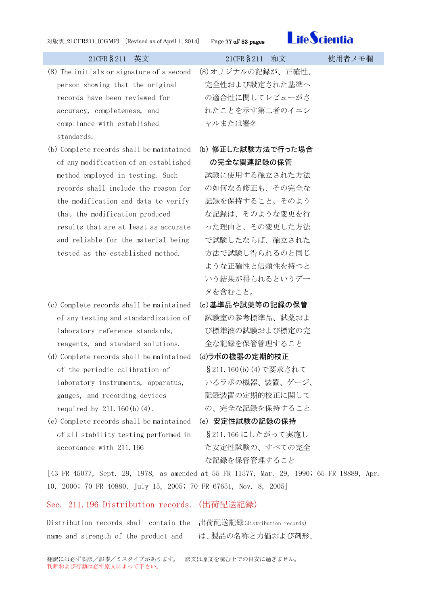

- (8) The initials or signature of a second person showing that the original records have been reviewed for accuracy, completeness, and compliance with established standards.
- (b) Complete records shall be maintained of any modification of an established method employed in testing. Such records shall include the reason for the modification and data to verify that the modification produced results that are at least as accurate and reliable for the material being tested as the established method.
- (c) Complete records shall be maintained of any testing and standardization of laboratory reference standards, reagents, and standard solutions.
- (d) Complete records shall be maintained (d)ラボの機器の定期的校正 of the periodic calibration of laboratory instruments, apparatus, gauges, and recording devices required by 211.160 $(b)(4)$ .
- (e) Complete records shall be maintained (e) 安定性試験の記録の保持 of all stability testing performed in accordance with 211.166

(8)オリジナルの記録が、正確性、 完全性および設定された基準へ の適合性に関してレビューがさ れたことを示す第二者のイニシ ャルまたは署名

(b) 修正した試験方法で行った場合 の完全な関連記録の保管

試験に使用する確立された方法 の如何なる修正も、その完全な 記録を保持すること。そのよう な記録は、そのような変更を行 った理由と、その変更した方法 で試験したならば、確立された 方法で試験し得られるのと同じ ような正確性と信頼性を持つと いう結果が得られるというデー タを含むこと。

- (c)基準品や試薬等の記録の保管 試験室の参考標準品、試薬およ び標準液の試験および標定の完 全な記録を保管管理すること
- §211.160(b)(4)で要求されて いるラボの機器、装置、ゲージ、 記録装置の定期的校正に関して の、完全な記録を保持すること
- §211.166 にしたがって実施し た安定性試験の、すべての完全 な記録を保管管理すること

[43 FR 45077, Sept. 29, 1978, as amended at 55 FR 11577, Mar. 29, 1990; 65 FR 18889, Apr. 10, 2000; 70 FR 40880, July 15, 2005; 70 FR 67651, Nov. 8, 2005]

# Sec. 211.196 Distribution records.(出荷配送記録)

Distribution records shall contain the 出荷配送記録(distribution records) name and strength of the product and

は、製品の名称と力価および剤形、

翻訳には必ず誤訳/誤謬/ミスタイプがあります。 訳文は原文を読む上での目安に過ぎません。 判断および行動は必ず原文によって下さい。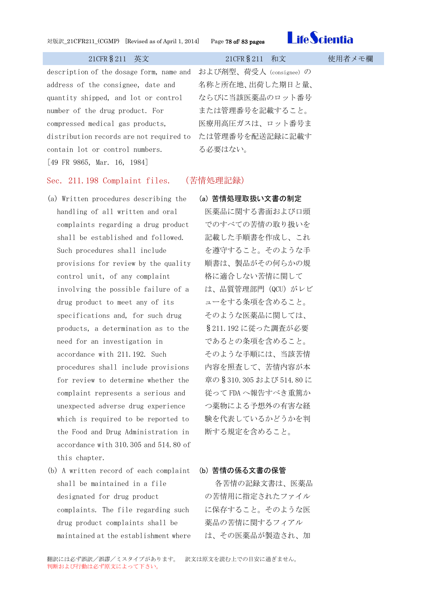

description of the dosage form, name and および剤型、荷受人 (consignee)の address of the consignee, date and quantity shipped, and lot or control number of the drug product. For compressed medical gas products, distribution records are not required to たは管理番号を配送記録に記載す contain lot or control numbers. [49 FR 9865, Mar. 16, 1984]

# 名称と所在地、出荷した期日と量、 ならびに当該医薬品のロット番号 または管理番号を記載すること。 医療用高圧ガスは、ロット番号ま る必要はない。

# Sec. 211.198 Complaint files. (苦情処理記録)

- (a) Written procedures describing the handling of all written and oral complaints regarding a drug product shall be established and followed. Such procedures shall include provisions for review by the quality control unit, of any complaint involving the possible failure of a drug product to meet any of its specifications and, for such drug products, a determination as to the need for an investigation in accordance with 211.192. Such procedures shall include provisions for review to determine whether the complaint represents a serious and unexpected adverse drug experience which is required to be reported to the Food and Drug Administration in accordance with 310.305 and 514.80 of this chapter.
- (b) A written record of each complaint shall be maintained in a file designated for drug product complaints. The file regarding such drug product complaints shall be maintained at the establishment where

(a) 苦情処理取扱い文書の制定 医薬品に関する書面および口頭 でのすべての苦情の取り扱いを 記載した手順書を作成し、これ を遵守すること。そのような手 順書は、製品がその何らかの規 格に適合しない苦情に関して は、品質管理部門 (QCU) がレビ ューをする条項を含めること。 そのような医薬品に関しては、 §211.192 に従った調査が必要 であるとの条項を含めること。 そのような手順には、当該苦情 内容を照査して、苦情内容が本 章の§310.305 および 514.80 に 従って FDA へ報告すべき重篤か つ薬物による予想外の有害な経 験を代表しているかどうかを判 断する規定を含めること。

# (b) 苦情の係る文書の保管

各苦情の記録文書は、医薬品 の苦情用に指定されたファイル に保存すること。そのような医 薬品の苦情に関するフィアル は、その医薬品が製造され、加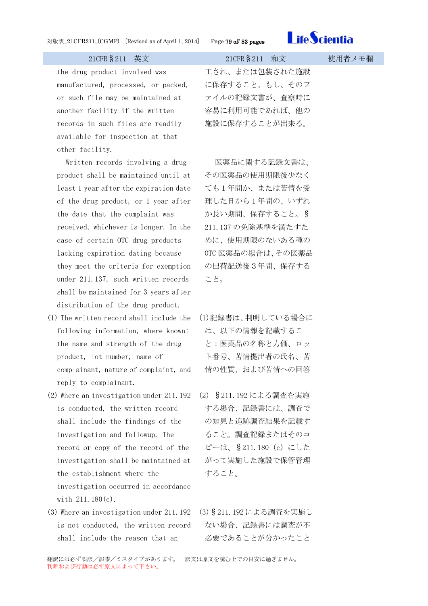

the drug product involved was manufactured, processed, or packed, or such file may be maintained at another facility if the written records in such files are readily available for inspection at that other facility.

Written records involving a drug product shall be maintained until at least 1 year after the expiration date of the drug product, or 1 year after the date that the complaint was received, whichever is longer. In the case of certain OTC drug products lacking expiration dating because they meet the criteria for exemption under 211.137, such written records shall be maintained for 3 years after distribution of the drug product.

- (1) The written record shall include the following information, where known: the name and strength of the drug product, lot number, name of complainant, nature of complaint, and reply to complainant.
- (2) Where an investigation under 211.192 is conducted, the written record shall include the findings of the investigation and followup. The record or copy of the record of the investigation shall be maintained at the establishment where the investigation occurred in accordance with 211.180(c).
- (3) Where an investigation under 211.192 is not conducted, the written record shall include the reason that an

工され、または包装された施設 に保存すること。もし、そのフ ァイルの記録文書が、査察時に 容易に利用可能であれば、他の 施設に保存することが出来る。

医薬品に関する記録文書は、 その医薬品の使用期限後少なく ても1年間か、または苦情を受 理した日から1年間の、いずれ か長い期間、保存すること。§ 211.137 の免除基準を満たすた めに、使用期限のないある種の OTC 医薬品の場合は、その医薬品 の出荷配送後3年間、保存する こと。

- (1)記録書は、判明している場合に は、以下の情報を記載するこ と:医薬品の名称と力価、ロッ ト番号、苦情提出者の氏名、苦 情の性質、および苦情への回答
- (2) §211.192 による調査を実施 する場合、記録書には、調査で の知見と追跡調査結果を記載す ること。調査記録またはそのコ ピーは、§211.180(c)にした がって実施した施設で保管管理 すること。
- (3)§211.192 による調査を実施し ない場合、記録書には調査が不 必要であることが分かったこと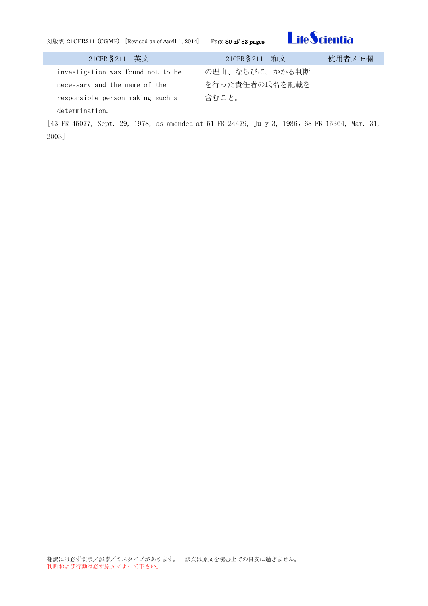

| 21CFR § 211 英文                    | 21CFR § 211 和文 | 使用者メモ欄 |
|-----------------------------------|----------------|--------|
| investigation was found not to be | の理由、ならびに、かかる判断 |        |
| necessary and the name of the     | を行った責任者の氏名を記載を |        |
| responsible person making such a  | 含むこと。          |        |
| determination.                    |                |        |

[43 FR 45077, Sept. 29, 1978, as amended at 51 FR 24479, July 3, 1986; 68 FR 15364, Mar. 31, 2003]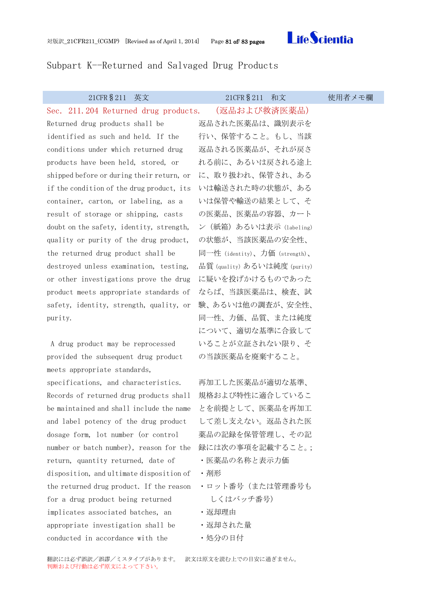

# Subpart K--Returned and Salvaged Drug Products

| 21CFR § 211<br>英文                         | 21CFR § 211<br>和文             | 使用者メモ欄 |
|-------------------------------------------|-------------------------------|--------|
| Sec. 211.204 Returned drug products.      | (返品および救済医薬品)                  |        |
| Returned drug products shall be           | 返品された医薬品は、識別表示を               |        |
| identified as such and held. If the       | 行い、保管すること。もし、当該               |        |
| conditions under which returned drug      | 返品される医薬品が、それが戻さ               |        |
| products have been held, stored, or       | れる前に、あるいは戻される途上               |        |
| shipped before or during their return, or | に、取り扱われ、保管され、ある               |        |
| if the condition of the drug product, its | いは輸送された時の状態が、ある               |        |
| container, carton, or labeling, as a      | いは保管や輸送の結果として、そ               |        |
| result of storage or shipping, casts      | の医薬品、医薬品の容器、カート               |        |
| doubt on the safety, identity, strength,  | ン(紙箱)あるいは表示 (labeling)        |        |
| quality or purity of the drug product,    | の状態が、当該医薬品の安全性、               |        |
| the returned drug product shall be        | 同一性 (identity)、力価 (strength)、 |        |
| destroyed unless examination, testing,    | 品質 (quality) あるいは純度 (purity)  |        |
| or other investigations prove the drug    | に疑いを投げかけるものであった               |        |
| product meets appropriate standards of    | ならば、当該医薬品は、検査、試               |        |
| safety, identity, strength, quality, or   | 験、あるいは他の調査が、安全性、              |        |
| purity.                                   | 同一性、力価、品質、または純度               |        |
|                                           | について、適切な基準に合致して               |        |
| A drug product may be reprocessed         | いることが立証されない限り、そ               |        |
| provided the subsequent drug product      | の当該医薬品を廃棄すること。                |        |
| meets appropriate standards,              |                               |        |
| specifications, and characteristics.      | 再加工した医薬品が適切な基準、               |        |
| Records of returned drug products shall   | 規格および特性に適合しているこ               |        |
| be maintained and shall include the name  | とを前提として、医薬品を再加工               |        |
| and label potency of the drug product     | して差し支えない。返品された医               |        |
| dosage form, lot number (or control       | 薬品の記録を保管管理し、その記               |        |
| number or batch number), reason for the   | 録には次の事項を記載すること。;              |        |
| return, quantity returned, date of        | ・医薬品の名称と表示力価                  |        |
| disposition, and ultimate disposition of  | ・剤形                           |        |
| the returned drug product. If the reason  | •ロット番号(または管理番号も               |        |
| for a drug product being returned         | しくはバッチ番号)                     |        |
| implicates associated batches, an         | ・返却理由                         |        |
| appropriate investigation shall be        | ・返却された量                       |        |
| conducted in accordance with the          | ・処分の日付                        |        |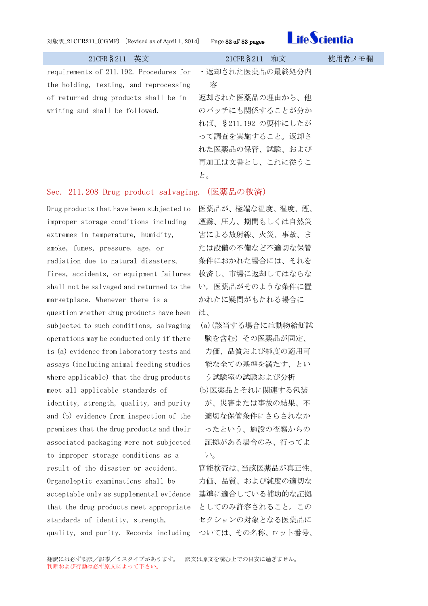### 対版訳\_21CFR211\_(CGMP) [Revised as of April 1, 2014] Page 82 of/ 83 pages



| 21CFR § 211 英文                          | 21CFR § 211 和文      | 使用者メモ欄 |
|-----------------------------------------|---------------------|--------|
| requirements of 211.192. Procedures for | ・返却された医薬品の最終処分内     |        |
| the holding, testing, and reprocessing  | 容                   |        |
| of returned drug products shall be in   | 返却された医薬品の理由から、他     |        |
| writing and shall be followed.          | のバッチにも関係することが分か     |        |
|                                         | れば、§211.192 の要件にしたが |        |
|                                         | って調査を実施すること。返却さ     |        |
|                                         | れた医薬品の保管、試験、および     |        |
|                                         | 再加工は文書とし、これに従うこ     |        |
|                                         | と。                  |        |
|                                         |                     |        |

# Sec. 211.208 Drug product salvaging.(医薬品の救済)

Drug products that have been subjected to 医薬品が、極端な温度、湿度、煙、 improper storage conditions including extremes in temperature, humidity, smoke, fumes, pressure, age, or radiation due to natural disasters, fires, accidents, or equipment failures shall not be salvaged and returned to the marketplace. Whenever there is a question whether drug products have been は、 subjected to such conditions, salvaging operations may be conducted only if there is (a) evidence from laboratory tests and assays (including animal feeding studies where applicable) that the drug products meet all applicable standards of identity, strength, quality, and purity and (b) evidence from inspection of the premises that the drug products and their associated packaging were not subjected to improper storage conditions as a result of the disaster or accident. Organoleptic examinations shall be acceptable only as supplemental evidence that the drug products meet appropriate としてのみ許容されること。この standards of identity, strength, quality, and purity. Records including ついては、その名称、ロット番号、

煙霧、圧力、期間もしくは自然災 害による放射線、火災、事故、ま たは設備の不備など不適切な保管 条件におかれた場合には、それを 救済し、市場に返却してはならな い。医薬品がそのような条件に置 かれたに疑問がもたれる場合に

- (a)(該当する場合には動物給餌試 験を含む)その医薬品が同定、 力価、品質および純度の適用可 能な全ての基準を満たす、とい う試験室の試験および分析
- (b)医薬品とそれに関連する包装 が、災害または事故の結果、不 適切な保管条件にさらされなか ったという、施設の査察からの 証拠がある場合のみ、行ってよ い。

官能検査は、当該医薬品が真正性、 力価、品質、および純度の適切な 基準に適合している補助的な証拠 セクションの対象となる医薬品に